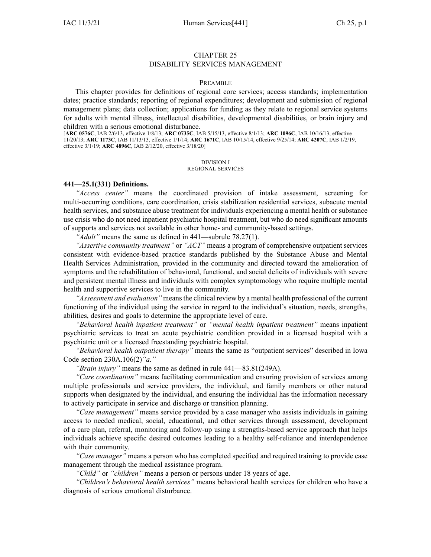#### CHAPTER 25

### DISABILITY SERVICES MANAGEMENT

### PREAMBLE

This chapter provides for definitions of regional core services; access standards; implementation dates; practice standards; reporting of regional expenditures; development and submission of regional managemen<sup>t</sup> plans; data collection; applications for funding as they relate to regional service systems for adults with mental illness, intellectual disabilities, developmental disabilities, or brain injury and children with <sup>a</sup> serious emotional disturbance.

[**ARC [0576C](https://www.legis.iowa.gov/docs/aco/arc/0576C.pdf)**, IAB 2/6/13, effective 1/8/13; **ARC [0735C](https://www.legis.iowa.gov/docs/aco/arc/0735C.pdf)**, IAB 5/15/13, effective 8/1/13; **ARC [1096C](https://www.legis.iowa.gov/docs/aco/arc/1096C.pdf)**, IAB 10/16/13, effective 11/20/13; **ARC [1173C](https://www.legis.iowa.gov/docs/aco/arc/1173C.pdf)**, IAB 11/13/13, effective 1/1/14; **ARC [1671C](https://www.legis.iowa.gov/docs/aco/arc/1671C.pdf)**, IAB 10/15/14, effective 9/25/14; **ARC [4207C](https://www.legis.iowa.gov/docs/aco/arc/4207C.pdf)**, IAB 1/2/19, effective 3/1/19; **ARC [4896C](https://www.legis.iowa.gov/docs/aco/arc/4896C.pdf)**, IAB 2/12/20, effective 3/18/20]

#### DIVISION I REGIONAL SERVICES

#### **441—25.1(331) Definitions.**

*"Access center"* means the coordinated provision of intake assessment, screening for multi-occurring conditions, care coordination, crisis stabilization residential services, subacute mental health services, and substance abuse treatment for individuals experiencing <sup>a</sup> mental health or substance use crisis who do not need inpatient psychiatric hospital treatment, but who do need significant amounts of supports and services not available in other home- and community-based settings.

*"Adult"* means the same as defined in 441—subrule 78.27(1).

*"Assertive community treatment"* or *"ACT"* means <sup>a</sup> program of comprehensive outpatient services consistent with evidence-based practice standards published by the Substance Abuse and Mental Health Services Administration, provided in the community and directed toward the amelioration of symptoms and the rehabilitation of behavioral, functional, and social deficits of individuals with severe and persistent mental illness and individuals with complex symptomology who require multiple mental health and supportive services to live in the community.

*"Assessment and evaluation"* meansthe clinical review by <sup>a</sup> mental health professional of the current functioning of the individual using the service in regard to the individual's situation, needs, strengths, abilities, desires and goals to determine the appropriate level of care.

*"Behavioral health inpatient treatment"* or *"mental health inpatient treatment"* means inpatient psychiatric services to treat an acute psychiatric condition provided in <sup>a</sup> licensed hospital with <sup>a</sup> psychiatric unit or <sup>a</sup> licensed freestanding psychiatric hospital.

*"Behavioral health outpatient therapy"* means the same as "outpatient services" described in Iowa Code section [230A.106\(2\)](https://www.legis.iowa.gov/docs/ico/section/230A.106.pdf)*"a."*

*"Brain injury"* means the same as defined in rule 441—83.81(249A).

*"Care coordination"* means facilitating communication and ensuring provision of services among multiple professionals and service providers, the individual, and family members or other natural supports when designated by the individual, and ensuring the individual has the information necessary to actively participate in service and discharge or transition planning.

*"Case management"* means service provided by <sup>a</sup> case manager who assists individuals in gaining access to needed medical, social, educational, and other services through assessment, development of <sup>a</sup> care plan, referral, monitoring and follow-up using <sup>a</sup> strengths-based service approach that helps individuals achieve specific desired outcomes leading to <sup>a</sup> healthy self-reliance and interdependence with their community.

*"Case manager"* means <sup>a</sup> person who has completed specified and required training to provide case managemen<sup>t</sup> through the medical assistance program.

*"Child"* or *"children"* means <sup>a</sup> person or persons under 18 years of age.

*"Children's behavioral health services"* means behavioral health services for children who have <sup>a</sup> diagnosis of serious emotional disturbance.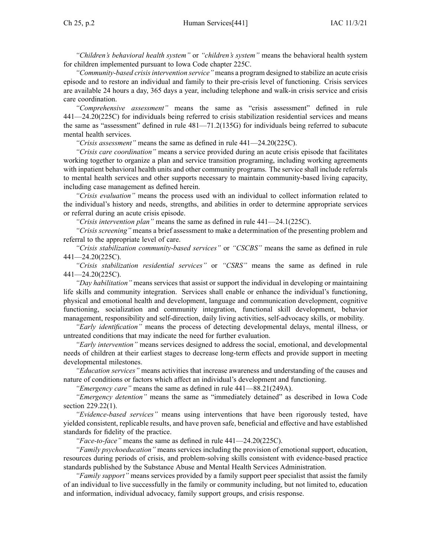*"Children's behavioral health system"* or *"children's system"* means the behavioral health system for children implemented pursuan<sup>t</sup> to Iowa Code chapter [225C](https://www.legis.iowa.gov/docs/ico/chapter/225C.pdf).

*"Community-based crisisintervention service"* means <sup>a</sup> program designed to stabilize an acute crisis episode and to restore an individual and family to their pre-crisis level of functioning. Crisis services are available 24 hours <sup>a</sup> day, 365 days <sup>a</sup> year, including telephone and walk-in crisis service and crisis care coordination.

*"Comprehensive assessment"* means the same as "crisis assessment" defined in rule 441—24.20(225C) for individuals being referred to crisis stabilization residential services and means the same as "assessment" defined in rule 481—71.2(135G) for individuals being referred to subacute mental health services.

*"Crisis assessment"* means the same as defined in rule 441—24.20(225C).

*"Crisis care coordination"* means <sup>a</sup> service provided during an acute crisis episode that facilitates working together to organize <sup>a</sup> plan and service transition programing, including working agreements with inpatient behavioral health units and other community programs. The service shall include referrals to mental health services and other supports necessary to maintain community-based living capacity, including case managemen<sup>t</sup> as defined herein.

*"Crisis evaluation"* means the process used with an individual to collect information related to the individual's history and needs, strengths, and abilities in order to determine appropriate services or referral during an acute crisis episode.

*"Crisis intervention plan"* means the same as defined in rule 441—24.1(225C).

*"Crisis screening"* means <sup>a</sup> brief assessment to make <sup>a</sup> determination of the presenting problem and referral to the appropriate level of care.

*"Crisis stabilization community-based services"* or *"CSCBS"* means the same as defined in rule 441—24.20(225C).

*"Crisis stabilization residential services"* or *"CSRS"* means the same as defined in rule 441—24.20(225C).

*"Day habilitation"* means services that assist or suppor<sup>t</sup> the individual in developing or maintaining life skills and community integration. Services shall enable or enhance the individual's functioning, physical and emotional health and development, language and communication development, cognitive functioning, socialization and community integration, functional skill development, behavior management, responsibility and self-direction, daily living activities, self-advocacy skills, or mobility.

*"Early identification"* means the process of detecting developmental delays, mental illness, or untreated conditions that may indicate the need for further evaluation.

*"Early intervention"* means services designed to address the social, emotional, and developmental needs of children at their earliest stages to decrease long-term effects and provide suppor<sup>t</sup> in meeting developmental milestones.

*"Education services"* means activities that increase awareness and understanding of the causes and nature of conditions or factors which affect an individual's development and functioning.

*"Emergency care"* means the same as defined in rule [441—88.21](https://www.legis.iowa.gov/docs/iac/rule/441.88.21.pdf)(249A).

*"Emergency detention"* means the same as "immediately detained" as described in Iowa Code section [229.22\(1\)](https://www.legis.iowa.gov/docs/ico/section/2018/229.22.pdf).

*"Evidence-based services"* means using interventions that have been rigorously tested, have yielded consistent, replicable results, and have proven safe, beneficial and effective and have established standards for fidelity of the practice.

*"Face-to-face"* means the same as defined in rule 441—24.20(225C).

*"Family psychoeducation"* means services including the provision of emotional support, education, resources during periods of crisis, and problem-solving skills consistent with evidence-based practice standards published by the Substance Abuse and Mental Health Services Administration.

*"Family support"* means services provided by <sup>a</sup> family suppor<sup>t</sup> peer specialist that assist the family of an individual to live successfully in the family or community including, but not limited to, education and information, individual advocacy, family suppor<sup>t</sup> groups, and crisis response.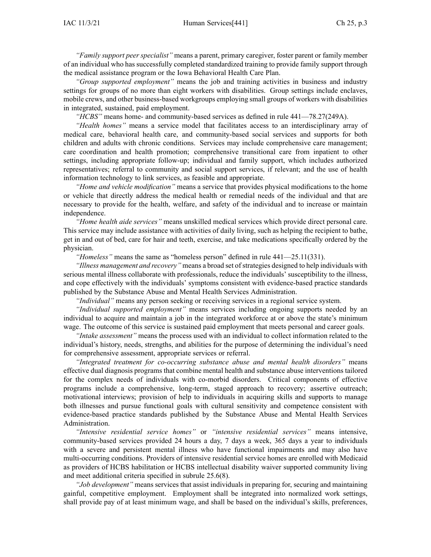*"Family suppor<sup>t</sup> peer specialist"* means <sup>a</sup> parent, primary caregiver, foster paren<sup>t</sup> or family member of an individual who has successfully completed standardized training to provide family suppor<sup>t</sup> through the medical assistance program or the Iowa Behavioral Health Care Plan.

*"Group supported employment"* means the job and training activities in business and industry settings for groups of no more than eight workers with disabilities. Group settings include enclaves, mobile crews, and other business-based workgroups employing small groups of workers with disabilities in integrated, sustained, paid employment.

*"HCBS"* means home- and community-based services as defined in rule 441—78.27(249A).

*"Health homes"* means <sup>a</sup> service model that facilitates access to an interdisciplinary array of medical care, behavioral health care, and community-based social services and supports for both children and adults with chronic conditions. Services may include comprehensive care management; care coordination and health promotion; comprehensive transitional care from inpatient to other settings, including appropriate follow-up; individual and family support, which includes authorized representatives; referral to community and social suppor<sup>t</sup> services, if relevant; and the use of health information technology to link services, as feasible and appropriate.

*"Home and vehicle modification"* means <sup>a</sup> service that provides physical modifications to the home or vehicle that directly address the medical health or remedial needs of the individual and that are necessary to provide for the health, welfare, and safety of the individual and to increase or maintain independence.

*"Home health aide services"* means unskilled medical services which provide direct personal care. This service may include assistance with activities of daily living, such as helping the recipient to bathe, ge<sup>t</sup> in and out of bed, care for hair and teeth, exercise, and take medications specifically ordered by the physician.

*"Homeless"* means the same as "homeless person" defined in rule 441—25.11(331).

*"Illness managemen<sup>t</sup> and recovery"* means <sup>a</sup> broad set ofstrategies designed to help individuals with serious mental illness collaborate with professionals, reduce the individuals' susceptibility to the illness, and cope effectively with the individuals' symptoms consistent with evidence-based practice standards published by the Substance Abuse and Mental Health Services Administration.

*"Individual"* means any person seeking or receiving services in <sup>a</sup> regional service system.

*"Individual supported employment"* means services including ongoing supports needed by an individual to acquire and maintain <sup>a</sup> job in the integrated workforce at or above the state's minimum wage. The outcome of this service is sustained paid employment that meets personal and career goals.

*"Intake assessment"* means the process used with an individual to collect information related to the individual's history, needs, strengths, and abilities for the purpose of determining the individual's need for comprehensive assessment, appropriate services or referral.

*"Integrated treatment for co-occurring substance abuse and mental health disorders"* means effective dual diagnosis programs that combine mental health and substance abuse interventions tailored for the complex needs of individuals with co-morbid disorders. Critical components of effective programs include <sup>a</sup> comprehensive, long-term, staged approach to recovery; assertive outreach; motivational interviews; provision of help to individuals in acquiring skills and supports to manage both illnesses and pursue functional goals with cultural sensitivity and competence consistent with evidence-based practice standards published by the Substance Abuse and Mental Health Services Administration.

*"Intensive residential service homes"* or *"intensive residential services"* means intensive, community-based services provided 24 hours <sup>a</sup> day, 7 days <sup>a</sup> week, 365 days <sup>a</sup> year to individuals with <sup>a</sup> severe and persistent mental illness who have functional impairments and may also have multi-occurring conditions. Providers of intensive residential service homes are enrolled with Medicaid as providers of HCBS habilitation or HCBS intellectual disability waiver supported community living and meet additional criteria specified in subrule 25.6(8).

*"Job development"* means services that assist individuals in preparing for, securing and maintaining gainful, competitive employment. Employment shall be integrated into normalized work settings, shall provide pay of at least minimum wage, and shall be based on the individual's skills, preferences,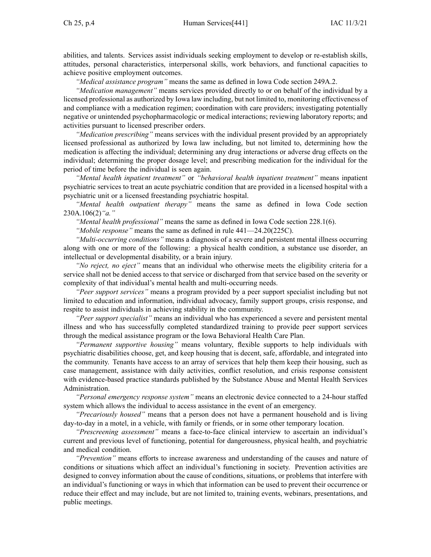abilities, and talents. Services assist individuals seeking employment to develop or re-establish skills, attitudes, personal characteristics, interpersonal skills, work behaviors, and functional capacities to achieve positive employment outcomes.

*"Medical assistance program"* means the same as defined in Iowa Code section [249A.2](https://www.legis.iowa.gov/docs/ico/section/249A.2.pdf).

*"Medication management"* means services provided directly to or on behalf of the individual by <sup>a</sup> licensed professional as authorized by Iowa law including, but not limited to, monitoring effectiveness of and compliance with <sup>a</sup> medication regimen; coordination with care providers; investigating potentially negative or unintended psychopharmacologic or medical interactions; reviewing laboratory reports; and activities pursuan<sup>t</sup> to licensed prescriber orders.

*"Medication prescribing"* means services with the individual presen<sup>t</sup> provided by an appropriately licensed professional as authorized by Iowa law including, but not limited to, determining how the medication is affecting the individual; determining any drug interactions or adverse drug effects on the individual; determining the proper dosage level; and prescribing medication for the individual for the period of time before the individual is seen again.

*"Mental health inpatient treatment"* or *"behavioral health inpatient treatment"* means inpatient psychiatric services to treat an acute psychiatric condition that are provided in <sup>a</sup> licensed hospital with <sup>a</sup> psychiatric unit or <sup>a</sup> licensed freestanding psychiatric hospital.

*"Mental health outpatient therapy"* means the same as defined in Iowa Code section [230A.106\(2\)](https://www.legis.iowa.gov/docs/ico/section/230A.106.pdf)*"a."*

*"Mental health professional"* means the same as defined in Iowa Code section [228.1\(6\)](https://www.legis.iowa.gov/docs/ico/section/228.1.pdf).

*"Mobile response"* means the same as defined in rule 441—24.20(225C).

*"Multi-occurring conditions"* means <sup>a</sup> diagnosis of <sup>a</sup> severe and persistent mental illness occurring along with one or more of the following: <sup>a</sup> physical health condition, <sup>a</sup> substance use disorder, an intellectual or developmental disability, or <sup>a</sup> brain injury.

*"No reject, no eject"* means that an individual who otherwise meets the eligibility criteria for <sup>a</sup> service shall not be denied access to that service or discharged from that service based on the severity or complexity of that individual's mental health and multi-occurring needs.

*"Peer suppor<sup>t</sup> services"* means <sup>a</sup> program provided by <sup>a</sup> peer suppor<sup>t</sup> specialist including but not limited to education and information, individual advocacy, family suppor<sup>t</sup> groups, crisis response, and respite to assist individuals in achieving stability in the community.

*"Peer suppor<sup>t</sup> specialist"* means an individual who has experienced <sup>a</sup> severe and persistent mental illness and who has successfully completed standardized training to provide peer suppor<sup>t</sup> services through the medical assistance program or the Iowa Behavioral Health Care Plan.

*"Permanent supportive housing"* means voluntary, flexible supports to help individuals with psychiatric disabilities choose, get, and keep housing that is decent, safe, affordable, and integrated into the community. Tenants have access to an array of services that help them keep their housing, such as case management, assistance with daily activities, conflict resolution, and crisis response consistent with evidence-based practice standards published by the Substance Abuse and Mental Health Services Administration.

*"Personal emergency response system"* means an electronic device connected to <sup>a</sup> 24-hour staffed system which allows the individual to access assistance in the event of an emergency.

*"Precariously housed"* means that <sup>a</sup> person does not have <sup>a</sup> permanen<sup>t</sup> household and is living day-to-day in <sup>a</sup> motel, in <sup>a</sup> vehicle, with family or friends, or in some other temporary location.

*"Prescreening assessment"* means <sup>a</sup> face-to-face clinical interview to ascertain an individual's current and previous level of functioning, potential for dangerousness, physical health, and psychiatric and medical condition.

*"Prevention"* means efforts to increase awareness and understanding of the causes and nature of conditions or situations which affect an individual's functioning in society. Prevention activities are designed to convey information about the cause of conditions, situations, or problems that interfere with an individual's functioning or ways in which that information can be used to preven<sup>t</sup> their occurrence or reduce their effect and may include, but are not limited to, training events, webinars, presentations, and public meetings.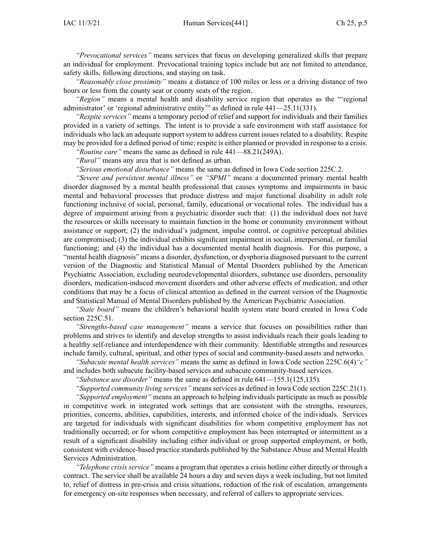*"Prevocational services"* means services that focus on developing generalized skills that prepare an individual for employment. Prevocational training topics include but are not limited to attendance, safety skills, following directions, and staying on task.

*"Reasonably close proximity"* means <sup>a</sup> distance of 100 miles or less or <sup>a</sup> driving distance of two hours or less from the county seat or county seats of the region.

*"Region"* means <sup>a</sup> mental health and disability service region that operates as the "'regional administrator' or 'regional administrative entity'" as defined in rule 441-25.11(331).

*"Respite services"* means <sup>a</sup> temporary period of relief and suppor<sup>t</sup> for individuals and their families provided in <sup>a</sup> variety of settings. The intent is to provide <sup>a</sup> safe environment with staff assistance for individuals who lack an adequate suppor<sup>t</sup> system to address current issues related to <sup>a</sup> disability. Respite may be provided for <sup>a</sup> defined period of time; respite is either planned or provided in response to <sup>a</sup> crisis.

*"Routine care"* means the same as defined in rule [441—88.21](https://www.legis.iowa.gov/docs/iac/rule/441.88.21.pdf)(249A).

*"Rural"* means any area that is not defined as urban.

*"Serious emotional disturbance"* means the same as defined in Iowa Code section [225C.2](https://www.legis.iowa.gov/docs/ico/section/225C.2.pdf).

*"Severe and persistent mental illness"* or *"SPMI"* means <sup>a</sup> documented primary mental health disorder diagnosed by <sup>a</sup> mental health professional that causes symptoms and impairments in basic mental and behavioral processes that produce distress and major functional disability in adult role functioning inclusive of social, personal, family, educational or vocational roles. The individual has <sup>a</sup> degree of impairment arising from <sup>a</sup> psychiatric disorder such that: (1) the individual does not have the resources or skills necessary to maintain function in the home or community environment without assistance or support; (2) the individual's judgment, impulse control, or cognitive perceptual abilities are compromised; (3) the individual exhibits significant impairment in social, interpersonal, or familial functioning; and (4) the individual has <sup>a</sup> documented mental health diagnosis. For this purpose, <sup>a</sup> "mental health diagnosis" means <sup>a</sup> disorder, dysfunction, or dysphoria diagnosed pursuan<sup>t</sup> to the current version of the Diagnostic and Statistical Manual of Mental Disorders published by the American Psychiatric Association, excluding neurodevelopmental disorders, substance use disorders, personality disorders, medication-induced movement disorders and other adverse effects of medication, and other conditions that may be <sup>a</sup> focus of clinical attention as defined in the current version of the Diagnostic and Statistical Manual of Mental Disorders published by the American Psychiatric Association.

*"State board"* means the children's behavioral health system state board created in Iowa Code section [225C.51](https://www.legis.iowa.gov/docs/ico/section/225C.51.pdf).

*"Strengths-based case management"* means <sup>a</sup> service that focuses on possibilities rather than problems and strives to identify and develop strengths to assist individuals reach their goals leading to <sup>a</sup> healthy self-reliance and interdependence with their community. Identifiable strengths and resources include family, cultural, spiritual, and other types of social and community-based assets and networks.

*"Subacute mental health services"* means the same as defined in Iowa Code section [225C.6\(4\)](https://www.legis.iowa.gov/docs/ico/section/2018/225C.6.pdf)*"c"* and includes both subacute facility-based services and subacute community-based services.

*"Substance use disorder"* means the same as defined in rule 641—155.1(125,135).

*"Supported community living services"* means services as defined in Iowa Code section [225C.21\(1\)](https://www.legis.iowa.gov/docs/ico/section/225C.21.pdf).

*"Supported employment"* means an approach to helping individuals participate as much as possible in competitive work in integrated work settings that are consistent with the strengths, resources, priorities, concerns, abilities, capabilities, interests, and informed choice of the individuals. Services are targeted for individuals with significant disabilities for whom competitive employment has not traditionally occurred; or for whom competitive employment has been interrupted or intermittent as <sup>a</sup> result of <sup>a</sup> significant disability including either individual or group supported employment, or both, consistent with evidence-based practice standards published by the Substance Abuse and Mental Health Services Administration.

*"Telephone crisis service"* means <sup>a</sup> program that operates <sup>a</sup> crisis hotline either directly or through <sup>a</sup> contract. The service shall be available 24 hours <sup>a</sup> day and seven days <sup>a</sup> week including, but not limited to, relief of distress in pre-crisis and crisis situations, reduction of the risk of escalation, arrangements for emergency on-site responses when necessary, and referral of callers to appropriate services.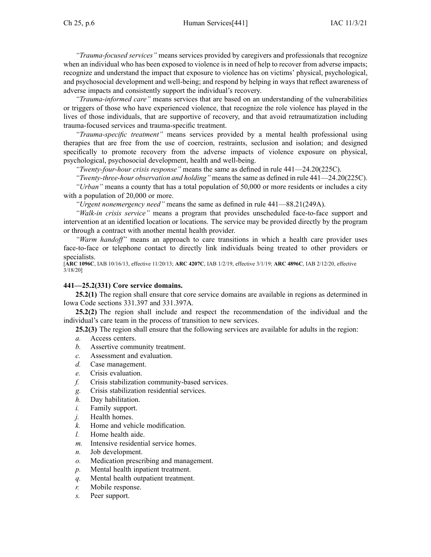*"Trauma-focused services"* means services provided by caregivers and professionals that recognize when an individual who has been exposed to violence is in need of help to recover from adverse impacts; recognize and understand the impact that exposure to violence has on victims' physical, psychological, and psychosocial development and well-being; and respond by helping in ways that reflect awareness of adverse impacts and consistently suppor<sup>t</sup> the individual's recovery.

*"Trauma-informed care"* means services that are based on an understanding of the vulnerabilities or triggers of those who have experienced violence, that recognize the role violence has played in the lives of those individuals, that are supportive of recovery, and that avoid retraumatization including trauma-focused services and trauma-specific treatment.

*"Trauma-specific treatment"* means services provided by <sup>a</sup> mental health professional using therapies that are free from the use of coercion, restraints, seclusion and isolation; and designed specifically to promote recovery from the adverse impacts of violence exposure on physical, psychological, psychosocial development, health and well-being.

*"Twenty-four-hour crisis response"* means the same as defined in rule 441—24.20(225C).

*"Twenty-three-hour observation and holding"* meansthe same as defined in rule 441—24.20(225C).

*"Urban"* means <sup>a</sup> county that has <sup>a</sup> total population of 50,000 or more residents or includes <sup>a</sup> city with <sup>a</sup> population of 20,000 or more.

*"Urgent nonemergency need"* means the same as defined in rule [441—88.21](https://www.legis.iowa.gov/docs/iac/rule/441.88.21.pdf)(249A).

*"Walk-in crisis service"* means <sup>a</sup> program that provides unscheduled face-to-face suppor<sup>t</sup> and intervention at an identified location or locations. The service may be provided directly by the program or through <sup>a</sup> contract with another mental health provider.

*"Warm handoff"* means an approach to care transitions in which <sup>a</sup> health care provider uses face-to-face or telephone contact to directly link individuals being treated to other providers or specialists.

[**ARC [1096C](https://www.legis.iowa.gov/docs/aco/arc/1096C.pdf)**, IAB 10/16/13, effective 11/20/13; **ARC [4207C](https://www.legis.iowa.gov/docs/aco/arc/4207C.pdf)**, IAB 1/2/19, effective 3/1/19; **ARC [4896C](https://www.legis.iowa.gov/docs/aco/arc/4896C.pdf)**, IAB 2/12/20, effective 3/18/20]

# **441—25.2(331) Core service domains.**

**25.2(1)** The region shall ensure that core service domains are available in regions as determined in Iowa Code sections [331.397](https://www.legis.iowa.gov/docs/ico/section/331.397.pdf) and [331.397A](https://www.legis.iowa.gov/docs/ico/section/331.397A.pdf).

**25.2(2)** The region shall include and respec<sup>t</sup> the recommendation of the individual and the individual's care team in the process of transition to new services.

**25.2(3)** The region shall ensure that the following services are available for adults in the region:

- *a.* Access centers.
- *b.* Assertive community treatment.
- *c.* Assessment and evaluation.
- *d.* Case management.
- *e.* Crisis evaluation.
- *f.* Crisis stabilization community-based services.
- *g.* Crisis stabilization residential services.
- *h.* Day habilitation.
- *i.* Family support.
- *j.* Health homes.
- *k.* Home and vehicle modification.
- *l.* Home health aide.
- *m.* Intensive residential service homes.
- *n.* Job development.
- *o.* Medication prescribing and management.
- *p.* Mental health inpatient treatment.
- *q.* Mental health outpatient treatment.
- *r.* Mobile response.
- *s.* Peer support.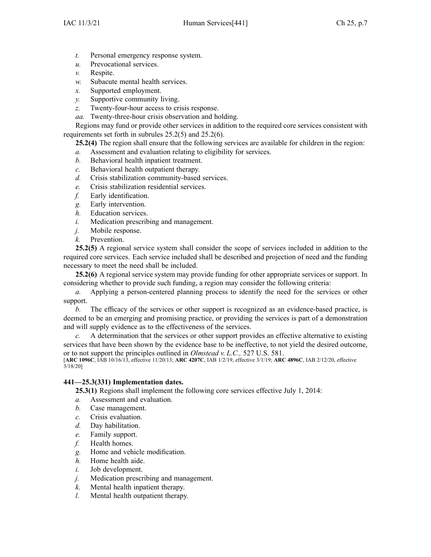- *t.* Personal emergency response system.
- *u.* Prevocational services.
- *v.* Respite.
- *w.* Subacute mental health services.
- *x.* Supported employment.
- *y.* Supportive community living.
- *z.* Twenty-four-hour access to crisis response.
- *aa.* Twenty-three-hour crisis observation and holding.

Regions may fund or provide other services in addition to the required core services consistent with requirements set forth in subrules [25.2\(5\)](https://www.legis.iowa.gov/docs/iac/rule/441.25.2.pdf) and [25.2\(6\)](https://www.legis.iowa.gov/docs/iac/rule/441.25.2.pdf).

**25.2(4)** The region shall ensure that the following services are available for children in the region:

- *a.* Assessment and evaluation relating to eligibility for services.
- *b.* Behavioral health inpatient treatment.
- *c.* Behavioral health outpatient therapy.
- *d.* Crisis stabilization community-based services.
- *e.* Crisis stabilization residential services.
- *f.* Early identification.
- *g.* Early intervention.
- *h.* Education services.
- *i.* Medication prescribing and management.
- *j.* Mobile response.
- *k.* Prevention.

**25.2(5)** A regional service system shall consider the scope of services included in addition to the required core services. Each service included shall be described and projection of need and the funding necessary to meet the need shall be included.

**25.2(6)** A regional service system may provide funding for other appropriate services or support. In considering whether to provide such funding, <sup>a</sup> region may consider the following criteria:

*a.* Applying <sup>a</sup> person-centered planning process to identify the need for the services or other support.

*b.* The efficacy of the services or other suppor<sup>t</sup> is recognized as an evidence-based practice, is deemed to be an emerging and promising practice, or providing the services is par<sup>t</sup> of <sup>a</sup> demonstration and will supply evidence as to the effectiveness of the services.

*c.* A determination that the services or other suppor<sup>t</sup> provides an effective alternative to existing services that have been shown by the evidence base to be ineffective, to not yield the desired outcome, or to not suppor<sup>t</sup> the principles outlined in *Olmstead v. L.C.,* 527 U.S. 581.

[**ARC [1096C](https://www.legis.iowa.gov/docs/aco/arc/1096C.pdf)**, IAB 10/16/13, effective 11/20/13; **ARC [4207C](https://www.legis.iowa.gov/docs/aco/arc/4207C.pdf)**, IAB 1/2/19, effective 3/1/19; **ARC [4896C](https://www.legis.iowa.gov/docs/aco/arc/4896C.pdf)**, IAB 2/12/20, effective 3/18/20]

## **441—25.3(331) Implementation dates.**

**25.3(1)** Regions shall implement the following core services effective July 1, 2014:

- *a.* Assessment and evaluation.
- *b.* Case management.
- *c.* Crisis evaluation.
- *d.* Day habilitation.
- *e.* Family support.
- *f.* Health homes.
- *g.* Home and vehicle modification.
- *h.* Home health aide.
- *i.* Job development.
- *j.* Medication prescribing and management.
- *k.* Mental health inpatient therapy.
- *l.* Mental health outpatient therapy.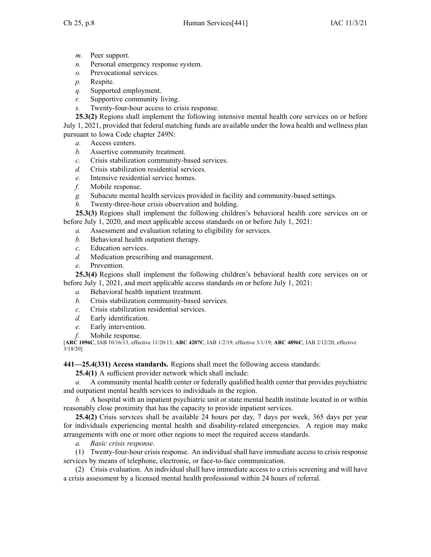- *m.* Peer support.
- *n.* Personal emergency response system.
- *o.* Prevocational services.
- *p.* Respite.
- *q.* Supported employment.
- *r.* Supportive community living.
- *s.* Twenty-four-hour access to crisis response.

**25.3(2)** Regions shall implement the following intensive mental health core services on or before July 1, 2021, provided that federal matching funds are available under the Iowa health and wellness plan pursuan<sup>t</sup> to Iowa Code chapter [249N](https://www.legis.iowa.gov/docs/ico/chapter/2018/249N.pdf):

- *a.* Access centers.
- *b.* Assertive community treatment.
- *c.* Crisis stabilization community-based services.
- *d.* Crisis stabilization residential services.
- *e.* Intensive residential service homes.
- *f.* Mobile response.
- *g.* Subacute mental health services provided in facility and community-based settings.
- *h.* Twenty-three-hour crisis observation and holding.

**25.3(3)** Regions shall implement the following children's behavioral health core services on or before July 1, 2020, and meet applicable access standards on or before July 1, 2021:

- *a.* Assessment and evaluation relating to eligibility for services.
- *b.* Behavioral health outpatient therapy.
- *c.* Education services.
- *d.* Medication prescribing and management.
- *e.* Prevention.

**25.3(4)** Regions shall implement the following children's behavioral health core services on or before July 1, 2021, and meet applicable access standards on or before July 1, 2021:

- *a.* Behavioral health inpatient treatment.
- *b.* Crisis stabilization community-based services.
- *c.* Crisis stabilization residential services.
- *d.* Early identification.
- *e.* Early intervention.
- *f.* Mobile response.

[**ARC [1096C](https://www.legis.iowa.gov/docs/aco/arc/1096C.pdf)**, IAB 10/16/13, effective 11/20/13; **ARC [4207C](https://www.legis.iowa.gov/docs/aco/arc/4207C.pdf)**, IAB 1/2/19, effective 3/1/19; **ARC [4896C](https://www.legis.iowa.gov/docs/aco/arc/4896C.pdf)**, IAB 2/12/20, effective 3/18/20]

**441—25.4(331) Access standards.** Regions shall meet the following access standards:

**25.4(1)** A sufficient provider network which shall include:

*a.* A community mental health center or federally qualified health center that provides psychiatric and outpatient mental health services to individuals in the region.

*b.* A hospital with an inpatient psychiatric unit or state mental health institute located in or within reasonably close proximity that has the capacity to provide inpatient services.

**25.4(2)** Crisis services shall be available 24 hours per day, 7 days per week, 365 days per year for individuals experiencing mental health and disability-related emergencies. A region may make arrangements with one or more other regions to meet the required access standards.

*a. Basic crisis response.*

(1) Twenty-four-hour crisis response. An individual shall have immediate access to crisis response services by means of telephone, electronic, or face-to-face communication.

(2) Crisis evaluation. An individual shall have immediate access to <sup>a</sup> crisis screening and will have <sup>a</sup> crisis assessment by <sup>a</sup> licensed mental health professional within 24 hours of referral.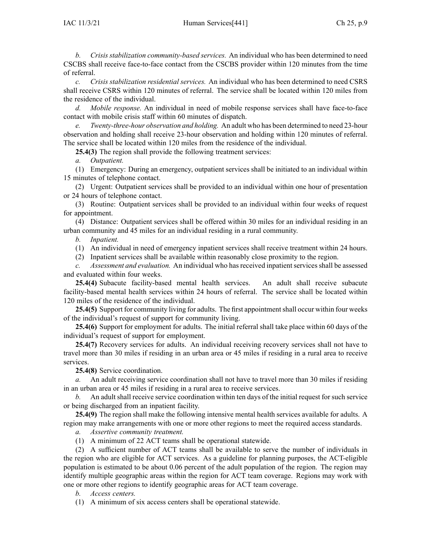*b. Crisis stabilization community-based services.* An individual who has been determined to need CSCBS shall receive face-to-face contact from the CSCBS provider within 120 minutes from the time of referral.

*c. Crisis stabilization residential services.* An individual who has been determined to need CSRS shall receive CSRS within 120 minutes of referral. The service shall be located within 120 miles from the residence of the individual.

*d. Mobile response.* An individual in need of mobile response services shall have face-to-face contact with mobile crisis staff within 60 minutes of dispatch.

*e. Twenty-three-hour observation and holding.* An adult who has been determined to need 23-hour observation and holding shall receive 23-hour observation and holding within 120 minutes of referral. The service shall be located within 120 miles from the residence of the individual.

**25.4(3)** The region shall provide the following treatment services:

*a. Outpatient.*

(1) Emergency: During an emergency, outpatient services shall be initiated to an individual within 15 minutes of telephone contact.

(2) Urgent: Outpatient services shall be provided to an individual within one hour of presentation or 24 hours of telephone contact.

(3) Routine: Outpatient services shall be provided to an individual within four weeks of reques<sup>t</sup> for appointment.

(4) Distance: Outpatient services shall be offered within 30 miles for an individual residing in an urban community and 45 miles for an individual residing in <sup>a</sup> rural community.

*b. Inpatient.*

(1) An individual in need of emergency inpatient services shall receive treatment within 24 hours.

(2) Inpatient services shall be available within reasonably close proximity to the region.

*c. Assessment and evaluation.* An individual who hasreceived inpatientservicesshall be assessed and evaluated within four weeks.

**25.4(4)** Subacute facility-based mental health services. An adult shall receive subacute facility-based mental health services within 24 hours of referral. The service shall be located within 120 miles of the residence of the individual.

25.4(5) Support for community living for adults. The first appointment shall occur within four weeks of the individual's reques<sup>t</sup> of suppor<sup>t</sup> for community living.

**25.4(6)** Support for employment for adults. The initial referral shall take place within 60 days of the individual's reques<sup>t</sup> of suppor<sup>t</sup> for employment.

**25.4(7)** Recovery services for adults. An individual receiving recovery services shall not have to travel more than 30 miles if residing in an urban area or 45 miles if residing in <sup>a</sup> rural area to receive services.

**25.4(8)** Service coordination.

*a.* An adult receiving service coordination shall not have to travel more than 30 miles if residing in an urban area or 45 miles if residing in <sup>a</sup> rural area to receive services.

*b.* An adult shall receive service coordination within ten days of the initial reques<sup>t</sup> for such service or being discharged from an inpatient facility.

**25.4(9)** The region shall make the following intensive mental health services available for adults. A region may make arrangements with one or more other regions to meet the required access standards.

*a. Assertive community treatment.*

(1) A minimum of 22 ACT teams shall be operational statewide.

(2) A sufficient number of ACT teams shall be available to serve the number of individuals in the region who are eligible for ACT services. As <sup>a</sup> guideline for planning purposes, the ACT-eligible population is estimated to be about 0.06 percen<sup>t</sup> of the adult population of the region. The region may identify multiple geographic areas within the region for ACT team coverage. Regions may work with one or more other regions to identify geographic areas for ACT team coverage.

*b. Access centers.*

(1) A minimum of six access centers shall be operational statewide.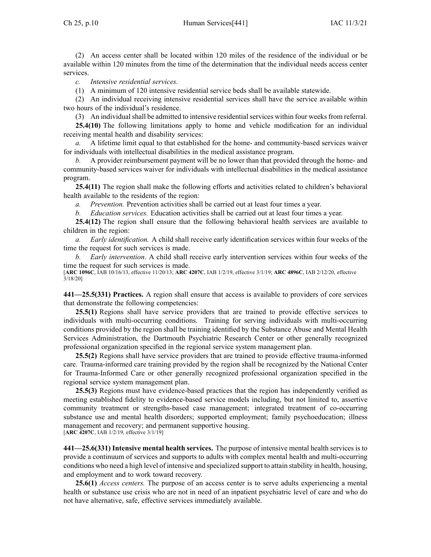(2) An access center shall be located within 120 miles of the residence of the individual or be available within 120 minutes from the time of the determination that the individual needs access center services.

*c. Intensive residential services.*

(1) A minimum of 120 intensive residential service beds shall be available statewide.

(2) An individual receiving intensive residential services shall have the service available within two hours of the individual's residence.

(3) An individual shall be admitted to intensive residential services within four weeks from referral.

**25.4(10)** The following limitations apply to home and vehicle modification for an individual receiving mental health and disability services:

*a.* A lifetime limit equal to that established for the home- and community-based services waiver for individuals with intellectual disabilities in the medical assistance program.

*b.* A provider reimbursement paymen<sup>t</sup> will be no lower than that provided through the home- and community-based services waiver for individuals with intellectual disabilities in the medical assistance program.

**25.4(11)** The region shall make the following efforts and activities related to children's behavioral health available to the residents of the region:

*a. Prevention.* Prevention activities shall be carried out at least four times <sup>a</sup> year.

*b. Education services.* Education activities shall be carried out at least four times <sup>a</sup> year.

**25.4(12)** The region shall ensure that the following behavioral health services are available to children in the region:

*a. Early identification.* A child shall receive early identification services within four weeks of the time the reques<sup>t</sup> for such services is made.

*b. Early intervention.* A child shall receive early intervention services within four weeks of the time the reques<sup>t</sup> for such services is made.

[**ARC [1096C](https://www.legis.iowa.gov/docs/aco/arc/1096C.pdf)**, IAB 10/16/13, effective 11/20/13; **ARC [4207C](https://www.legis.iowa.gov/docs/aco/arc/4207C.pdf)**, IAB 1/2/19, effective 3/1/19; **ARC [4896C](https://www.legis.iowa.gov/docs/aco/arc/4896C.pdf)**, IAB 2/12/20, effective 3/18/20]

**441—25.5(331) Practices.** A region shall ensure that access is available to providers of core services that demonstrate the following competencies:

**25.5(1)** Regions shall have service providers that are trained to provide effective services to individuals with multi-occurring conditions. Training for serving individuals with multi-occurring conditions provided by the region shall be training identified by the Substance Abuse and Mental Health Services Administration, the Dartmouth Psychiatric Research Center or other generally recognized professional organization specified in the regional service system managemen<sup>t</sup> plan.

**25.5(2)** Regions shall have service providers that are trained to provide effective trauma-informed care. Trauma-informed care training provided by the region shall be recognized by the National Center for Trauma-Informed Care or other generally recognized professional organization specified in the regional service system managemen<sup>t</sup> plan.

**25.5(3)** Regions must have evidence-based practices that the region has independently verified as meeting established fidelity to evidence-based service models including, but not limited to, assertive community treatment or strengths-based case management; integrated treatment of co-occurring substance use and mental health disorders; supported employment; family psychoeducation; illness managemen<sup>t</sup> and recovery; and permanen<sup>t</sup> supportive housing. [**ARC [4207C](https://www.legis.iowa.gov/docs/aco/arc/4207C.pdf)**, IAB 1/2/19, effective 3/1/19]

**441—25.6(331) Intensive mental health services.** The purpose of intensive mental health services is to provide <sup>a</sup> continuum of services and supports to adults with complex mental health and multi-occurring conditions who need <sup>a</sup> high level of intensive and specialized suppor<sup>t</sup> to attain stability in health, housing, and employment and to work toward recovery.

**25.6(1)** *Access centers.* The purpose of an access center is to serve adults experiencing <sup>a</sup> mental health or substance use crisis who are not in need of an inpatient psychiatric level of care and who do not have alternative, safe, effective services immediately available.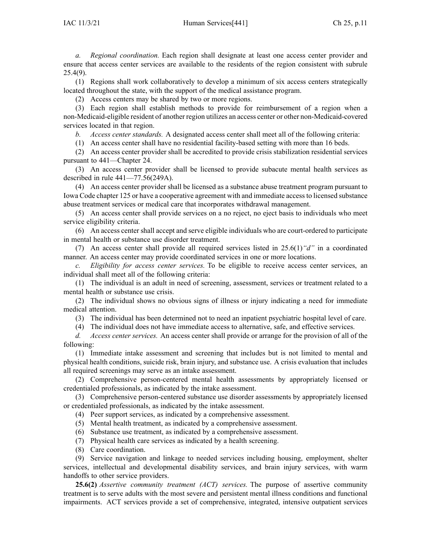*a. Regional coordination.* Each region shall designate at least one access center provider and ensure that access center services are available to the residents of the region consistent with [subrule](https://www.legis.iowa.gov/docs/iac/rule/441.25.4.pdf) [25.4\(9\)](https://www.legis.iowa.gov/docs/iac/rule/441.25.4.pdf).

(1) Regions shall work collaboratively to develop <sup>a</sup> minimum of six access centers strategically located throughout the state, with the suppor<sup>t</sup> of the medical assistance program.

(2) Access centers may be shared by two or more regions.

(3) Each region shall establish methods to provide for reimbursement of <sup>a</sup> region when <sup>a</sup> non-Medicaid-eligible resident of another region utilizes an access center or other non-Medicaid-covered services located in that region.

*b. Access center standards.* A designated access center shall meet all of the following criteria:

(1) An access center shall have no residential facility-based setting with more than 16 beds.

(2) An access center provider shall be accredited to provide crisis stabilization residential services pursuan<sup>t</sup> to [441—Chapter](https://www.legis.iowa.gov/docs/iac/chapter/441.24.pdf) 24.

(3) An access center provider shall be licensed to provide subacute mental health services as described in rule [441—77.56\(](https://www.legis.iowa.gov/docs/iac/rule/441.77.56.pdf)249A).

(4) An access center provider shall be licensed as <sup>a</sup> substance abuse treatment program pursuan<sup>t</sup> to Iowa Code chapter [125](https://www.legis.iowa.gov/docs/ico/chapter/2018/125.pdf) or have <sup>a</sup> cooperative agreemen<sup>t</sup> with and immediate accessto licensed substance abuse treatment services or medical care that incorporates withdrawal management.

(5) An access center shall provide services on <sup>a</sup> no reject, no eject basis to individuals who meet service eligibility criteria.

(6) An access center shall accep<sup>t</sup> and serve eligible individuals who are court-ordered to participate in mental health or substance use disorder treatment.

(7) An access center shall provide all required services listed in [25.6\(1\)](https://www.legis.iowa.gov/docs/iac/rule/441.25.6.pdf)*"d"* in <sup>a</sup> coordinated manner. An access center may provide coordinated services in one or more locations.

*c. Eligibility for access center services.* To be eligible to receive access center services, an individual shall meet all of the following criteria:

(1) The individual is an adult in need of screening, assessment, services or treatment related to <sup>a</sup> mental health or substance use crisis.

(2) The individual shows no obvious signs of illness or injury indicating <sup>a</sup> need for immediate medical attention.

(3) The individual has been determined not to need an inpatient psychiatric hospital level of care.

(4) The individual does not have immediate access to alternative, safe, and effective services.

*d. Access center services.* An access center shall provide or arrange for the provision of all of the following:

(1) Immediate intake assessment and screening that includes but is not limited to mental and physical health conditions, suicide risk, brain injury, and substance use. A crisis evaluation that includes all required screenings may serve as an intake assessment.

(2) Comprehensive person-centered mental health assessments by appropriately licensed or credentialed professionals, as indicated by the intake assessment.

(3) Comprehensive person-centered substance use disorder assessments by appropriately licensed or credentialed professionals, as indicated by the intake assessment.

(4) Peer suppor<sup>t</sup> services, as indicated by <sup>a</sup> comprehensive assessment.

(5) Mental health treatment, as indicated by <sup>a</sup> comprehensive assessment.

(6) Substance use treatment, as indicated by <sup>a</sup> comprehensive assessment.

(7) Physical health care services as indicated by <sup>a</sup> health screening.

(8) Care coordination.

(9) Service navigation and linkage to needed services including housing, employment, shelter services, intellectual and developmental disability services, and brain injury services, with warm handoffs to other service providers.

**25.6(2)** *Assertive community treatment (ACT) services.* The purpose of assertive community treatment is to serve adults with the most severe and persistent mental illness conditions and functional impairments. ACT services provide <sup>a</sup> set of comprehensive, integrated, intensive outpatient services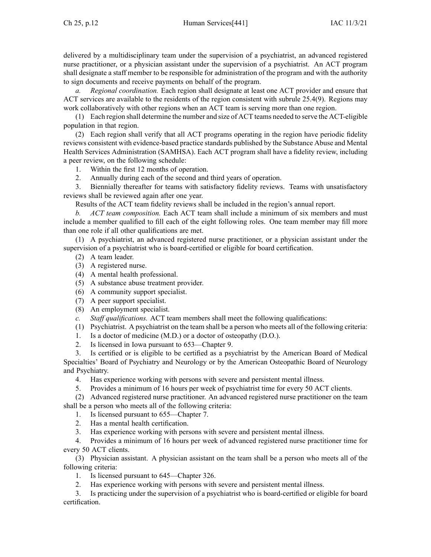delivered by <sup>a</sup> multidisciplinary team under the supervision of <sup>a</sup> psychiatrist, an advanced registered nurse practitioner, or <sup>a</sup> physician assistant under the supervision of <sup>a</sup> psychiatrist. An ACT program shall designate <sup>a</sup> staff member to be responsible for administration of the program and with the authority to sign documents and receive payments on behalf of the program.

*a. Regional coordination.* Each region shall designate at least one ACT provider and ensure that ACT services are available to the residents of the region consistent with subrule 25.4(9). Regions may work collaboratively with other regions when an ACT team is serving more than one region.

(1) Each region shall determine the number and size of ACT teams needed to serve the ACT-eligible population in that region.

(2) Each region shall verify that all ACT programs operating in the region have periodic fidelity reviews consistent with evidence-based practice standards published by the Substance Abuse and Mental Health Services Administration (SAMHSA). Each ACT program shall have <sup>a</sup> fidelity review, including <sup>a</sup> peer review, on the following schedule:

- 1. Within the first 12 months of operation.
- 2. Annually during each of the second and third years of operation.

3. Biennially thereafter for teams with satisfactory fidelity reviews. Teams with unsatisfactory reviews shall be reviewed again after one year.

Results of the ACT team fidelity reviews shall be included in the region's annual report.

*b. ACT team composition.* Each ACT team shall include <sup>a</sup> minimum of six members and must include <sup>a</sup> member qualified to fill each of the eight following roles. One team member may fill more than one role if all other qualifications are met.

(1) A psychiatrist, an advanced registered nurse practitioner, or <sup>a</sup> physician assistant under the supervision of <sup>a</sup> psychiatrist who is board-certified or eligible for board certification.

- (2) A team leader.
- (3) A registered nurse.
- (4) A mental health professional.
- (5) A substance abuse treatment provider.
- (6) A community suppor<sup>t</sup> specialist.
- (7) A peer suppor<sup>t</sup> specialist.
- (8) An employment specialist.
- *c. Staff qualifications.* ACT team members shall meet the following qualifications:
- (1) Psychiatrist. A psychiatrist on the team shall be <sup>a</sup> person who meets all of the following criteria:
- 1. Is <sup>a</sup> doctor of medicine (M.D.) or <sup>a</sup> doctor of osteopathy (D.O.).
- 2. Is licensed in Iowa pursuan<sup>t</sup> to 653—Chapter 9.

3. Is certified or is eligible to be certified as <sup>a</sup> psychiatrist by the American Board of Medical Specialties' Board of Psychiatry and Neurology or by the American Osteopathic Board of Neurology and Psychiatry.

4. Has experience working with persons with severe and persistent mental illness.

5. Provides <sup>a</sup> minimum of 16 hours per week of psychiatrist time for every 50 ACT clients.

(2) Advanced registered nurse practitioner. An advanced registered nurse practitioner on the team shall be <sup>a</sup> person who meets all of the following criteria:

1. Is licensed pursuan<sup>t</sup> to 655—Chapter 7.

2. Has <sup>a</sup> mental health certification.

3. Has experience working with persons with severe and persistent mental illness.

4. Provides <sup>a</sup> minimum of 16 hours per week of advanced registered nurse practitioner time for every 50 ACT clients.

(3) Physician assistant. A physician assistant on the team shall be <sup>a</sup> person who meets all of the following criteria:

1. Is licensed pursuan<sup>t</sup> to 645—Chapter 326.

2. Has experience working with persons with severe and persistent mental illness.

3. Is practicing under the supervision of <sup>a</sup> psychiatrist who is board-certified or eligible for board certification.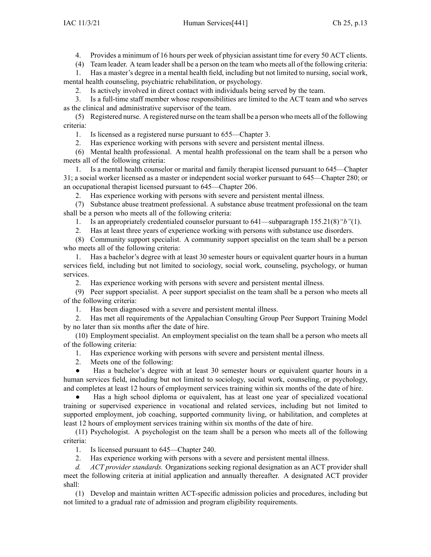4. Provides <sup>a</sup> minimum of 16 hours per week of physician assistant time for every 50 ACT clients.

(4) Team leader. A team leadershall be <sup>a</sup> person on the team who meets all of the following criteria:

1. Has <sup>a</sup> master's degree in <sup>a</sup> mental health field, including but not limited to nursing, social work, mental health counseling, psychiatric rehabilitation, or psychology.

2. Is actively involved in direct contact with individuals being served by the team.

3. Is <sup>a</sup> full-time staff member whose responsibilities are limited to the ACT team and who serves as the clinical and administrative supervisor of the team.

(5) Registered nurse. A registered nurse on the team shall be <sup>a</sup> person who meets all of the following criteria:

1. Is licensed as <sup>a</sup> registered nurse pursuan<sup>t</sup> to 655—Chapter 3.

2. Has experience working with persons with severe and persistent mental illness.

(6) Mental health professional. A mental health professional on the team shall be <sup>a</sup> person who meets all of the following criteria:

1. Is <sup>a</sup> mental health counselor or marital and family therapist licensed pursuan<sup>t</sup> to 645—Chapter 31; <sup>a</sup> social worker licensed as <sup>a</sup> master or independent social worker pursuan<sup>t</sup> to 645—Chapter 280; or an occupational therapist licensed pursuan<sup>t</sup> to 645—Chapter 206.

2. Has experience working with persons with severe and persistent mental illness.

(7) Substance abuse treatment professional. A substance abuse treatment professional on the team shall be <sup>a</sup> person who meets all of the following criteria:

1. Is an appropriately credentialed counselor pursuan<sup>t</sup> to 641—subparagraph 155.21(8)*"b"*(1).

2. Has at least three years of experience working with persons with substance use disorders.

(8) Community suppor<sup>t</sup> specialist. A community suppor<sup>t</sup> specialist on the team shall be <sup>a</sup> person who meets all of the following criteria:

1. Has <sup>a</sup> bachelor's degree with at least 30 semester hours or equivalent quarter hours in <sup>a</sup> human services field, including but not limited to sociology, social work, counseling, psychology, or human services.

2. Has experience working with persons with severe and persistent mental illness.

(9) Peer suppor<sup>t</sup> specialist. A peer suppor<sup>t</sup> specialist on the team shall be <sup>a</sup> person who meets all of the following criteria:

1. Has been diagnosed with <sup>a</sup> severe and persistent mental illness.

2. Has met all requirements of the Appalachian Consulting Group Peer Support Training Model by no later than six months after the date of hire.

(10) Employment specialist. An employment specialist on the team shall be <sup>a</sup> person who meets all of the following criteria:

1. Has experience working with persons with severe and persistent mental illness.

2. Meets one of the following:

● Has <sup>a</sup> bachelor's degree with at least 30 semester hours or equivalent quarter hours in <sup>a</sup> human services field, including but not limited to sociology, social work, counseling, or psychology, and completes at least 12 hours of employment services training within six months of the date of hire.

● Has <sup>a</sup> high school diploma or equivalent, has at least one year of specialized vocational training or supervised experience in vocational and related services, including but not limited to supported employment, job coaching, supported community living, or habilitation, and completes at least 12 hours of employment services training within six months of the date of hire.

(11) Psychologist. A psychologist on the team shall be <sup>a</sup> person who meets all of the following criteria:

1. Is licensed pursuan<sup>t</sup> to 645—Chapter 240.

2. Has experience working with persons with <sup>a</sup> severe and persistent mental illness.

*d. ACT provider standards.* Organizations seeking regional designation as an ACT provider shall meet the following criteria at initial application and annually thereafter. A designated ACT provider shall:

(1) Develop and maintain written ACT-specific admission policies and procedures, including but not limited to <sup>a</sup> gradual rate of admission and program eligibility requirements.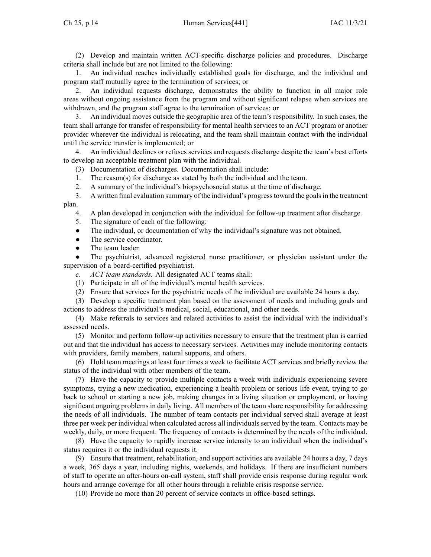(2) Develop and maintain written ACT-specific discharge policies and procedures. Discharge criteria shall include but are not limited to the following:

1. An individual reaches individually established goals for discharge, and the individual and program staff mutually agree to the termination of services; or

2. An individual requests discharge, demonstrates the ability to function in all major role areas without ongoing assistance from the program and without significant relapse when services are withdrawn, and the program staff agree to the termination of services; or

3. An individual moves outside the geographic area of the team's responsibility. In such cases, the team shall arrange for transfer of responsibility for mental health services to an ACT program or another provider wherever the individual is relocating, and the team shall maintain contact with the individual until the service transfer is implemented; or

4. An individual declines or refuses services and requests discharge despite the team's best efforts to develop an acceptable treatment plan with the individual.

(3) Documentation of discharges. Documentation shall include:

1. The reason(s) for discharge as stated by both the individual and the team.

2. A summary of the individual's biopsychosocial status at the time of discharge.

3. A written final evaluation summary of the individual's progresstoward the goalsin the treatment plan.

4. A plan developed in conjunction with the individual for follow-up treatment after discharge.

5. The signature of each of the following:

 $\bullet$ The individual, or documentation of why the individual's signature was not obtained.

- ●The service coordinator.
- $\bullet$ The team leader.

● The psychiatrist, advanced registered nurse practitioner, or physician assistant under the supervision of <sup>a</sup> board-certified psychiatrist.

*e. ACT team standards.* All designated ACT teams shall:

(1) Participate in all of the individual's mental health services.

(2) Ensure that services for the psychiatric needs of the individual are available 24 hours <sup>a</sup> day.

(3) Develop <sup>a</sup> specific treatment plan based on the assessment of needs and including goals and actions to address the individual's medical, social, educational, and other needs.

(4) Make referrals to services and related activities to assist the individual with the individual's assessed needs.

(5) Monitor and perform follow-up activities necessary to ensure that the treatment plan is carried out and that the individual has access to necessary services. Activities may include monitoring contacts with providers, family members, natural supports, and others.

(6) Hold team meetings at least four times <sup>a</sup> week to facilitate ACT services and briefly review the status of the individual with other members of the team.

(7) Have the capacity to provide multiple contacts <sup>a</sup> week with individuals experiencing severe symptoms, trying <sup>a</sup> new medication, experiencing <sup>a</sup> health problem or serious life event, trying to go back to school or starting <sup>a</sup> new job, making changes in <sup>a</sup> living situation or employment, or having significant ongoing problemsin daily living. All members of the team share responsibility for addressing the needs of all individuals. The number of team contacts per individual served shall average at least three per week per individual when calculated across all individuals served by the team. Contacts may be weekly, daily, or more frequent. The frequency of contacts is determined by the needs of the individual.

(8) Have the capacity to rapidly increase service intensity to an individual when the individual's status requires it or the individual requests it.

(9) Ensure that treatment, rehabilitation, and suppor<sup>t</sup> activities are available 24 hours <sup>a</sup> day, 7 days <sup>a</sup> week, 365 days <sup>a</sup> year, including nights, weekends, and holidays. If there are insufficient numbers of staff to operate an after-hours on-call system, staff shall provide crisis response during regular work hours and arrange coverage for all other hours through <sup>a</sup> reliable crisis response service.

(10) Provide no more than 20 percen<sup>t</sup> of service contacts in office-based settings.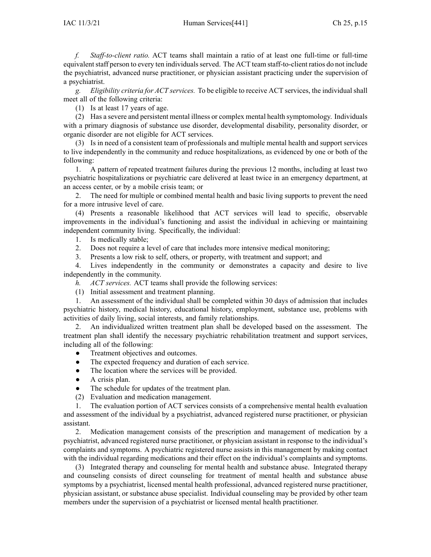*f. Staff-to-client ratio.* ACT teams shall maintain <sup>a</sup> ratio of at least one full-time or full-time equivalent staff person to every ten individuals served. The ACT team staff-to-client ratios do not include the psychiatrist, advanced nurse practitioner, or physician assistant practicing under the supervision of <sup>a</sup> psychiatrist.

*g. Eligibility criteria for ACT services.* To be eligible to receive ACT services, the individual shall meet all of the following criteria:

(1) Is at least 17 years of age.

(2) Has <sup>a</sup> severe and persistent mental illness or complex mental health symptomology. Individuals with <sup>a</sup> primary diagnosis of substance use disorder, developmental disability, personality disorder, or organic disorder are not eligible for ACT services.

(3) Is in need of <sup>a</sup> consistent team of professionals and multiple mental health and suppor<sup>t</sup> services to live independently in the community and reduce hospitalizations, as evidenced by one or both of the following:

1. A pattern of repeated treatment failures during the previous 12 months, including at least two psychiatric hospitalizations or psychiatric care delivered at least twice in an emergency department, at an access center, or by <sup>a</sup> mobile crisis team; or

2. The need for multiple or combined mental health and basic living supports to preven<sup>t</sup> the need for <sup>a</sup> more intrusive level of care.

(4) Presents <sup>a</sup> reasonable likelihood that ACT services will lead to specific, observable improvements in the individual's functioning and assist the individual in achieving or maintaining independent community living. Specifically, the individual:

1. Is medically stable;

2. Does not require <sup>a</sup> level of care that includes more intensive medical monitoring;

3. Presents <sup>a</sup> low risk to self, others, or property, with treatment and support; and

4. Lives independently in the community or demonstrates <sup>a</sup> capacity and desire to live independently in the community.

*h. ACT services.* ACT teams shall provide the following services:

(1) Initial assessment and treatment planning.

1. An assessment of the individual shall be completed within 30 days of admission that includes psychiatric history, medical history, educational history, employment, substance use, problems with activities of daily living, social interests, and family relationships.

2. An individualized written treatment plan shall be developed based on the assessment. The treatment plan shall identify the necessary psychiatric rehabilitation treatment and suppor<sup>t</sup> services, including all of the following:

 $\bullet$ Treatment objectives and outcomes.

 $\bullet$ The expected frequency and duration of each service.

 $\bullet$ The location where the services will be provided.

 $\bullet$ A crisis plan.

 $\bullet$ The schedule for updates of the treatment plan.

(2) Evaluation and medication management.

1. The evaluation portion of ACT services consists of <sup>a</sup> comprehensive mental health evaluation and assessment of the individual by <sup>a</sup> psychiatrist, advanced registered nurse practitioner, or physician assistant.

2. Medication managemen<sup>t</sup> consists of the prescription and managemen<sup>t</sup> of medication by <sup>a</sup> psychiatrist, advanced registered nurse practitioner, or physician assistant in response to the individual's complaints and symptoms. A psychiatric registered nurse assists in this managemen<sup>t</sup> by making contact with the individual regarding medications and their effect on the individual's complaints and symptoms.

(3) Integrated therapy and counseling for mental health and substance abuse. Integrated therapy and counseling consists of direct counseling for treatment of mental health and substance abuse symptoms by <sup>a</sup> psychiatrist, licensed mental health professional, advanced registered nurse practitioner, physician assistant, or substance abuse specialist. Individual counseling may be provided by other team members under the supervision of <sup>a</sup> psychiatrist or licensed mental health practitioner.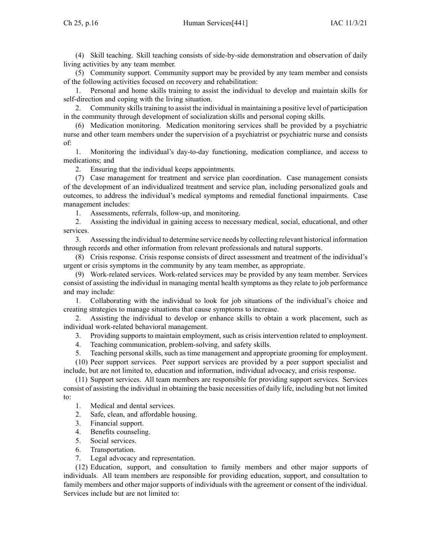(4) Skill teaching. Skill teaching consists of side-by-side demonstration and observation of daily living activities by any team member.

(5) Community support. Community suppor<sup>t</sup> may be provided by any team member and consists of the following activities focused on recovery and rehabilitation:

1. Personal and home skills training to assist the individual to develop and maintain skills for self-direction and coping with the living situation.

2. Community skills training to assist the individual in maintaining a positive level of participation in the community through development of socialization skills and personal coping skills.

(6) Medication monitoring. Medication monitoring services shall be provided by <sup>a</sup> psychiatric nurse and other team members under the supervision of <sup>a</sup> psychiatrist or psychiatric nurse and consists of:

1. Monitoring the individual's day-to-day functioning, medication compliance, and access to medications; and

2. Ensuring that the individual keeps appointments.

(7) Case managemen<sup>t</sup> for treatment and service plan coordination. Case managemen<sup>t</sup> consists of the development of an individualized treatment and service plan, including personalized goals and outcomes, to address the individual's medical symptoms and remedial functional impairments. Case managemen<sup>t</sup> includes:

1. Assessments, referrals, follow-up, and monitoring.

2. Assisting the individual in gaining access to necessary medical, social, educational, and other services.

3. Assessing the individual to determine service needs by collecting relevant historical information through records and other information from relevant professionals and natural supports.

(8) Crisis response. Crisis response consists of direct assessment and treatment of the individual's urgen<sup>t</sup> or crisis symptoms in the community by any team member, as appropriate.

(9) Work-related services. Work-related services may be provided by any team member. Services consist of assisting the individual in managing mental health symptoms as they relate to job performance and may include:

1. Collaborating with the individual to look for job situations of the individual's choice and creating strategies to manage situations that cause symptoms to increase.

2. Assisting the individual to develop or enhance skills to obtain <sup>a</sup> work placement, such as individual work-related behavioral management.

3. Providing supports to maintain employment, such as crisis intervention related to employment.

4. Teaching communication, problem-solving, and safety skills.<br>5. Teaching personal skills, such as time management and annou

5. Teaching personal skills, such as time managemen<sup>t</sup> and appropriate grooming for employment.

(10) Peer suppor<sup>t</sup> services. Peer suppor<sup>t</sup> services are provided by <sup>a</sup> peer suppor<sup>t</sup> specialist and include, but are not limited to, education and information, individual advocacy, and crisis response.

(11) Support services. All team members are responsible for providing suppor<sup>t</sup> services. Services consist of assisting the individual in obtaining the basic necessities of daily life, including but not limited to:

1. Medical and dental services.

2. Safe, clean, and affordable housing.

3. Financial support.

4. Benefits counseling.

5. Social services.

6. Transportation.

7. Legal advocacy and representation.

(12) Education, support, and consultation to family members and other major supports of individuals. All team members are responsible for providing education, support, and consultation to family members and other major supports of individuals with the agreemen<sup>t</sup> or consent of the individual. Services include but are not limited to: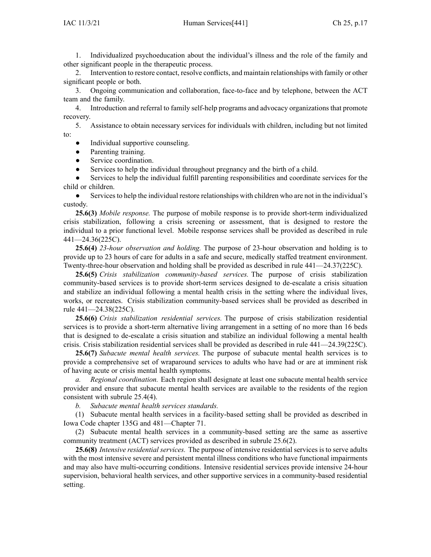1. Individualized psychoeducation about the individual's illness and the role of the family and other significant people in the therapeutic process.

2. Intervention to restore contact, resolve conflicts, and maintain relationships with family or other significant people or both.

3. Ongoing communication and collaboration, face-to-face and by telephone, between the ACT team and the family.

4. Introduction and referral to family self-help programs and advocacy organizations that promote recovery.

5. Assistance to obtain necessary services for individuals with children, including but not limited to:

- ●Individual supportive counseling.
- ●Parenting training.
- $\bullet$ Service coordination.
- ●Services to help the individual throughout pregnancy and the birth of <sup>a</sup> child.

● Services to help the individual fulfill parenting responsibilities and coordinate services for the child or children.

● Servicesto help the individual restore relationships with children who are not in the individual's custody.

**25.6(3)** *Mobile response.* The purpose of mobile response is to provide short-term individualized crisis stabilization, following <sup>a</sup> crisis screening or assessment, that is designed to restore the individual to <sup>a</sup> prior functional level. Mobile response services shall be provided as described in rule 441—24.36(225C).

**25.6(4)** *23-hour observation and holding.* The purpose of 23-hour observation and holding is to provide up to 23 hours of care for adults in <sup>a</sup> safe and secure, medically staffed treatment environment. Twenty-three-hour observation and holding shall be provided as described in rule [441—24.37](https://www.legis.iowa.gov/docs/iac/rule/441.24.37.pdf)(225C).

**25.6(5)** *Crisis stabilization community-based services.* The purpose of crisis stabilization community-based services is to provide short-term services designed to de-escalate <sup>a</sup> crisis situation and stabilize an individual following <sup>a</sup> mental health crisis in the setting where the individual lives, works, or recreates. Crisis stabilization community-based services shall be provided as described in rule 441—24.38(225C).

**25.6(6)** *Crisis stabilization residential services.* The purpose of crisis stabilization residential services is to provide <sup>a</sup> short-term alternative living arrangemen<sup>t</sup> in <sup>a</sup> setting of no more than 16 beds that is designed to de-escalate <sup>a</sup> crisis situation and stabilize an individual following <sup>a</sup> mental health crisis. Crisis stabilization residential services shall be provided as described in rule 441—24.39(225C).

**25.6(7)** *Subacute mental health services.* The purpose of subacute mental health services is to provide <sup>a</sup> comprehensive set of wraparound services to adults who have had or are at imminent risk of having acute or crisis mental health symptoms.

*a. Regional coordination.* Each region shall designate at least one subacute mental health service provider and ensure that subacute mental health services are available to the residents of the region consistent with subrule 25.4(4).

*b. Subacute mental health services standards.*

(1) Subacute mental health services in <sup>a</sup> facility-based setting shall be provided as described in Iowa Code chapter [135G](https://www.legis.iowa.gov/docs/ico/chapter/2018/135G.pdf) and 481—Chapter 71.

(2) Subacute mental health services in <sup>a</sup> community-based setting are the same as assertive community treatment (ACT) services provided as described in subrule 25.6(2).

**25.6(8)** *Intensive residential services.* The purpose of intensive residential services is to serve adults with the most intensive severe and persistent mental illness conditions who have functional impairments and may also have multi-occurring conditions. Intensive residential services provide intensive 24-hour supervision, behavioral health services, and other supportive services in <sup>a</sup> community-based residential setting.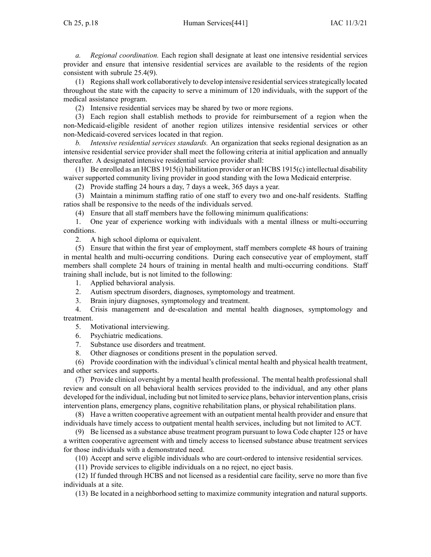*a. Regional coordination.* Each region shall designate at least one intensive residential services provider and ensure that intensive residential services are available to the residents of the region consistent with subrule 25.4(9).

(1) Regionsshall work collaboratively to develop intensive residentialservicesstrategically located throughout the state with the capacity to serve <sup>a</sup> minimum of 120 individuals, with the suppor<sup>t</sup> of the medical assistance program.

(2) Intensive residential services may be shared by two or more regions.

(3) Each region shall establish methods to provide for reimbursement of <sup>a</sup> region when the non-Medicaid-eligible resident of another region utilizes intensive residential services or other non-Medicaid-covered services located in that region.

*b. Intensive residential services standards.* An organization that seeks regional designation as an intensive residential service provider shall meet the following criteria at initial application and annually thereafter. A designated intensive residential service provider shall:

(1) Be enrolled as an HCBS 1915(i) habilitation provider or an HCBS 1915(c) intellectual disability waiver supported community living provider in good standing with the Iowa Medicaid enterprise.

(2) Provide staffing 24 hours <sup>a</sup> day, 7 days <sup>a</sup> week, 365 days <sup>a</sup> year.

(3) Maintain <sup>a</sup> minimum staffing ratio of one staff to every two and one-half residents. Staffing ratios shall be responsive to the needs of the individuals served.

(4) Ensure that all staff members have the following minimum qualifications:

1. One year of experience working with individuals with <sup>a</sup> mental illness or multi-occurring conditions.

2. A high school diploma or equivalent.

(5) Ensure that within the first year of employment, staff members complete 48 hours of training in mental health and multi-occurring conditions. During each consecutive year of employment, staff members shall complete 24 hours of training in mental health and multi-occurring conditions. Staff training shall include, but is not limited to the following:

1. Applied behavioral analysis.

2. Autism spectrum disorders, diagnoses, symptomology and treatment.

3. Brain injury diagnoses, symptomology and treatment.

4. Crisis managemen<sup>t</sup> and de-escalation and mental health diagnoses, symptomology and treatment.

5. Motivational interviewing.

6. Psychiatric medications.

7. Substance use disorders and treatment.

8. Other diagnoses or conditions presen<sup>t</sup> in the population served.

(6) Provide coordination with the individual's clinical mental health and physical health treatment, and other services and supports.

(7) Provide clinical oversight by <sup>a</sup> mental health professional. The mental health professional shall review and consult on all behavioral health services provided to the individual, and any other plans developed for the individual, including but not limited to service plans, behavior intervention plans, crisis intervention plans, emergency plans, cognitive rehabilitation plans, or physical rehabilitation plans.

(8) Have <sup>a</sup> written cooperative agreemen<sup>t</sup> with an outpatient mental health provider and ensure that individuals have timely access to outpatient mental health services, including but not limited to ACT.

(9) Be licensed as <sup>a</sup> substance abuse treatment program pursuan<sup>t</sup> to Iowa Code chapter [125](https://www.legis.iowa.gov/docs/ico/chapter/2018/125.pdf) or have <sup>a</sup> written cooperative agreemen<sup>t</sup> with and timely access to licensed substance abuse treatment services for those individuals with <sup>a</sup> demonstrated need.

(10) Accept and serve eligible individuals who are court-ordered to intensive residential services.

(11) Provide services to eligible individuals on <sup>a</sup> no reject, no eject basis.

(12) If funded through HCBS and not licensed as <sup>a</sup> residential care facility, serve no more than five individuals at <sup>a</sup> site.

(13) Be located in <sup>a</sup> neighborhood setting to maximize community integration and natural supports.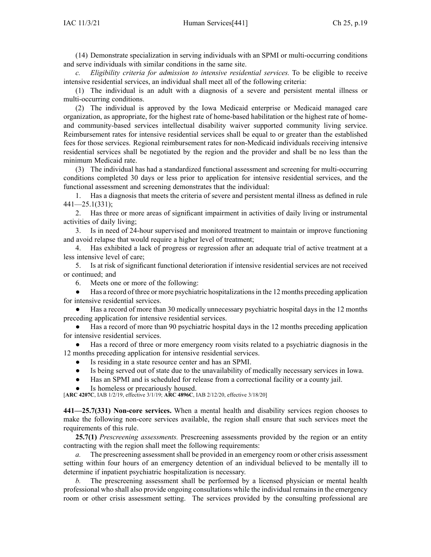(14) Demonstrate specialization in serving individuals with an SPMI or multi-occurring conditions and serve individuals with similar conditions in the same site.

*c. Eligibility criteria for admission to intensive residential services.* To be eligible to receive intensive residential services, an individual shall meet all of the following criteria:

(1) The individual is an adult with <sup>a</sup> diagnosis of <sup>a</sup> severe and persistent mental illness or multi-occurring conditions.

(2) The individual is approved by the Iowa Medicaid enterprise or Medicaid managed care organization, as appropriate, for the highest rate of home-based habilitation or the highest rate of homeand community-based services intellectual disability waiver supported community living service. Reimbursement rates for intensive residential services shall be equal to or greater than the established fees for those services. Regional reimbursement rates for non-Medicaid individuals receiving intensive residential services shall be negotiated by the region and the provider and shall be no less than the minimum Medicaid rate.

(3) The individual has had <sup>a</sup> standardized functional assessment and screening for multi-occurring conditions completed 30 days or less prior to application for intensive residential services, and the functional assessment and screening demonstrates that the individual:

1. Has <sup>a</sup> diagnosis that meets the criteria of severe and persistent mental illness as defined in rule 441—25.1(331);

2. Has three or more areas of significant impairment in activities of daily living or instrumental activities of daily living;

3. Is in need of 24-hour supervised and monitored treatment to maintain or improve functioning and avoid relapse that would require <sup>a</sup> higher level of treatment;

4. Has exhibited <sup>a</sup> lack of progress or regression after an adequate trial of active treatment at <sup>a</sup> less intensive level of care;

5. Is at risk of significant functional deterioration if intensive residential services are not received or continued; and

6. Meets one or more of the following:

 $\bullet$ Has a record of three or more psychiatric hospitalizations in the 12 months preceding application for intensive residential services.

● Has <sup>a</sup> record of more than 30 medically unnecessary psychiatric hospital days in the 12 months preceding application for intensive residential services.

● Has <sup>a</sup> record of more than 90 psychiatric hospital days in the 12 months preceding application for intensive residential services.

● Has <sup>a</sup> record of three or more emergency room visits related to <sup>a</sup> psychiatric diagnosis in the 12 months preceding application for intensive residential services.

- $\bullet$ Is residing in <sup>a</sup> state resource center and has an SPMI.
- ●Is being served out of state due to the unavailability of medically necessary services in Iowa.
- $\bullet$ Has an SPMI and is scheduled for release from <sup>a</sup> correctional facility or <sup>a</sup> county jail.
- ●Is homeless or precariously housed.

[**ARC [4207C](https://www.legis.iowa.gov/docs/aco/arc/4207C.pdf)**, IAB 1/2/19, effective 3/1/19; **ARC [4896C](https://www.legis.iowa.gov/docs/aco/arc/4896C.pdf)**, IAB 2/12/20, effective 3/18/20]

**441—25.7(331) Non-core services.** When <sup>a</sup> mental health and disability services region chooses to make the following non-core services available, the region shall ensure that such services meet the requirements of this rule.

**25.7(1)** *Prescreening assessments.* Prescreening assessments provided by the region or an entity contracting with the region shall meet the following requirements:

*a.* The prescreening assessment shall be provided in an emergency room or other crisis assessment setting within four hours of an emergency detention of an individual believed to be mentally ill to determine if inpatient psychiatric hospitalization is necessary.

The prescreening assessment shall be performed by a licensed physician or mental health professional who shall also provide ongoing consultations while the individual remains in the emergency room or other crisis assessment setting. The services provided by the consulting professional are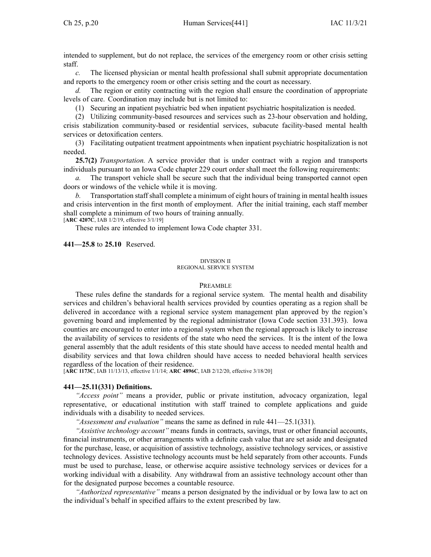intended to supplement, but do not replace, the services of the emergency room or other crisis setting staff.

*c.* The licensed physician or mental health professional shall submit appropriate documentation and reports to the emergency room or other crisis setting and the court as necessary.

*d.* The region or entity contracting with the region shall ensure the coordination of appropriate levels of care. Coordination may include but is not limited to:

(1) Securing an inpatient psychiatric bed when inpatient psychiatric hospitalization is needed.

(2) Utilizing community-based resources and services such as 23-hour observation and holding, crisis stabilization community-based or residential services, subacute facility-based mental health services or detoxification centers.

(3) Facilitating outpatient treatment appointments when inpatient psychiatric hospitalization is not needed.

**25.7(2)** *Transportation.* A service provider that is under contract with <sup>a</sup> region and transports individuals pursuan<sup>t</sup> to an Iowa Code chapter [229](https://www.legis.iowa.gov/docs/ico/chapter/2018/229.pdf) court order shall meet the following requirements:

*a.* The transport vehicle shall be secure such that the individual being transported cannot open doors or windows of the vehicle while it is moving.

*b.* Transportation staff shall complete <sup>a</sup> minimum of eight hours of training in mental health issues and crisis intervention in the first month of employment. After the initial training, each staff member shall complete <sup>a</sup> minimum of two hours of training annually.

[**ARC [4207C](https://www.legis.iowa.gov/docs/aco/arc/4207C.pdf)**, IAB 1/2/19, effective 3/1/19]

These rules are intended to implement Iowa Code chapter [331](https://www.legis.iowa.gov/docs/ico/chapter/331.pdf).

**441—25.8** to **25.10** Reserved.

#### DIVISION II

#### REGIONAL SERVICE SYSTEM

### PREAMBLE

These rules define the standards for <sup>a</sup> regional service system. The mental health and disability services and children's behavioral health services provided by counties operating as <sup>a</sup> region shall be delivered in accordance with <sup>a</sup> regional service system managemen<sup>t</sup> plan approved by the region's governing board and implemented by the regional administrator (Iowa Code section [331.393](https://www.legis.iowa.gov/docs/ico/section/331.393.pdf)). Iowa counties are encouraged to enter into <sup>a</sup> regional system when the regional approach is likely to increase the availability of services to residents of the state who need the services. It is the intent of the Iowa general assembly that the adult residents of this state should have access to needed mental health and disability services and that Iowa children should have access to needed behavioral health services regardless of the location of their residence.

[**ARC [1173C](https://www.legis.iowa.gov/docs/aco/arc/1173C.pdf)**, IAB 11/13/13, effective 1/1/14; **ARC [4896C](https://www.legis.iowa.gov/docs/aco/arc/4896C.pdf)**, IAB 2/12/20, effective 3/18/20]

### **441—25.11(331) Definitions.**

*"Access point"* means <sup>a</sup> provider, public or private institution, advocacy organization, legal representative, or educational institution with staff trained to complete applications and guide individuals with <sup>a</sup> disability to needed services.

*"Assessment and evaluation"* means the same as defined in rule [441—25.1](https://www.legis.iowa.gov/docs/iac/rule/441.25.1.pdf)(331).

*"Assistive technology account"* means funds in contracts, savings, trust or other financial accounts, financial instruments, or other arrangements with <sup>a</sup> definite cash value that are set aside and designated for the purchase, lease, or acquisition of assistive technology, assistive technology services, or assistive technology devices. Assistive technology accounts must be held separately from other accounts. Funds must be used to purchase, lease, or otherwise acquire assistive technology services or devices for <sup>a</sup> working individual with <sup>a</sup> disability. Any withdrawal from an assistive technology account other than for the designated purpose becomes <sup>a</sup> countable resource.

*"Authorized representative"* means <sup>a</sup> person designated by the individual or by Iowa law to act on the individual's behalf in specified affairs to the extent prescribed by law.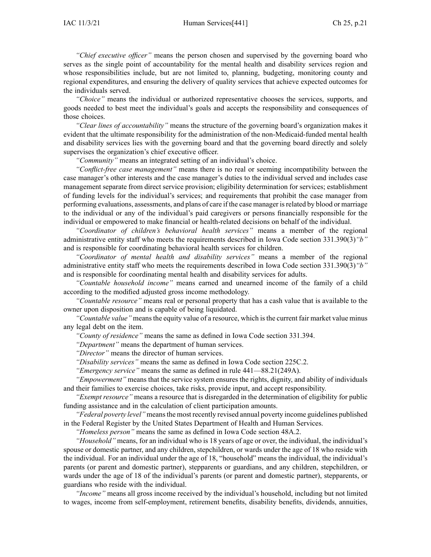*"Chief executive officer"* means the person chosen and supervised by the governing board who serves as the single point of accountability for the mental health and disability services region and whose responsibilities include, but are not limited to, planning, budgeting, monitoring county and regional expenditures, and ensuring the delivery of quality services that achieve expected outcomes for the individuals served.

*"Choice"* means the individual or authorized representative chooses the services, supports, and goods needed to best meet the individual's goals and accepts the responsibility and consequences of those choices.

*"Clear lines of accountability"* means the structure of the governing board's organization makes it evident that the ultimate responsibility for the administration of the non-Medicaid-funded mental health and disability services lies with the governing board and that the governing board directly and solely supervises the organization's chief executive officer.

*"Community"* means an integrated setting of an individual's choice.

*"Conflict-free case management"* means there is no real or seeming incompatibility between the case manager's other interests and the case manager's duties to the individual served and includes case managemen<sup>t</sup> separate from direct service provision; eligibility determination for services; establishment of funding levels for the individual's services; and requirements that prohibit the case manager from performing evaluations, assessments, and plans of care if the case manager isrelated by blood or marriage to the individual or any of the individual's paid caregivers or persons financially responsible for the individual or empowered to make financial or health-related decisions on behalf of the individual.

*"Coordinator of children's behavioral health services"* means <sup>a</sup> member of the regional administrative entity staff who meets the requirements described in Iowa Code section [331.390\(3\)](https://www.legis.iowa.gov/docs/ico/section/331.390.pdf)*"b"* and is responsible for coordinating behavioral health services for children.

*"Coordinator of mental health and disability services"* means <sup>a</sup> member of the regional administrative entity staff who meets the requirements described in Iowa Code section [331.390\(3\)](https://www.legis.iowa.gov/docs/ico/section/331.390.pdf)*"b"* and is responsible for coordinating mental health and disability services for adults.

*"Countable household income"* means earned and unearned income of the family of <sup>a</sup> child according to the modified adjusted gross income methodology.

*"Countable resource"* means real or personal property that has <sup>a</sup> cash value that is available to the owner upon disposition and is capable of being liquidated.

*"Countable value"* meansthe equity value of <sup>a</sup> resource, which isthe current fair market value minus any legal debt on the item.

*"County of residence"* means the same as defined in Iowa Code section [331.394](https://www.legis.iowa.gov/docs/ico/section/331.394.pdf).

*"Department"* means the department of human services.

*"Director"* means the director of human services.

*"Disability services"* means the same as defined in Iowa Code section [225C.2](https://www.legis.iowa.gov/docs/ico/section/225C.2.pdf).

*"Emergency service"* means the same as defined in rule [441—88.21](https://www.legis.iowa.gov/docs/iac/rule/441.88.21.pdf)(249A).

*"Empowerment"* means that the service system ensures the rights, dignity, and ability of individuals and their families to exercise choices, take risks, provide input, and accep<sup>t</sup> responsibility.

*"Exempt resource"* means <sup>a</sup> resource that is disregarded in the determination of eligibility for public funding assistance and in the calculation of client participation amounts.

*"Federal poverty level"* meansthe most recently revised annual poverty income guidelines published in the Federal Register by the United States Department of Health and Human Services.

*"Homeless person"* means the same as defined in Iowa Code section [48A.2](https://www.legis.iowa.gov/docs/ico/section/48A.2.pdf).

*"Household"* means, for an individual who is 18 years of age or over, the individual, the individual's spouse or domestic partner, and any children, stepchildren, or wards under the age of 18 who reside with the individual. For an individual under the age of 18, "household" means the individual, the individual's parents (or paren<sup>t</sup> and domestic partner), stepparents or guardians, and any children, stepchildren, or wards under the age of 18 of the individual's parents (or paren<sup>t</sup> and domestic partner), stepparents, or guardians who reside with the individual.

*"Income"* means all gross income received by the individual's household, including but not limited to wages, income from self-employment, retirement benefits, disability benefits, dividends, annuities,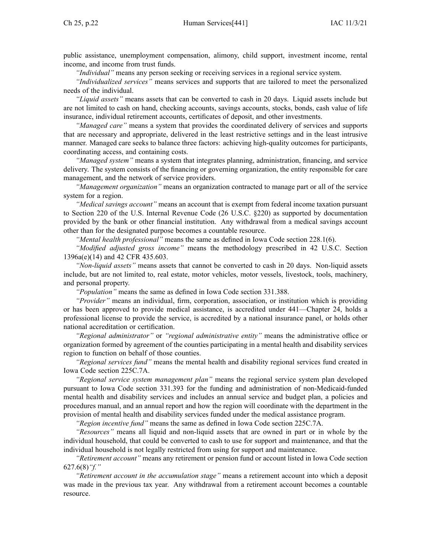public assistance, unemployment compensation, alimony, child support, investment income, rental income, and income from trust funds.

*"Individual"* means any person seeking or receiving services in <sup>a</sup> regional service system.

*"Individualized services"* means services and supports that are tailored to meet the personalized needs of the individual.

*"Liquid assets"* means assets that can be converted to cash in 20 days. Liquid assets include but are not limited to cash on hand, checking accounts, savings accounts, stocks, bonds, cash value of life insurance, individual retirement accounts, certificates of deposit, and other investments.

*"Managed care"* means <sup>a</sup> system that provides the coordinated delivery of services and supports that are necessary and appropriate, delivered in the least restrictive settings and in the least intrusive manner. Managed care seeks to balance three factors: achieving high-quality outcomes for participants, coordinating access, and containing costs.

*"Managed system"* means <sup>a</sup> system that integrates planning, administration, financing, and service delivery. The system consists of the financing or governing organization, the entity responsible for care management, and the network of service providers.

*"Management organization"* means an organization contracted to manage par<sup>t</sup> or all of the service system for <sup>a</sup> region.

*"Medical savings account"* means an account that is exemp<sup>t</sup> from federal income taxation pursuan<sup>t</sup> to Section 220 of the U.S. Internal Revenue Code (26 U.S.C. §220) as supported by documentation provided by the bank or other financial institution. Any withdrawal from <sup>a</sup> medical savings account other than for the designated purpose becomes <sup>a</sup> countable resource.

*"Mental health professional"* means the same as defined in Iowa Code section [228.1\(6\)](https://www.legis.iowa.gov/docs/ico/section/228.1.pdf).

*"Modified adjusted gross income"* means the methodology prescribed in 42 U.S.C. Section 1396a(e)(14) and 42 CFR 435.603.

*"Non-liquid assets"* means assets that cannot be converted to cash in 20 days. Non-liquid assets include, but are not limited to, real estate, motor vehicles, motor vessels, livestock, tools, machinery, and personal property.

*"Population"* means the same as defined in Iowa Code section [331.388](https://www.legis.iowa.gov/docs/ico/section/331.388.pdf).

*"Provider"* means an individual, firm, corporation, association, or institution which is providing or has been approved to provide medical assistance, is accredited under [441—Chapter](https://www.legis.iowa.gov/docs/iac/chapter/441.24.pdf) 24, holds <sup>a</sup> professional license to provide the service, is accredited by <sup>a</sup> national insurance panel, or holds other national accreditation or certification.

*"Regional administrator"* or *"regional administrative entity"* means the administrative office or organization formed by agreemen<sup>t</sup> of the counties participating in <sup>a</sup> mental health and disability services region to function on behalf of those counties.

*"Regional services fund"* means the mental health and disability regional services fund created in Iowa Code section [225C.7A](https://www.legis.iowa.gov/docs/ico/section/225C.7A.pdf).

*"Regional service system managemen<sup>t</sup> plan"* means the regional service system plan developed pursuan<sup>t</sup> to Iowa Code section [331.393](https://www.legis.iowa.gov/docs/ico/section/331.393.pdf) for the funding and administration of non-Medicaid-funded mental health and disability services and includes an annual service and budget plan, <sup>a</sup> policies and procedures manual, and an annual repor<sup>t</sup> and how the region will coordinate with the department in the provision of mental health and disability services funded under the medical assistance program.

*"Region incentive fund"* means the same as defined in Iowa Code section [225C.7A](https://www.legis.iowa.gov/docs/ico/section/225C.7A.pdf).

*"Resources"* means all liquid and non-liquid assets that are owned in par<sup>t</sup> or in whole by the individual household, that could be converted to cash to use for suppor<sup>t</sup> and maintenance, and that the individual household is not legally restricted from using for suppor<sup>t</sup> and maintenance.

*"Retirement account"* means any retirement or pension fund or account listed in Iowa Code section [627.6\(8\)](https://www.legis.iowa.gov/docs/ico/section/627.6.pdf)*"f."*

*"Retirement account in the accumulation stage"* means <sup>a</sup> retirement account into which <sup>a</sup> deposit was made in the previous tax year. Any withdrawal from <sup>a</sup> retirement account becomes <sup>a</sup> countable resource.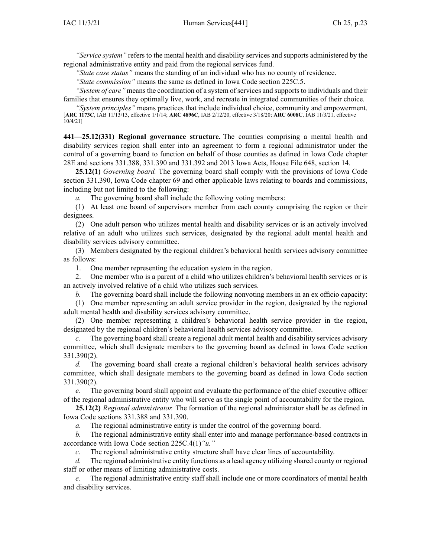*"Service system"* refers to the mental health and disability services and supports administered by the regional administrative entity and paid from the regional services fund.

*"State case status"* means the standing of an individual who has no county of residence.

*"State commission"* means the same as defined in Iowa Code section [225C.5](https://www.legis.iowa.gov/docs/ico/section/225C.5.pdf).

*"System of care*" means the coordination of a system of services and supports to individuals and their families that ensures they optimally live, work, and recreate in integrated communities of their choice.

*"System principles"* means practices that include individual choice, community and empowerment. [**ARC [1173C](https://www.legis.iowa.gov/docs/aco/arc/1173C.pdf)**, IAB 11/13/13, effective 1/1/14; **ARC [4896C](https://www.legis.iowa.gov/docs/aco/arc/4896C.pdf)**, IAB 2/12/20, effective 3/18/20; **ARC [6008C](https://www.legis.iowa.gov/docs/aco/arc/6008C.pdf)**, IAB 11/3/21, effective 10/4/21]

**441—25.12(331) Regional governance structure.** The counties comprising <sup>a</sup> mental health and disability services region shall enter into an agreemen<sup>t</sup> to form <sup>a</sup> regional administrator under the control of <sup>a</sup> governing board to function on behalf of those counties as defined in Iowa Code chapter [28E](https://www.legis.iowa.gov/docs/ico/chapter/28E.pdf) and sections [331.388](https://www.legis.iowa.gov/docs/ico/section/331.388.pdf), [331.390](https://www.legis.iowa.gov/docs/ico/section/331.390.pdf) and [331.392](https://www.legis.iowa.gov/docs/ico/section/331.392.pdf) and 2013 Iowa Acts, House File 648, section 14.

**25.12(1)** *Governing board.* The governing board shall comply with the provisions of Iowa Code section [331.390](https://www.legis.iowa.gov/docs/ico/section/331.390.pdf), Iowa Code chapter [69](https://www.legis.iowa.gov/docs/ico/chapter/69.pdf) and other applicable laws relating to boards and commissions, including but not limited to the following:

The governing board shall include the following voting members:

(1) At least one board of supervisors member from each county comprising the region or their designees.

(2) One adult person who utilizes mental health and disability services or is an actively involved relative of an adult who utilizes such services, designated by the regional adult mental health and disability services advisory committee.

(3) Members designated by the regional children's behavioral health services advisory committee as follows:

1. One member representing the education system in the region.

2. One member who is <sup>a</sup> paren<sup>t</sup> of <sup>a</sup> child who utilizes children's behavioral health services or is an actively involved relative of <sup>a</sup> child who utilizes such services.

*b.* The governing board shall include the following nonvoting members in an ex officio capacity:

(1) One member representing an adult service provider in the region, designated by the regional adult mental health and disability services advisory committee.

(2) One member representing <sup>a</sup> children's behavioral health service provider in the region, designated by the regional children's behavioral health services advisory committee.

*c.* The governing board shall create <sup>a</sup> regional adult mental health and disability services advisory committee, which shall designate members to the governing board as defined in Iowa Code section [331.390\(2\)](https://www.legis.iowa.gov/docs/ico/section/331.390.pdf).

*d.* The governing board shall create <sup>a</sup> regional children's behavioral health services advisory committee, which shall designate members to the governing board as defined in Iowa Code section [331.390\(2\)](https://www.legis.iowa.gov/docs/ico/section/331.390.pdf).

*e.* The governing board shall appoint and evaluate the performance of the chief executive officer of the regional administrative entity who will serve as the single point of accountability for the region.

**25.12(2)** *Regional administrator.* The formation of the regional administrator shall be as defined in Iowa Code sections [331.388](https://www.legis.iowa.gov/docs/ico/section/331.388.pdf) and [331.390](https://www.legis.iowa.gov/docs/ico/section/331.390.pdf).

*a.* The regional administrative entity is under the control of the governing board.

*b.* The regional administrative entity shall enter into and manage performance-based contracts in accordance with Iowa Code section [225C.4\(1\)](https://www.legis.iowa.gov/docs/ico/section/225C.4.pdf)*"u."*

*c.* The regional administrative entity structure shall have clear lines of accountability.

*d.* The regional administrative entity functions as <sup>a</sup> lead agency utilizing shared county or regional staff or other means of limiting administrative costs.

*e.* The regional administrative entity staff shall include one or more coordinators of mental health and disability services.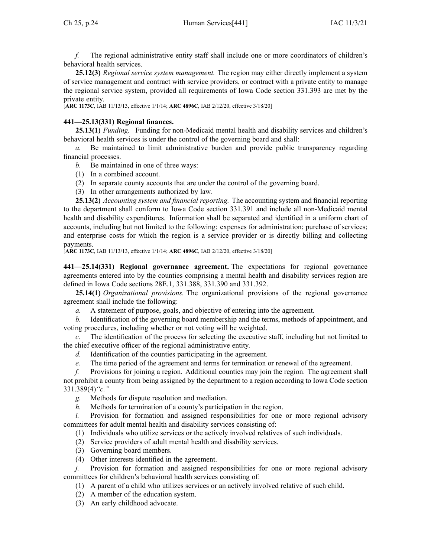*f.* The regional administrative entity staff shall include one or more coordinators of children's behavioral health services.

**25.12(3)** *Regional service system management.* The region may either directly implement <sup>a</sup> system of service managemen<sup>t</sup> and contract with service providers, or contract with <sup>a</sup> private entity to manage the regional service system, provided all requirements of Iowa Code section [331.393](https://www.legis.iowa.gov/docs/ico/section/331.393.pdf) are met by the private entity.

[**ARC [1173C](https://www.legis.iowa.gov/docs/aco/arc/1173C.pdf)**, IAB 11/13/13, effective 1/1/14; **ARC [4896C](https://www.legis.iowa.gov/docs/aco/arc/4896C.pdf)**, IAB 2/12/20, effective 3/18/20]

# **441—25.13(331) Regional finances.**

**25.13(1)** *Funding.* Funding for non-Medicaid mental health and disability services and children's behavioral health services is under the control of the governing board and shall:

*a.* Be maintained to limit administrative burden and provide public transparency regarding financial processes.

- *b.* Be maintained in one of three ways:
- (1) In <sup>a</sup> combined account.
- (2) In separate county accounts that are under the control of the governing board.
- (3) In other arrangements authorized by law.

**25.13(2)** *Accounting system and financial reporting.* The accounting system and financial reporting to the department shall conform to Iowa Code section [331.391](https://www.legis.iowa.gov/docs/ico/section/331.391.pdf) and include all non-Medicaid mental health and disability expenditures. Information shall be separated and identified in <sup>a</sup> uniform chart of accounts, including but not limited to the following: expenses for administration; purchase of services; and enterprise costs for which the region is <sup>a</sup> service provider or is directly billing and collecting payments.

[**ARC [1173C](https://www.legis.iowa.gov/docs/aco/arc/1173C.pdf)**, IAB 11/13/13, effective 1/1/14; **ARC [4896C](https://www.legis.iowa.gov/docs/aco/arc/4896C.pdf)**, IAB 2/12/20, effective 3/18/20]

**441—25.14(331) Regional governance agreement.** The expectations for regional governance agreements entered into by the counties comprising <sup>a</sup> mental health and disability services region are defined in Iowa Code sections [28E.1](https://www.legis.iowa.gov/docs/ico/section/28E.1.pdf), [331.388](https://www.legis.iowa.gov/docs/ico/section/331.388.pdf), [331.390](https://www.legis.iowa.gov/docs/ico/section/331.390.pdf) and [331.392](https://www.legis.iowa.gov/docs/ico/section/331.392.pdf).

**25.14(1)** *Organizational provisions.* The organizational provisions of the regional governance agreemen<sup>t</sup> shall include the following:

*a.* A statement of purpose, goals, and objective of entering into the agreement.

*b.* Identification of the governing board membership and the terms, methods of appointment, and voting procedures, including whether or not voting will be weighted.

*c.* The identification of the process for selecting the executive staff, including but not limited to the chief executive officer of the regional administrative entity.

- *d.* Identification of the counties participating in the agreement.
- *e.* The time period of the agreemen<sup>t</sup> and terms for termination or renewal of the agreement.

*f.* Provisions for joining <sup>a</sup> region. Additional counties may join the region. The agreemen<sup>t</sup> shall not prohibit <sup>a</sup> county from being assigned by the department to <sup>a</sup> region according to Iowa Code section [331.389\(4\)](https://www.legis.iowa.gov/docs/ico/section/331.389.pdf)*"c."*

- *g.* Methods for dispute resolution and mediation.
- *h.* Methods for termination of <sup>a</sup> county's participation in the region.

Provision for formation and assigned responsibilities for one or more regional advisory committees for adult mental health and disability services consisting of:

(1) Individuals who utilize services or the actively involved relatives of such individuals.

- (2) Service providers of adult mental health and disability services.
- (3) Governing board members.
- (4) Other interests identified in the agreement.

*j.* Provision for formation and assigned responsibilities for one or more regional advisory committees for children's behavioral health services consisting of:

- (1) A paren<sup>t</sup> of <sup>a</sup> child who utilizes services or an actively involved relative of such child.
- (2) A member of the education system.
- (3) An early childhood advocate.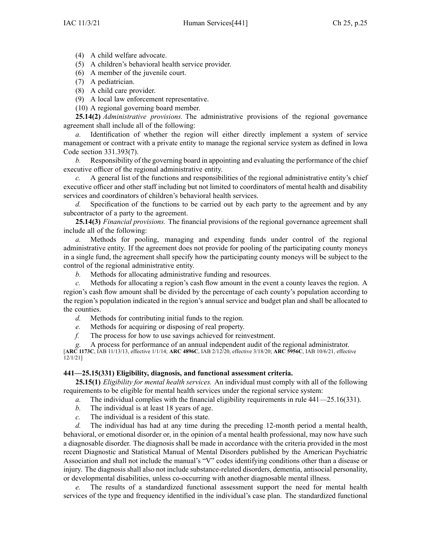(4) A child welfare advocate.

(5) A children's behavioral health service provider.

(6) A member of the juvenile court.

(7) A pediatrician.

(8) A child care provider.

(9) A local law enforcement representative.

(10) A regional governing board member.

**25.14(2)** *Administrative provisions.* The administrative provisions of the regional governance agreemen<sup>t</sup> shall include all of the following:

*a.* Identification of whether the region will either directly implement <sup>a</sup> system of service managemen<sup>t</sup> or contract with <sup>a</sup> private entity to manage the regional service system as defined in Iowa Code section [331.393\(7\)](https://www.legis.iowa.gov/docs/ico/section/331.393.pdf).

*b.* Responsibility of the governing board in appointing and evaluating the performance of the chief executive officer of the regional administrative entity.

*c.* A general list of the functions and responsibilities of the regional administrative entity's chief executive officer and other staff including but not limited to coordinators of mental health and disability services and coordinators of children's behavioral health services.

*d.* Specification of the functions to be carried out by each party to the agreemen<sup>t</sup> and by any subcontractor of <sup>a</sup> party to the agreement.

**25.14(3)** *Financial provisions.* The financial provisions of the regional governance agreemen<sup>t</sup> shall include all of the following:

*a.* Methods for pooling, managing and expending funds under control of the regional administrative entity. If the agreemen<sup>t</sup> does not provide for pooling of the participating county moneys in <sup>a</sup> single fund, the agreemen<sup>t</sup> shall specify how the participating county moneys will be subject to the control of the regional administrative entity.

*b.* Methods for allocating administrative funding and resources.

*c.* Methods for allocating <sup>a</sup> region's cash flow amount in the event <sup>a</sup> county leaves the region. A region's cash flow amount shall be divided by the percentage of each county's population according to the region's population indicated in the region's annual service and budget plan and shall be allocated to the counties.

*d.* Methods for contributing initial funds to the region.

*e.* Methods for acquiring or disposing of real property.

*f.* The process for how to use savings achieved for reinvestment.

A process for performance of an annual independent audit of the regional administrator.

[**ARC [1173C](https://www.legis.iowa.gov/docs/aco/arc/1173C.pdf)**, IAB 11/13/13, effective 1/1/14; **ARC [4896C](https://www.legis.iowa.gov/docs/aco/arc/4896C.pdf)**, IAB 2/12/20, effective 3/18/20; **ARC [5956C](https://www.legis.iowa.gov/docs/aco/arc/5956C.pdf)**, IAB 10/6/21, effective 12/1/21]

## **441—25.15(331) Eligibility, diagnosis, and functional assessment criteria.**

**25.15(1)** *Eligibility for mental health services.* An individual must comply with all of the following requirements to be eligible for mental health services under the regional service system:

*a.* The individual complies with the financial eligibility requirements in rule [441—25.16](https://www.legis.iowa.gov/docs/iac/rule/441.25.16.pdf)(331).

- *b.* The individual is at least 18 years of age.
- *c.* The individual is <sup>a</sup> resident of this state.

*d.* The individual has had at any time during the preceding 12-month period <sup>a</sup> mental health, behavioral, or emotional disorder or, in the opinion of <sup>a</sup> mental health professional, may now have such <sup>a</sup> diagnosable disorder. The diagnosis shall be made in accordance with the criteria provided in the most recent Diagnostic and Statistical Manual of Mental Disorders published by the American Psychiatric Association and shall not include the manual's "V" codes identifying conditions other than <sup>a</sup> disease or injury. The diagnosis shall also not include substance-related disorders, dementia, antisocial personality, or developmental disabilities, unless co-occurring with another diagnosable mental illness.

*e.* The results of <sup>a</sup> standardized functional assessment suppor<sup>t</sup> the need for mental health services of the type and frequency identified in the individual's case plan. The standardized functional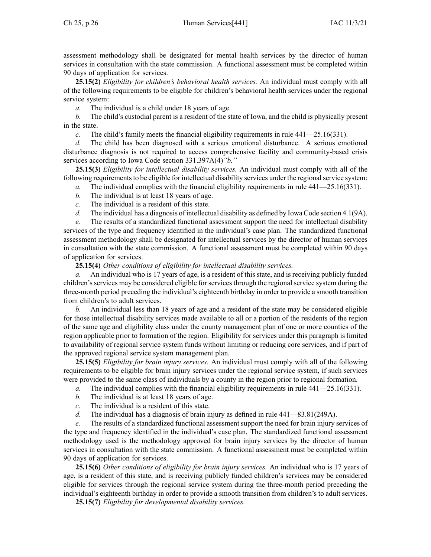assessment methodology shall be designated for mental health services by the director of human services in consultation with the state commission. A functional assessment must be completed within 90 days of application for services.

**25.15(2)** *Eligibility for children's behavioral health services.* An individual must comply with all of the following requirements to be eligible for children's behavioral health services under the regional service system:

*a.* The individual is <sup>a</sup> child under 18 years of age.

*b.* The child's custodial paren<sup>t</sup> is <sup>a</sup> resident of the state of Iowa, and the child is physically presen<sup>t</sup> in the state.

*c.* The child's family meets the financial eligibility requirements in rule [441—25.16](https://www.legis.iowa.gov/docs/iac/rule/441.25.16.pdf)(331).

*d.* The child has been diagnosed with <sup>a</sup> serious emotional disturbance. A serious emotional disturbance diagnosis is not required to access comprehensive facility and community-based crisis services according to Iowa Code section [331.397A\(4\)](https://www.legis.iowa.gov/docs/ico/section/331.397A.pdf)*"b."*

**25.15(3)** *Eligibility for intellectual disability services.* An individual must comply with all of the following requirements to be eligible for intellectual disability services under the regional service system:

- *a.* The individual complies with the financial eligibility requirements in rule [441—25.16](https://www.legis.iowa.gov/docs/iac/rule/441.25.16.pdf)(331).
- *b.* The individual is at least 18 years of age.
- *c.* The individual is <sup>a</sup> resident of this state.
- *d.* The individual has <sup>a</sup> diagnosis of intellectual disability as defined by Iowa Code section [4.1](https://www.legis.iowa.gov/docs/ico/section/4.1.pdf)(9A).

*e.* The results of <sup>a</sup> standardized functional assessment suppor<sup>t</sup> the need for intellectual disability services of the type and frequency identified in the individual's case plan. The standardized functional assessment methodology shall be designated for intellectual services by the director of human services in consultation with the state commission. A functional assessment must be completed within 90 days of application for services.

**25.15(4)** *Other conditions of eligibility for intellectual disability services.*

*a.* An individual who is 17 years of age, is <sup>a</sup> resident of this state, and is receiving publicly funded children's services may be considered eligible for services through the regional service system during the three-month period preceding the individual's eighteenth birthday in order to provide <sup>a</sup> smooth transition from children's to adult services.

*b.* An individual less than 18 years of age and <sup>a</sup> resident of the state may be considered eligible for those intellectual disability services made available to all or <sup>a</sup> portion of the residents of the region of the same age and eligibility class under the county managemen<sup>t</sup> plan of one or more counties of the region applicable prior to formation of the region. Eligibility for services under this paragraph is limited to availability of regional service system funds without limiting or reducing core services, and if par<sup>t</sup> of the approved regional service system managemen<sup>t</sup> plan.

**25.15(5)** *Eligibility for brain injury services.* An individual must comply with all of the following requirements to be eligible for brain injury services under the regional service system, if such services were provided to the same class of individuals by <sup>a</sup> county in the region prior to regional formation.

- *a.* The individual complies with the financial eligibility requirements in rule [441—25.16](https://www.legis.iowa.gov/docs/iac/rule/441.25.16.pdf)(331).
- *b.* The individual is at least 18 years of age.
- *c.* The individual is <sup>a</sup> resident of this state.
- *d.* The individual has <sup>a</sup> diagnosis of brain injury as defined in rule [441—83.81](https://www.legis.iowa.gov/docs/iac/rule/441.83.81.pdf)(249A).

*e.* The results of <sup>a</sup> standardized functional assessment suppor<sup>t</sup> the need for brain injury services of the type and frequency identified in the individual's case plan. The standardized functional assessment methodology used is the methodology approved for brain injury services by the director of human services in consultation with the state commission. A functional assessment must be completed within 90 days of application for services.

**25.15(6)** *Other conditions of eligibility for brain injury services.* An individual who is 17 years of age, is <sup>a</sup> resident of this state, and is receiving publicly funded children's services may be considered eligible for services through the regional service system during the three-month period preceding the individual's eighteenth birthday in order to provide <sup>a</sup> smooth transition from children's to adult services.

**25.15(7)** *Eligibility for developmental disability services.*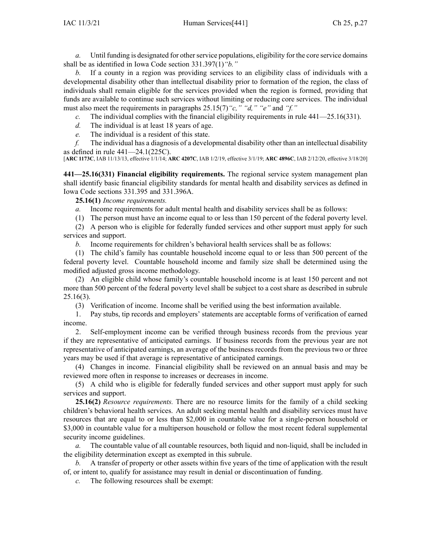*a.* Until funding is designated for other service populations, eligibility for the core service domains shall be as identified in Iowa Code section [331.397\(1\)](https://www.legis.iowa.gov/docs/ico/section/331.397.pdf)*"b."*

*b.* If <sup>a</sup> county in <sup>a</sup> region was providing services to an eligibility class of individuals with <sup>a</sup> developmental disability other than intellectual disability prior to formation of the region, the class of individuals shall remain eligible for the services provided when the region is formed, providing that funds are available to continue such services without limiting or reducing core services. The individual must also meet the requirements in paragraphs 25.15(7)*"c," "d," "e"* and *"f."*

*c.* The individual complies with the financial eligibility requirements in rule [441—25.16](https://www.legis.iowa.gov/docs/iac/rule/441.25.16.pdf)(331).

- *d.* The individual is at least 18 years of age.
- *e.* The individual is <sup>a</sup> resident of this state.

*f.* The individual has <sup>a</sup> diagnosis of <sup>a</sup> developmental disability other than an intellectual disability as defined in rule [441—24.1](https://www.legis.iowa.gov/docs/iac/rule/441.24.1.pdf)(225C).

[**ARC [1173C](https://www.legis.iowa.gov/docs/aco/arc/1173C.pdf)**, IAB 11/13/13, effective 1/1/14; **ARC [4207C](https://www.legis.iowa.gov/docs/aco/arc/4207C.pdf)**, IAB 1/2/19, effective 3/1/19; **ARC [4896C](https://www.legis.iowa.gov/docs/aco/arc/4896C.pdf)**, IAB 2/12/20, effective 3/18/20]

**441—25.16(331) Financial eligibility requirements.** The regional service system managemen<sup>t</sup> plan shall identify basic financial eligibility standards for mental health and disability services as defined in Iowa Code sections [331.395](https://www.legis.iowa.gov/docs/ico/section/331.395.pdf) and [331.396A](https://www.legis.iowa.gov/docs/ico/section/331.396A.pdf).

**25.16(1)** *Income requirements.*

*a.* Income requirements for adult mental health and disability services shall be as follows:

(1) The person must have an income equal to or less than 150 percen<sup>t</sup> of the federal poverty level. (2) A person who is eligible for federally funded services and other suppor<sup>t</sup> must apply for such

services and support.

*b.* Income requirements for children's behavioral health services shall be as follows:

(1) The child's family has countable household income equal to or less than 500 percen<sup>t</sup> of the federal poverty level. Countable household income and family size shall be determined using the modified adjusted gross income methodology.

(2) An eligible child whose family's countable household income is at least 150 percen<sup>t</sup> and not more than 500 percen<sup>t</sup> of the federal poverty level shall be subject to <sup>a</sup> cost share as described in subrule [25.16](https://www.legis.iowa.gov/docs/iac/rule/441.25.16.pdf)(3).

(3) Verification of income. Income shall be verified using the best information available.

1. Pay stubs, tip records and employers' statements are acceptable forms of verification of earned income.

2. Self-employment income can be verified through business records from the previous year if they are representative of anticipated earnings. If business records from the previous year are not representative of anticipated earnings, an average of the business records from the previous two or three years may be used if that average is representative of anticipated earnings.

(4) Changes in income. Financial eligibility shall be reviewed on an annual basis and may be reviewed more often in response to increases or decreases in income.

(5) A child who is eligible for federally funded services and other suppor<sup>t</sup> must apply for such services and support.

**25.16(2)** *Resource requirements.* There are no resource limits for the family of <sup>a</sup> child seeking children's behavioral health services. An adult seeking mental health and disability services must have resources that are equal to or less than \$2,000 in countable value for <sup>a</sup> single-person household or \$3,000 in countable value for a multiperson household or follow the most recent federal supplemental security income guidelines.

*a.* The countable value of all countable resources, both liquid and non-liquid, shall be included in the eligibility determination excep<sup>t</sup> as exempted in this subrule.

*b.* A transfer of property or other assets within five years of the time of application with the result of, or intent to, qualify for assistance may result in denial or discontinuation of funding.

*c.* The following resources shall be exempt: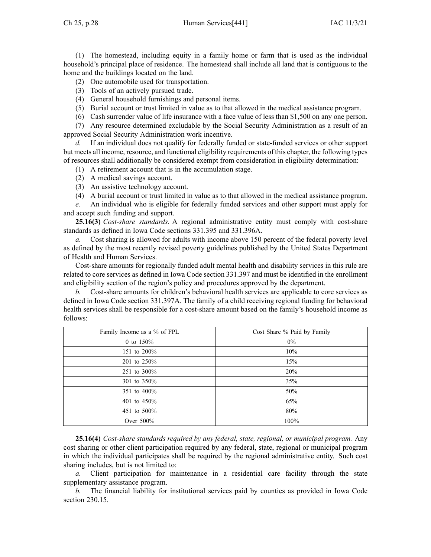$Ch 25, p.28$  Human Services $[441]$  IAC  $11/3/21$ 

(1) The homestead, including equity in <sup>a</sup> family home or farm that is used as the individual household's principal place of residence. The homestead shall include all land that is contiguous to the home and the buildings located on the land.

- (2) One automobile used for transportation.
- (3) Tools of an actively pursued trade.
- (4) General household furnishings and personal items.
- (5) Burial account or trust limited in value as to that allowed in the medical assistance program.
- (6) Cash surrender value of life insurance with <sup>a</sup> face value of less than \$1,500 on any one person.

(7) Any resource determined excludable by the Social Security Administration as <sup>a</sup> result of an approved Social Security Administration work incentive.

If an individual does not qualify for federally funded or state-funded services or other support but meets all income, resource, and functional eligibility requirements of this chapter, the following types of resources shall additionally be considered exemp<sup>t</sup> from consideration in eligibility determination:

- (1) A retirement account that is in the accumulation stage.
- (2) A medical savings account.
- (3) An assistive technology account.
- (4) A burial account or trust limited in value as to that allowed in the medical assistance program.

*e.* An individual who is eligible for federally funded services and other suppor<sup>t</sup> must apply for and accep<sup>t</sup> such funding and support.

**25.16(3)** *Cost-share standards.* A regional administrative entity must comply with cost-share standards as defined in Iowa Code sections [331.395](https://www.legis.iowa.gov/docs/ico/section/331.395.pdf) and [331.396A](https://www.legis.iowa.gov/docs/ico/section/331.396A.pdf).

*a.* Cost sharing is allowed for adults with income above 150 percen<sup>t</sup> of the federal poverty level as defined by the most recently revised poverty guidelines published by the United States Department of Health and Human Services.

Cost-share amounts for regionally funded adult mental health and disability services in this rule are related to core services as defined in Iowa Code section [331.397](https://www.legis.iowa.gov/docs/ico/section/331.397.pdf) and must be identified in the enrollment and eligibility section of the region's policy and procedures approved by the department.

*b.* Cost-share amounts for children's behavioral health services are applicable to core services as defined in Iowa Code section [331.397A](https://www.legis.iowa.gov/docs/ico/section/331.397A.pdf). The family of <sup>a</sup> child receiving regional funding for behavioral health services shall be responsible for <sup>a</sup> cost-share amount based on the family's household income as follows:

| Family Income as a % of FPL | Cost Share % Paid by Family |
|-----------------------------|-----------------------------|
| 0 to $150%$                 | $0\%$                       |
| 151 to 200%                 | 10%                         |
| 201 to 250%                 | 15%                         |
| 251 to 300%                 | 20%                         |
| 301 to 350%                 | 35%                         |
| 351 to 400%                 | 50%                         |
| 401 to 450%                 | 65%                         |
| 451 to 500%                 | 80%                         |
| Over 500%                   | 100%                        |

**25.16(4)** *Cost-share standards required by any federal, state, regional, or municipal program.* Any cost sharing or other client participation required by any federal, state, regional or municipal program in which the individual participates shall be required by the regional administrative entity. Such cost sharing includes, but is not limited to:

*a.* Client participation for maintenance in <sup>a</sup> residential care facility through the state supplementary assistance program.

*b.* The financial liability for institutional services paid by counties as provided in Iowa Code section [230.15](https://www.legis.iowa.gov/docs/ico/section/230.15.pdf).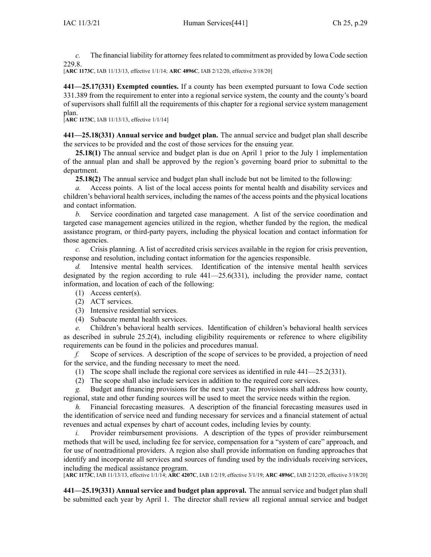*c.* The financial liability for attorney fees related to commitment as provided by Iowa Code section [229.8](https://www.legis.iowa.gov/docs/ico/section/229.8.pdf).

[**ARC [1173C](https://www.legis.iowa.gov/docs/aco/arc/1173C.pdf)**, IAB 11/13/13, effective 1/1/14; **ARC [4896C](https://www.legis.iowa.gov/docs/aco/arc/4896C.pdf)**, IAB 2/12/20, effective 3/18/20]

**441—25.17(331) Exempted counties.** If <sup>a</sup> county has been exempted pursuan<sup>t</sup> to Iowa Code section [331.389](https://www.legis.iowa.gov/docs/ico/section/331.389.pdf) from the requirement to enter into <sup>a</sup> regional service system, the county and the county's board of supervisors shall fulfill all the requirements of this chapter for <sup>a</sup> regional service system managemen<sup>t</sup> plan.

[**ARC [1173C](https://www.legis.iowa.gov/docs/aco/arc/1173C.pdf)**, IAB 11/13/13, effective 1/1/14]

**441—25.18(331) Annual service and budget plan.** The annual service and budget plan shall describe the services to be provided and the cost of those services for the ensuing year.

**25.18(1)** The annual service and budget plan is due on April 1 prior to the July 1 implementation of the annual plan and shall be approved by the region's governing board prior to submittal to the department.

**25.18(2)** The annual service and budget plan shall include but not be limited to the following:

*a.* Access points. A list of the local access points for mental health and disability services and children's behavioral health services, including the names of the access points and the physical locations and contact information.

*b.* Service coordination and targeted case management. A list of the service coordination and targeted case managemen<sup>t</sup> agencies utilized in the region, whether funded by the region, the medical assistance program, or third-party payers, including the physical location and contact information for those agencies.

*c.* Crisis planning. A list of accredited crisis services available in the region for crisis prevention, response and resolution, including contact information for the agencies responsible.

*d.* Intensive mental health services. Identification of the intensive mental health services designated by the region according to rule  $441-25.6(331)$ , including the provider name, contact information, and location of each of the following:

- (1) Access center(s).
- (2) ACT services.
- (3) Intensive residential services.
- (4) Subacute mental health services.

*e.* Children's behavioral health services. Identification of children's behavioral health services as described in subrule [25.2\(4\)](https://www.legis.iowa.gov/docs/iac/rule/441.25.2.pdf), including eligibility requirements or reference to where eligibility requirements can be found in the policies and procedures manual.

*f.* Scope of services. A description of the scope of services to be provided, <sup>a</sup> projection of need for the service, and the funding necessary to meet the need.

- (1) The scope shall include the regional core services as identified in rule [441—25.2](https://www.legis.iowa.gov/docs/iac/rule/441.25.2.pdf)(331).
- (2) The scope shall also include services in addition to the required core services.

*g.* Budget and financing provisions for the next year. The provisions shall address how county, regional, state and other funding sources will be used to meet the service needs within the region.

*h.* Financial forecasting measures. A description of the financial forecasting measures used in the identification of service need and funding necessary for services and <sup>a</sup> financial statement of actual revenues and actual expenses by chart of account codes, including levies by county.

*i.* Provider reimbursement provisions. A description of the types of provider reimbursement methods that will be used, including fee for service, compensation for <sup>a</sup> "system of care" approach, and for use of nontraditional providers. A region also shall provide information on funding approaches that identify and incorporate all services and sources of funding used by the individuals receiving services, including the medical assistance program.

[**ARC [1173C](https://www.legis.iowa.gov/docs/aco/arc/1173C.pdf)**, IAB 11/13/13, effective 1/1/14; **ARC [4207C](https://www.legis.iowa.gov/docs/aco/arc/4207C.pdf)**, IAB 1/2/19, effective 3/1/19; **ARC [4896C](https://www.legis.iowa.gov/docs/aco/arc/4896C.pdf)**, IAB 2/12/20, effective 3/18/20]

**441—25.19(331) Annual service and budget plan approval.** The annual service and budget plan shall be submitted each year by April 1. The director shall review all regional annual service and budget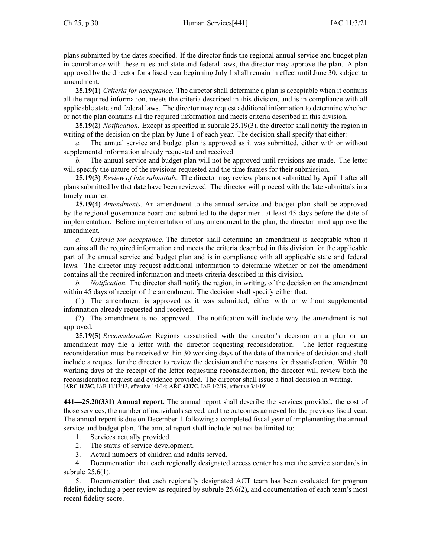plans submitted by the dates specified. If the director finds the regional annual service and budget plan in compliance with these rules and state and federal laws, the director may approve the plan. A plan approved by the director for <sup>a</sup> fiscal year beginning July 1 shall remain in effect until June 30, subject to amendment.

**25.19(1)** *Criteria for acceptance.* The director shall determine <sup>a</sup> plan is acceptable when it contains all the required information, meets the criteria described in this division, and is in compliance with all applicable state and federal laws. The director may reques<sup>t</sup> additional information to determine whether or not the plan contains all the required information and meets criteria described in this division.

**25.19(2)** *Notification.* Except as specified in subrule [25.19\(3\)](https://www.legis.iowa.gov/docs/iac/rule/441.25.19.pdf), the director shall notify the region in writing of the decision on the plan by June 1 of each year. The decision shall specify that either:

*a.* The annual service and budget plan is approved as it was submitted, either with or without supplemental information already requested and received.

*b.* The annual service and budget plan will not be approved until revisions are made. The letter will specify the nature of the revisions requested and the time frames for their submission.

**25.19(3)** *Review of late submittals.* The director may review plans not submitted by April 1 after all plans submitted by that date have been reviewed. The director will proceed with the late submittals in <sup>a</sup> timely manner.

**25.19(4)** *Amendments.* An amendment to the annual service and budget plan shall be approved by the regional governance board and submitted to the department at least 45 days before the date of implementation. Before implementation of any amendment to the plan, the director must approve the amendment.

*a. Criteria for acceptance.* The director shall determine an amendment is acceptable when it contains all the required information and meets the criteria described in this division for the applicable par<sup>t</sup> of the annual service and budget plan and is in compliance with all applicable state and federal laws. The director may reques<sup>t</sup> additional information to determine whether or not the amendment contains all the required information and meets criteria described in this division.

*b. Notification.* The director shall notify the region, in writing, of the decision on the amendment within 45 days of receipt of the amendment. The decision shall specify either that:

(1) The amendment is approved as it was submitted, either with or without supplemental information already requested and received.

(2) The amendment is not approved. The notification will include why the amendment is not approved.

**25.19(5)** *Reconsideration.* Regions dissatisfied with the director's decision on <sup>a</sup> plan or an amendment may file <sup>a</sup> letter with the director requesting reconsideration. The letter requesting reconsideration must be received within 30 working days of the date of the notice of decision and shall include <sup>a</sup> reques<sup>t</sup> for the director to review the decision and the reasons for dissatisfaction. Within 30 working days of the receipt of the letter requesting reconsideration, the director will review both the reconsideration reques<sup>t</sup> and evidence provided. The director shall issue <sup>a</sup> final decision in writing. [**ARC [1173C](https://www.legis.iowa.gov/docs/aco/arc/1173C.pdf)**, IAB 11/13/13, effective 1/1/14; **ARC [4207C](https://www.legis.iowa.gov/docs/aco/arc/4207C.pdf)**, IAB 1/2/19, effective 3/1/19]

**441—25.20(331) Annual report.** The annual repor<sup>t</sup> shall describe the services provided, the cost of those services, the number of individuals served, and the outcomes achieved for the previous fiscal year. The annual repor<sup>t</sup> is due on December 1 following <sup>a</sup> completed fiscal year of implementing the annual service and budget plan. The annual repor<sup>t</sup> shall include but not be limited to:

- 1. Services actually provided.
- 2. The status of service development.
- 3. Actual numbers of children and adults served.

4. Documentation that each regionally designated access center has met the service standards in subrule [25.6\(1\)](https://www.legis.iowa.gov/docs/iac/rule/441.25.6.pdf).

5. Documentation that each regionally designated ACT team has been evaluated for program fidelity, including <sup>a</sup> peer review as required by subrule [25.6\(2\)](https://www.legis.iowa.gov/docs/iac/rule/441.25.6.pdf), and documentation of each team's most recent fidelity score.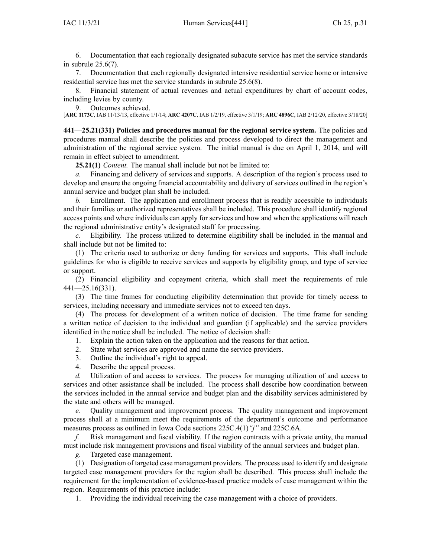6. Documentation that each regionally designated subacute service has met the service standards in subrule [25.6\(7\)](https://www.legis.iowa.gov/docs/iac/rule/441.25.6.pdf).

7. Documentation that each regionally designated intensive residential service home or intensive residential service has met the service standards in subrule [25.6\(8\)](https://www.legis.iowa.gov/docs/iac/rule/441.25.6.pdf).

8. Financial statement of actual revenues and actual expenditures by chart of account codes, including levies by county.

9. Outcomes achieved.

[**ARC [1173C](https://www.legis.iowa.gov/docs/aco/arc/1173C.pdf)**, IAB 11/13/13, effective 1/1/14; **ARC [4207C](https://www.legis.iowa.gov/docs/aco/arc/4207C.pdf)**, IAB 1/2/19, effective 3/1/19; **ARC [4896C](https://www.legis.iowa.gov/docs/aco/arc/4896C.pdf)**, IAB 2/12/20, effective 3/18/20]

**441—25.21(331) Policies and procedures manual for the regional service system.** The policies and procedures manual shall describe the policies and process developed to direct the managemen<sup>t</sup> and administration of the regional service system. The initial manual is due on April 1, 2014, and will remain in effect subject to amendment.

**25.21(1)** *Content.* The manual shall include but not be limited to:

*a.* Financing and delivery of services and supports. A description of the region's process used to develop and ensure the ongoing financial accountability and delivery of services outlined in the region's annual service and budget plan shall be included.

*b.* Enrollment. The application and enrollment process that is readily accessible to individuals and their families or authorized representatives shall be included. This procedure shall identify regional access points and where individuals can apply for services and how and when the applications will reach the regional administrative entity's designated staff for processing.

*c.* Eligibility. The process utilized to determine eligibility shall be included in the manual and shall include but not be limited to:

(1) The criteria used to authorize or deny funding for services and supports. This shall include guidelines for who is eligible to receive services and supports by eligibility group, and type of service or support.

(2) Financial eligibility and copaymen<sup>t</sup> criteria, which shall meet the requirements of rule [441—25.16](https://www.legis.iowa.gov/docs/iac/rule/441.25.16.pdf)(331).

(3) The time frames for conducting eligibility determination that provide for timely access to services, including necessary and immediate services not to exceed ten days.

(4) The process for development of <sup>a</sup> written notice of decision. The time frame for sending <sup>a</sup> written notice of decision to the individual and guardian (if applicable) and the service providers identified in the notice shall be included. The notice of decision shall:

1. Explain the action taken on the application and the reasons for that action.

- 2. State what services are approved and name the service providers.
- 3. Outline the individual's right to appeal.
- 4. Describe the appeal process.

*d.* Utilization of and access to services. The process for managing utilization of and access to services and other assistance shall be included. The process shall describe how coordination between the services included in the annual service and budget plan and the disability services administered by the state and others will be managed.

*e.* Quality managemen<sup>t</sup> and improvement process. The quality managemen<sup>t</sup> and improvement process shall at <sup>a</sup> minimum meet the requirements of the department's outcome and performance measures process as outlined in Iowa Code sections [225C.4\(1\)](https://www.legis.iowa.gov/docs/ico/section/225C.4.pdf)*"j"* and [225C.6A](https://www.legis.iowa.gov/docs/ico/section/225C.6A.pdf).

*f.* Risk managemen<sup>t</sup> and fiscal viability. If the region contracts with <sup>a</sup> private entity, the manual must include risk managemen<sup>t</sup> provisions and fiscal viability of the annual services and budget plan.

*g.* Targeted case management.

(1) Designation of targeted case managemen<sup>t</sup> providers. The process used to identify and designate targeted case managemen<sup>t</sup> providers for the region shall be described. This process shall include the requirement for the implementation of evidence-based practice models of case managemen<sup>t</sup> within the region. Requirements of this practice include:

1. Providing the individual receiving the case managemen<sup>t</sup> with <sup>a</sup> choice of providers.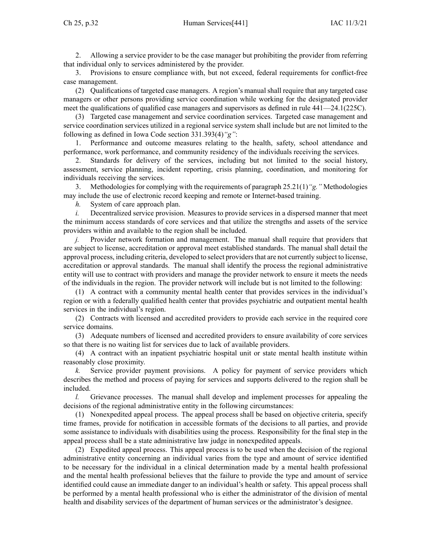2. Allowing <sup>a</sup> service provider to be the case manager but prohibiting the provider from referring that individual only to services administered by the provider.

3. Provisions to ensure compliance with, but not exceed, federal requirements for conflict-free case management.

(2) Qualifications of targeted case managers. A region's manual shall require that any targeted case managers or other persons providing service coordination while working for the designated provider meet the qualifications of qualified case managers and supervisors as defined in rule [441—24.1](https://www.legis.iowa.gov/docs/iac/rule/441.24.1.pdf)(225C).

(3) Targeted case managemen<sup>t</sup> and service coordination services. Targeted case managemen<sup>t</sup> and service coordination services utilized in <sup>a</sup> regional service system shall include but are not limited to the following as defined in Iowa Code section [331.393\(4\)](https://www.legis.iowa.gov/docs/ico/section/331.393.pdf)*"g"*:

1. Performance and outcome measures relating to the health, safety, school attendance and performance, work performance, and community residency of the individuals receiving the services.

2. Standards for delivery of the services, including but not limited to the social history, assessment, service planning, incident reporting, crisis planning, coordination, and monitoring for individuals receiving the services.

3. Methodologies for complying with the requirements of paragraph 25.21(1)*"g."* Methodologies may include the use of electronic record keeping and remote or Internet-based training.

*h.* System of care approach plan.

*i.* Decentralized service provision. Measures to provide services in a dispersed manner that meet the minimum access standards of core services and that utilize the strengths and assets of the service providers within and available to the region shall be included.

*j.* Provider network formation and management. The manual shall require that providers that are subject to license, accreditation or approval meet established standards. The manual shall detail the approval process, including criteria, developed to select providersthat are not currently subject to license, accreditation or approval standards. The manual shall identify the process the regional administrative entity will use to contract with providers and manage the provider network to ensure it meets the needs of the individuals in the region. The provider network will include but is not limited to the following:

(1) A contract with <sup>a</sup> community mental health center that provides services in the individual's region or with <sup>a</sup> federally qualified health center that provides psychiatric and outpatient mental health services in the individual's region.

(2) Contracts with licensed and accredited providers to provide each service in the required core service domains.

(3) Adequate numbers of licensed and accredited providers to ensure availability of core services so that there is no waiting list for services due to lack of available providers.

(4) A contract with an inpatient psychiatric hospital unit or state mental health institute within reasonably close proximity.

*k.* Service provider paymen<sup>t</sup> provisions. A policy for paymen<sup>t</sup> of service providers which describes the method and process of paying for services and supports delivered to the region shall be included.

*l.* Grievance processes. The manual shall develop and implement processes for appealing the decisions of the regional administrative entity in the following circumstances:

(1) Nonexpedited appeal process. The appeal process shall be based on objective criteria, specify time frames, provide for notification in accessible formats of the decisions to all parties, and provide some assistance to individuals with disabilities using the process. Responsibility for the final step in the appeal process shall be <sup>a</sup> state administrative law judge in nonexpedited appeals.

(2) Expedited appeal process. This appeal process is to be used when the decision of the regional administrative entity concerning an individual varies from the type and amount of service identified to be necessary for the individual in <sup>a</sup> clinical determination made by <sup>a</sup> mental health professional and the mental health professional believes that the failure to provide the type and amount of service identified could cause an immediate danger to an individual's health or safety. This appeal process shall be performed by <sup>a</sup> mental health professional who is either the administrator of the division of mental health and disability services of the department of human services or the administrator's designee.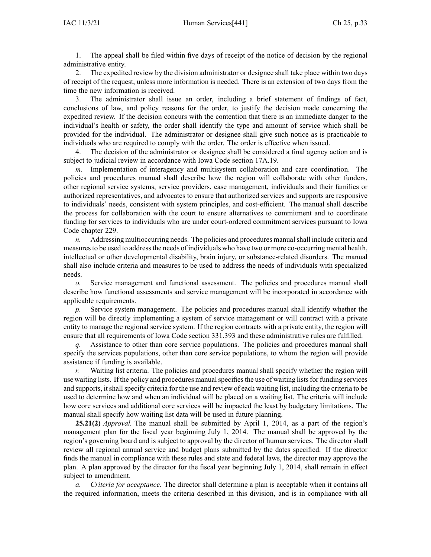1. The appeal shall be filed within five days of receipt of the notice of decision by the regional administrative entity.

2. The expedited review by the division administrator or designee shall take place within two days of receipt of the request, unless more information is needed. There is an extension of two days from the time the new information is received.

3. The administrator shall issue an order, including <sup>a</sup> brief statement of findings of fact, conclusions of law, and policy reasons for the order, to justify the decision made concerning the expedited review. If the decision concurs with the contention that there is an immediate danger to the individual's health or safety, the order shall identify the type and amount of service which shall be provided for the individual. The administrator or designee shall give such notice as is practicable to individuals who are required to comply with the order. The order is effective when issued.

4. The decision of the administrator or designee shall be considered <sup>a</sup> final agency action and is subject to judicial review in accordance with Iowa Code section [17A.19](https://www.legis.iowa.gov/docs/ico/section/17A.19.pdf).

*m.* Implementation of interagency and multisystem collaboration and care coordination. The policies and procedures manual shall describe how the region will collaborate with other funders, other regional service systems, service providers, case management, individuals and their families or authorized representatives, and advocates to ensure that authorized services and supports are responsive to individuals' needs, consistent with system principles, and cost-efficient. The manual shall describe the process for collaboration with the court to ensure alternatives to commitment and to coordinate funding for services to individuals who are under court-ordered commitment services pursuan<sup>t</sup> to Iowa Code chapter [229](https://www.legis.iowa.gov/docs/ico/chapter/229.pdf).

*n.* Addressing multioccurring needs. The policies and procedures manual shall include criteria and measures to be used to address the needs of individuals who have two or more co-occurring mental health, intellectual or other developmental disability, brain injury, or substance-related disorders. The manual shall also include criteria and measures to be used to address the needs of individuals with specialized needs.

*o.* Service managemen<sup>t</sup> and functional assessment. The policies and procedures manual shall describe how functional assessments and service managemen<sup>t</sup> will be incorporated in accordance with applicable requirements.

Service system management. The policies and procedures manual shall identify whether the region will be directly implementing <sup>a</sup> system of service managemen<sup>t</sup> or will contract with <sup>a</sup> private entity to manage the regional service system. If the region contracts with <sup>a</sup> private entity, the region will ensure that all requirements of Iowa Code section [331.393](https://www.legis.iowa.gov/docs/ico/section/331.393.pdf) and these administrative rules are fulfilled.

*q.* Assistance to other than core service populations. The policies and procedures manual shall specify the services populations, other than core service populations, to whom the region will provide assistance if funding is available.

*r.* Waiting list criteria. The policies and procedures manual shall specify whether the region will use waiting lists. If the policy and procedures manual specifies the use of waiting lists for funding services and supports, it shall specify criteria for the use and review of each waiting list, including the criteria to be used to determine how and when an individual will be placed on <sup>a</sup> waiting list. The criteria will include how core services and additional core services will be impacted the least by budgetary limitations. The manual shall specify how waiting list data will be used in future planning.

**25.21(2)** *Approval.* The manual shall be submitted by April 1, 2014, as <sup>a</sup> par<sup>t</sup> of the region's managemen<sup>t</sup> plan for the fiscal year beginning July 1, 2014. The manual shall be approved by the region's governing board and is subject to approval by the director of human services. The director shall review all regional annual service and budget plans submitted by the dates specified. If the director finds the manual in compliance with these rules and state and federal laws, the director may approve the plan. A plan approved by the director for the fiscal year beginning July 1, 2014, shall remain in effect subject to amendment.

*a. Criteria for acceptance.* The director shall determine <sup>a</sup> plan is acceptable when it contains all the required information, meets the criteria described in this division, and is in compliance with all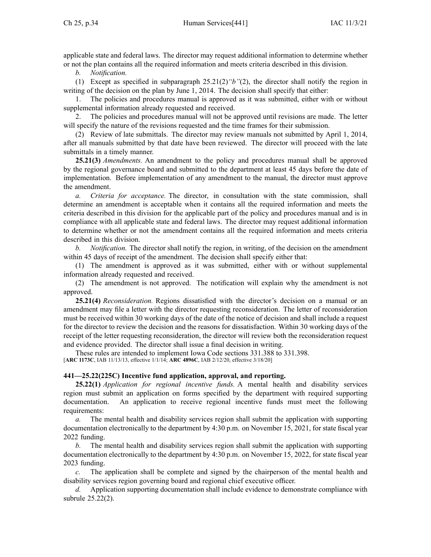applicable state and federal laws. The director may reques<sup>t</sup> additional information to determine whether or not the plan contains all the required information and meets criteria described in this division.

*b. Notification.*

(1) Except as specified in subparagraph [25.21\(2\)](https://www.legis.iowa.gov/docs/iac/rule/441.25.21.pdf)*"b"*(2), the director shall notify the region in writing of the decision on the plan by June 1, 2014. The decision shall specify that either:

1. The policies and procedures manual is approved as it was submitted, either with or without supplemental information already requested and received.

2. The policies and procedures manual will not be approved until revisions are made. The letter will specify the nature of the revisions requested and the time frames for their submission.

(2) Review of late submittals. The director may review manuals not submitted by April 1, 2014, after all manuals submitted by that date have been reviewed. The director will proceed with the late submittals in <sup>a</sup> timely manner.

**25.21(3)** *Amendments.* An amendment to the policy and procedures manual shall be approved by the regional governance board and submitted to the department at least 45 days before the date of implementation. Before implementation of any amendment to the manual, the director must approve the amendment.

*a. Criteria for acceptance.* The director, in consultation with the state commission, shall determine an amendment is acceptable when it contains all the required information and meets the criteria described in this division for the applicable par<sup>t</sup> of the policy and procedures manual and is in compliance with all applicable state and federal laws. The director may reques<sup>t</sup> additional information to determine whether or not the amendment contains all the required information and meets criteria described in this division.

*b. Notification.* The director shall notify the region, in writing, of the decision on the amendment within 45 days of receipt of the amendment. The decision shall specify either that:

(1) The amendment is approved as it was submitted, either with or without supplemental information already requested and received.

(2) The amendment is not approved. The notification will explain why the amendment is not approved.

**25.21(4)** *Reconsideration.* Regions dissatisfied with the director's decision on <sup>a</sup> manual or an amendment may file <sup>a</sup> letter with the director requesting reconsideration. The letter of reconsideration must be received within 30 working days of the date of the notice of decision and shall include <sup>a</sup> reques<sup>t</sup> for the director to review the decision and the reasons for dissatisfaction. Within 30 working days of the receipt of the letter requesting reconsideration, the director will review both the reconsideration reques<sup>t</sup> and evidence provided. The director shall issue <sup>a</sup> final decision in writing.

These rules are intended to implement Iowa Code sections [331.388](https://www.legis.iowa.gov/docs/ico/section/331.388-398.pdf) to [331.398](https://www.legis.iowa.gov/docs/iac/rule/441.331.398.pdf). [**ARC [1173C](https://www.legis.iowa.gov/docs/aco/arc/1173C.pdf)**, IAB 11/13/13, effective 1/1/14; **ARC [4896C](https://www.legis.iowa.gov/docs/aco/arc/4896C.pdf)**, IAB 2/12/20, effective 3/18/20]

# **441—25.22(225C) Incentive fund application, approval, and reporting.**

**25.22(1)** *Application for regional incentive funds.* A mental health and disability services region must submit an application on forms specified by the department with required supporting documentation. An application to receive regional incentive funds must meet the following requirements:

*a.* The mental health and disability services region shall submit the application with supporting documentation electronically to the department by 4:30 p.m. on November 15, 2021, for state fiscal year 2022 funding.

*b.* The mental health and disability services region shall submit the application with supporting documentation electronically to the department by 4:30 p.m. on November 15, 2022, for state fiscal year 2023 funding.

*c.* The application shall be complete and signed by the chairperson of the mental health and disability services region governing board and regional chief executive officer.

*d.* Application supporting documentation shall include evidence to demonstrate compliance with subrule [25.22\(2\)](https://www.legis.iowa.gov/docs/iac/rule/441.25.22.pdf).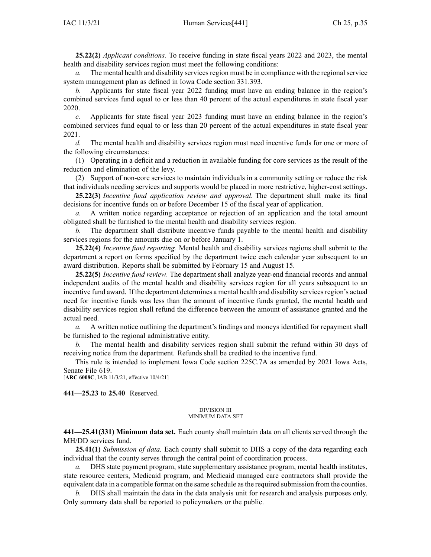**25.22(2)** *Applicant conditions.* To receive funding in state fiscal years 2022 and 2023, the mental health and disability services region must meet the following conditions:

The mental health and disability services region must be in compliance with the regional service system managemen<sup>t</sup> plan as defined in Iowa Code section [331.393](https://www.legis.iowa.gov/docs/ico/section/331.393.pdf).

*b.* Applicants for state fiscal year 2022 funding must have an ending balance in the region's combined services fund equal to or less than 40 percen<sup>t</sup> of the actual expenditures in state fiscal year 2020.

*c.* Applicants for state fiscal year 2023 funding must have an ending balance in the region's combined services fund equal to or less than 20 percen<sup>t</sup> of the actual expenditures in state fiscal year 2021.

*d.* The mental health and disability services region must need incentive funds for one or more of the following circumstances:

(1) Operating in <sup>a</sup> deficit and <sup>a</sup> reduction in available funding for core services as the result of the reduction and elimination of the levy.

(2) Support of non-core services to maintain individuals in <sup>a</sup> community setting or reduce the risk that individuals needing services and supports would be placed in more restrictive, higher-cost settings.

**25.22(3)** *Incentive fund application review and approval.* The department shall make its final decisions for incentive funds on or before December 15 of the fiscal year of application.

*a.* A written notice regarding acceptance or rejection of an application and the total amount obligated shall be furnished to the mental health and disability services region.

*b.* The department shall distribute incentive funds payable to the mental health and disability services regions for the amounts due on or before January 1.

**25.22(4)** *Incentive fund reporting.* Mental health and disability services regions shall submit to the department <sup>a</sup> repor<sup>t</sup> on forms specified by the department twice each calendar year subsequent to an award distribution. Reports shall be submitted by February 15 and August 15.

**25.22(5)** *Incentive fund review.* The department shall analyze year-end financial records and annual independent audits of the mental health and disability services region for all years subsequent to an incentive fund award. If the department determines a mental health and disability services region's actual need for incentive funds was less than the amount of incentive funds granted, the mental health and disability services region shall refund the difference between the amount of assistance granted and the actual need.

*a.* A written notice outlining the department's findings and moneys identified for repaymen<sup>t</sup> shall be furnished to the regional administrative entity.

*b.* The mental health and disability services region shall submit the refund within 30 days of receiving notice from the department. Refunds shall be credited to the incentive fund.

This rule is intended to implement Iowa Code section [225C.7A](https://www.legis.iowa.gov/docs/ico/section/225C.7A.pdf) as amended by 2021 Iowa Acts, Senate File 619.

[**ARC [6008C](https://www.legis.iowa.gov/docs/aco/arc/6008C.pdf)**, IAB 11/3/21, effective 10/4/21]

**441—25.23** to **25.40** Reserved.

#### DIVISION III MINIMUM DATA SET

**441—25.41(331) Minimum data set.** Each county shall maintain data on all clients served through the MH/DD services fund.

**25.41(1)** *Submission of data.* Each county shall submit to DHS <sup>a</sup> copy of the data regarding each individual that the county serves through the central point of coordination process.

DHS state payment program, state supplementary assistance program, mental health institutes, state resource centers, Medicaid program, and Medicaid managed care contractors shall provide the equivalent data in <sup>a</sup> compatible format on the same schedule asthe required submission from the counties.

*b.* DHS shall maintain the data in the data analysis unit for research and analysis purposes only. Only summary data shall be reported to policymakers or the public.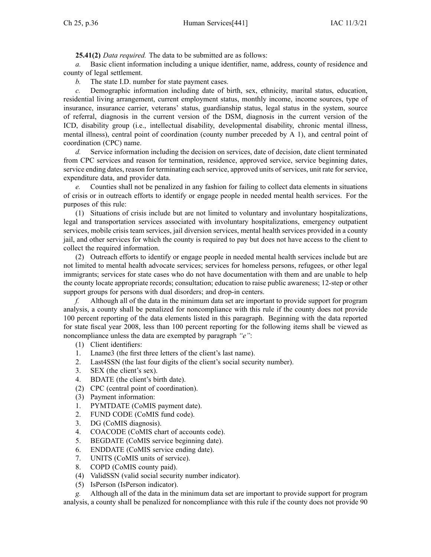**25.41(2)** *Data required.* The data to be submitted are as follows:

*a.* Basic client information including <sup>a</sup> unique identifier, name, address, county of residence and county of legal settlement.

*b.* The state I.D. number for state paymen<sup>t</sup> cases.

*c.* Demographic information including date of birth, sex, ethnicity, marital status, education, residential living arrangement, current employment status, monthly income, income sources, type of insurance, insurance carrier, veterans' status, guardianship status, legal status in the system, source of referral, diagnosis in the current version of the DSM, diagnosis in the current version of the ICD, disability group (i.e., intellectual disability, developmental disability, chronic mental illness, mental illness), central point of coordination (county number preceded by A 1), and central point of coordination (CPC) name.

*d.* Service information including the decision on services, date of decision, date client terminated from CPC services and reason for termination, residence, approved service, service beginning dates, service ending dates, reason for terminating each service, approved units of services, unit rate for service, expenditure data, and provider data.

*e.* Counties shall not be penalized in any fashion for failing to collect data elements in situations of crisis or in outreach efforts to identify or engage people in needed mental health services. For the purposes of this rule:

(1) Situations of crisis include but are not limited to voluntary and involuntary hospitalizations, legal and transportation services associated with involuntary hospitalizations, emergency outpatient services, mobile crisis team services, jail diversion services, mental health services provided in <sup>a</sup> county jail, and other services for which the county is required to pay but does not have access to the client to collect the required information.

(2) Outreach efforts to identify or engage people in needed mental health services include but are not limited to mental health advocate services; services for homeless persons, refugees, or other legal immigrants; services for state cases who do not have documentation with them and are unable to help the county locate appropriate records; consultation; education to raise public awareness; 12-step or other suppor<sup>t</sup> groups for persons with dual disorders; and drop-in centers.

*f.* Although all of the data in the minimum data set are important to provide suppor<sup>t</sup> for program analysis, <sup>a</sup> county shall be penalized for noncompliance with this rule if the county does not provide 100 percen<sup>t</sup> reporting of the data elements listed in this paragraph. Beginning with the data reported for state fiscal year 2008, less than 100 percen<sup>t</sup> reporting for the following items shall be viewed as noncompliance unless the data are exempted by paragraph *"e"*:

- (1) Client identifiers:
- 1. Lname3 (the first three letters of the client's last name).
- 2. Last4SSN (the last four digits of the client's social security number).
- 3. SEX (the client's sex).
- 4. BDATE (the client's birth date).
- (2) CPC (central point of coordination).
- (3) Payment information:
- 1. PYMTDATE (CoMIS paymen<sup>t</sup> date).
- 2. FUND CODE (CoMIS fund code).
- 3. DG (CoMIS diagnosis).
- 4. COACODE (CoMIS chart of accounts code).
- 5. BEGDATE (CoMIS service beginning date).
- 6. ENDDATE (CoMIS service ending date).
- 7. UNITS (CoMIS units of service).
- 8. COPD (CoMIS county paid).
- (4) ValidSSN (valid social security number indicator).
- (5) IsPerson (IsPerson indicator).

*g.* Although all of the data in the minimum data set are important to provide suppor<sup>t</sup> for program analysis, <sup>a</sup> county shall be penalized for noncompliance with this rule if the county does not provide 90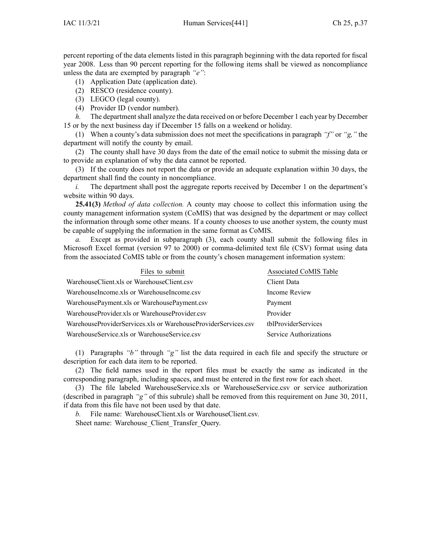percen<sup>t</sup> reporting of the data elements listed in this paragraph beginning with the data reported for fiscal year 2008. Less than 90 percen<sup>t</sup> reporting for the following items shall be viewed as noncompliance unless the data are exempted by paragraph *"e"*:

- (1) Application Date (application date).
- (2) RESCO (residence county).
- (3) LEGCO (legal county).
- (4) Provider ID (vendor number).

*h.* The department shall analyze the data received on or before December 1 each year by December 15 or by the next business day if December 15 falls on <sup>a</sup> weekend or holiday.

(1) When <sup>a</sup> county's data submission does not meet the specifications in paragraph *"f"* or *"g,"* the department will notify the county by email.

(2) The county shall have 30 days from the date of the email notice to submit the missing data or to provide an explanation of why the data cannot be reported.

(3) If the county does not repor<sup>t</sup> the data or provide an adequate explanation within 30 days, the department shall find the county in noncompliance.

*i.* The department shall post the aggregate reports received by December 1 on the department's website within 90 days.

**25.41(3)** *Method of data collection.* A county may choose to collect this information using the county managemen<sup>t</sup> information system (CoMIS) that was designed by the department or may collect the information through some other means. If <sup>a</sup> county chooses to use another system, the county must be capable of supplying the information in the same format as CoMIS.

*a.* Except as provided in subparagraph (3), each county shall submit the following files in Microsoft Excel format (version 97 to 2000) or comma-delimited text file (CSV) format using data from the associated CoMIS table or from the county's chosen managemen<sup>t</sup> information system:

| Files to submit                                                | Associated CoMIS Table |
|----------------------------------------------------------------|------------------------|
| WarehouseClient.xls or WarehouseClient.csv                     | Client Data            |
| WarehouseIncome.xls or WarehouseIncome.csv                     | Income Review          |
| WarehousePayment.xls or WarehousePayment.csv                   | Payment                |
| WarehouseProvider.xls or WarehouseProvider.csv                 | Provider               |
| WarehouseProviderServices.xls or WarehouseProviderServices.csv | thlProviderServices    |
| WarehouseService.xls or WarehouseService.csv                   | Service Authorizations |

(1) Paragraphs *"b"* through *"g"* list the data required in each file and specify the structure or description for each data item to be reported.

(2) The field names used in the repor<sup>t</sup> files must be exactly the same as indicated in the corresponding paragraph, including spaces, and must be entered in the first row for each sheet.

(3) The file labeled WarehouseService.xls or WarehouseService.csv or service authorization (described in paragraph *"g"* of this subrule) shall be removed from this requirement on June 30, 2011, if data from this file have not been used by that date.

*b.* File name: WarehouseClient.xls or WarehouseClient.csv.

Sheet name: Warehouse Client Transfer Query.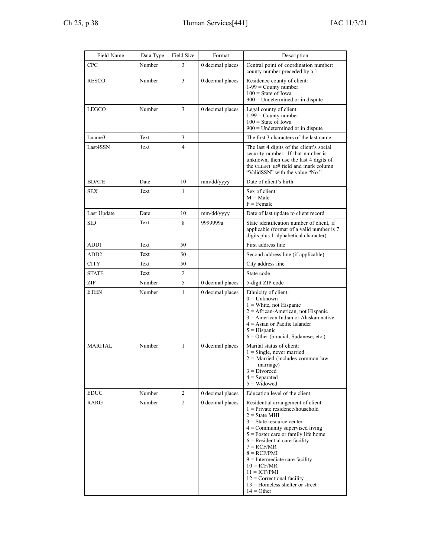| Field Name                   | Data Type | Field Size     | Format           | Description                                                                                                                                                                                                                                                                                                                                                                                                                             |
|------------------------------|-----------|----------------|------------------|-----------------------------------------------------------------------------------------------------------------------------------------------------------------------------------------------------------------------------------------------------------------------------------------------------------------------------------------------------------------------------------------------------------------------------------------|
| <b>CPC</b>                   | Number    | 3              | 0 decimal places | Central point of coordination number:<br>county number preceded by a 1                                                                                                                                                                                                                                                                                                                                                                  |
| <b>RESCO</b>                 | Number    | 3              | 0 decimal places | Residence county of client:<br>$1-99$ = County number<br>$100 =$ State of Iowa<br>$900$ = Undetermined or in dispute                                                                                                                                                                                                                                                                                                                    |
| <b>LEGCO</b>                 | Number    | 3              | 0 decimal places | Legal county of client:<br>$1-99$ = County number<br>$100$ = State of Iowa<br>$900$ = Undetermined or in dispute                                                                                                                                                                                                                                                                                                                        |
| Lname3                       | Text      | 3              |                  | The first 3 characters of the last name                                                                                                                                                                                                                                                                                                                                                                                                 |
| Last4SSN                     | Text      | 4              |                  | The last 4 digits of the client's social<br>security number. If that number is<br>unknown, then use the last 4 digits of<br>the CLIENT ID# field and mark column<br>"ValidSSN" with the value "No."                                                                                                                                                                                                                                     |
| <b>BDATE</b>                 | Date      | 10             | mm/dd/yyyy       | Date of client's birth                                                                                                                                                                                                                                                                                                                                                                                                                  |
| <b>SEX</b>                   | Text      | 1              |                  | Sex of client:<br>$M = Male$<br>$F =$ Female                                                                                                                                                                                                                                                                                                                                                                                            |
| Last Update                  | Date      | 10             | mm/dd/yyyy       | Date of last update to client record                                                                                                                                                                                                                                                                                                                                                                                                    |
| <b>SID</b>                   | Text      | 8              | 9999999a         | State identification number of client, if<br>applicable (format of a valid number is 7<br>digits plus 1 alphabetical character).                                                                                                                                                                                                                                                                                                        |
| ADD1                         | Text      | 50             |                  | First address line                                                                                                                                                                                                                                                                                                                                                                                                                      |
| ADD2                         | Text      | 50             |                  | Second address line (if applicable)                                                                                                                                                                                                                                                                                                                                                                                                     |
| <b>CITY</b>                  | Text      | 50             |                  | City address line                                                                                                                                                                                                                                                                                                                                                                                                                       |
| <b>STATE</b>                 | Text      | 2              |                  | State code                                                                                                                                                                                                                                                                                                                                                                                                                              |
| ZIP                          | Number    | 5              | 0 decimal places | 5-digit ZIP code                                                                                                                                                                                                                                                                                                                                                                                                                        |
| <b>ETHN</b>                  | Number    | 1              | 0 decimal places | Ethnicity of client:<br>$0 =$ Unknown<br>$1$ = White, not Hispanic<br>$2 =$ African-American, not Hispanic<br>$3 =$ American Indian or Alaskan native<br>$4 =$ Asian or Pacific Islander<br>$5 =$ Hispanic<br>$6 =$ Other (biracial; Sudanese; etc.)                                                                                                                                                                                    |
| <b>MARITAL</b>               | Number    | $\mathbf{1}$   | 0 decimal places | Marital status of client:<br>$1 =$ Single, never married<br>$2$ = Married (includes common-law<br>marriage)<br>$3 = Divorced$<br>$4 =$ Separated<br>$5 =$ Widowed                                                                                                                                                                                                                                                                       |
| $\mathop{\rm EDUC}\nolimits$ | Number    | 2              | 0 decimal places | Education level of the client                                                                                                                                                                                                                                                                                                                                                                                                           |
| RARG                         | Number    | $\overline{c}$ | 0 decimal places | Residential arrangement of client:<br>$1 =$ Private residence/household<br>$2 =$ State MHI<br>$3$ = State resource center<br>$4 =$ Community supervised living<br>$5 =$ Foster care or family life home<br>$6$ = Residential care facility<br>$7 = RCF/MR$<br>$8 = RCF/PMI$<br>$9$ = Intermediate care facility<br>$10 = ICF/MR$<br>$11 = ICF/PMI$<br>$12$ = Correctional facility<br>$13$ = Homeless shelter or street<br>$14 = Other$ |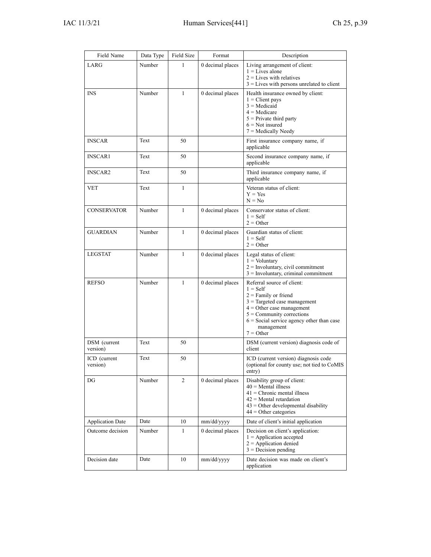| Field Name               | Data Type | Field Size     | Format           | Description                                                                                                                                                                                                                                    |
|--------------------------|-----------|----------------|------------------|------------------------------------------------------------------------------------------------------------------------------------------------------------------------------------------------------------------------------------------------|
| LARG                     | Number    | 1              | 0 decimal places | Living arrangement of client:<br>$1 =$ Lives alone<br>$2 =$ Lives with relatives<br>$3$ = Lives with persons unrelated to client                                                                                                               |
| <b>INS</b>               | Number    | 1              | 0 decimal places | Health insurance owned by client:<br>$1$ = Client pays<br>$3$ = Medicaid<br>$4$ = Medicare<br>$5$ = Private third party<br>$6 = Not$ insured<br>$7 =$ Medically Needy                                                                          |
| <b>INSCAR</b>            | Text      | 50             |                  | First insurance company name, if<br>applicable                                                                                                                                                                                                 |
| <b>INSCAR1</b>           | Text      | 50             |                  | Second insurance company name, if<br>applicable                                                                                                                                                                                                |
| <b>INSCAR2</b>           | Text      | 50             |                  | Third insurance company name, if<br>applicable                                                                                                                                                                                                 |
| <b>VET</b>               | Text      | $\mathbf{1}$   |                  | Veteran status of client:<br>$Y = Yes$<br>$N = No$                                                                                                                                                                                             |
| <b>CONSERVATOR</b>       | Number    | $\mathbf{1}$   | 0 decimal places | Conservator status of client:<br>$1 = Self$<br>$2 =$ Other                                                                                                                                                                                     |
| <b>GUARDIAN</b>          | Number    | 1              | 0 decimal places | Guardian status of client:<br>$1 =$ Self<br>$2 =$ Other                                                                                                                                                                                        |
| <b>LEGSTAT</b>           | Number    | $\mathbf{1}$   | 0 decimal places | Legal status of client:<br>$1 =$ Voluntary<br>$2 =$ Involuntary, civil commitment<br>$3 =$ Involuntary, criminal commitment                                                                                                                    |
| <b>REFSO</b>             | Number    | $\mathbf{1}$   | 0 decimal places | Referral source of client:<br>$1 = Self$<br>$2$ = Family or friend<br>$3$ = Targeted case management<br>$4 =$ Other case management<br>$5 =$ Community corrections<br>$6$ = Social service agency other than case<br>management<br>$7 =$ Other |
| DSM (current<br>version) | Text      | 50             |                  | DSM (current version) diagnosis code of<br>client                                                                                                                                                                                              |
| ICD (current<br>version) | Text      | 50             |                  | ICD (current version) diagnosis code<br>(optional for county use; not tied to CoMIS<br>entry)                                                                                                                                                  |
| DG                       | Number    | $\overline{2}$ | 0 decimal places | Disability group of client:<br>$40$ = Mental illness<br>$41$ = Chronic mental illness<br>$42$ = Mental retardation<br>$43$ = Other developmental disability<br>$44 =$ Other categories                                                         |
| <b>Application Date</b>  | Date      | 10             | mm/dd/yyyy       | Date of client's initial application                                                                                                                                                                                                           |
| Outcome decision         | Number    | 1              | 0 decimal places | Decision on client's application:<br>$1 =$ Application accepted<br>$2$ = Application denied<br>$3$ = Decision pending                                                                                                                          |
| Decision date            | Date      | 10             | mm/dd/yyyy       | Date decision was made on client's<br>application                                                                                                                                                                                              |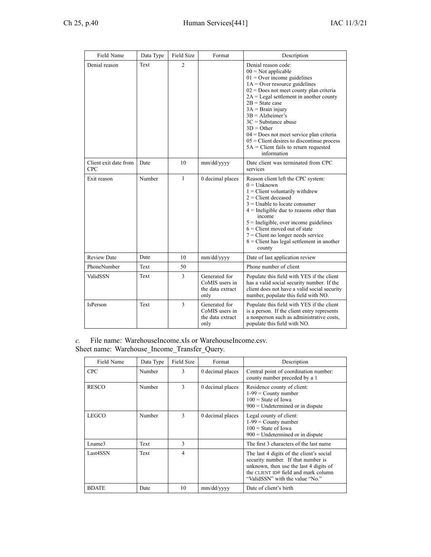| Field Name                          | Data Type | Field Size   | Format                                                      | Description                                                                                                                                                                                                                                                                                                                                                                                                                                                                    |
|-------------------------------------|-----------|--------------|-------------------------------------------------------------|--------------------------------------------------------------------------------------------------------------------------------------------------------------------------------------------------------------------------------------------------------------------------------------------------------------------------------------------------------------------------------------------------------------------------------------------------------------------------------|
| Denial reason                       | Text      | 2            |                                                             | Denial reason code:<br>$00 = Not applicable$<br>$01 =$ Over income guidelines<br>$1A =$ Over resource guidelines<br>$02$ = Does not meet county plan criteria<br>$2A =$ Legal settlement in another county<br>$2B = State case$<br>$3A = Brain$ injury<br>$3B =$ Alzheimer's<br>$3C =$ Substance abuse<br>$3D = Other$<br>$04 =$ Does not meet service plan criteria<br>$05$ = Client desires to discontinue process<br>$5A =$ Client fails to return requested<br>information |
| Client exit date from<br><b>CPC</b> | Date      | 10           | mm/dd/yyyy                                                  | Date client was terminated from CPC<br>services                                                                                                                                                                                                                                                                                                                                                                                                                                |
| Exit reason                         | Number    | $\mathbf{1}$ | 0 decimal places                                            | Reason client left the CPC system:<br>$0 =$ Unknown<br>$1$ = Client voluntarily withdrew<br>$2$ = Client deceased<br>$3$ = Unable to locate consumer<br>$4$ = Ineligible due to reasons other than<br>income<br>$5$ = Ineligible, over income guidelines<br>$6$ = Client moved out of state<br>$7$ = Client no longer needs service<br>$8$ = Client has legal settlement in another<br>county                                                                                  |
| <b>Review Date</b>                  | Date      | 10           | mm/dd/yyyy                                                  | Date of last application review                                                                                                                                                                                                                                                                                                                                                                                                                                                |
| PhoneNumber                         | Text      | 50           |                                                             | Phone number of client                                                                                                                                                                                                                                                                                                                                                                                                                                                         |
| ValidSSN                            | Text      | 3            | Generated for<br>CoMIS users in<br>the data extract<br>only | Populate this field with YES if the client<br>has a valid social security number. If the<br>client does not have a valid social security<br>number, populate this field with NO.                                                                                                                                                                                                                                                                                               |
| IsPerson                            | Text      | 3            | Generated for<br>CoMIS users in<br>the data extract<br>only | Populate this field with YES if the client<br>is a person. If the client entry represents<br>a nonperson such as administrative costs,<br>populate this field with NO.                                                                                                                                                                                                                                                                                                         |

*c.* File name: WarehouseIncome.xls or WarehouseIncome.csv. Sheet name: Warehouse\_Income\_Transfer\_Query.

| Field Name   | Data Type | Field Size | Format           | Description                                                                                                                                                                                         |
|--------------|-----------|------------|------------------|-----------------------------------------------------------------------------------------------------------------------------------------------------------------------------------------------------|
| <b>CPC</b>   | Number    | 3          | 0 decimal places | Central point of coordination number:<br>county number preceded by a 1                                                                                                                              |
| <b>RESCO</b> | Number    | 3          | 0 decimal places | Residence county of client:<br>$1-99 =$ County number<br>$100 =$ State of Iowa<br>$900$ = Undetermined or in dispute                                                                                |
| LEGCO        | Number    | 3          | 0 decimal places | Legal county of client:<br>$1-99$ = County number<br>$100 =$ State of Iowa<br>$900$ = Undetermined or in dispute                                                                                    |
| Lname3       | Text      | 3          |                  | The first 3 characters of the last name                                                                                                                                                             |
| Last4SSN     | Text      | 4          |                  | The last 4 digits of the client's social<br>security number. If that number is<br>unknown, then use the last 4 digits of<br>the CLIENT ID# field and mark column<br>"ValidSSN" with the value "No." |
| <b>BDATE</b> | Date      | 10         | mm/dd/yyyy       | Date of client's birth                                                                                                                                                                              |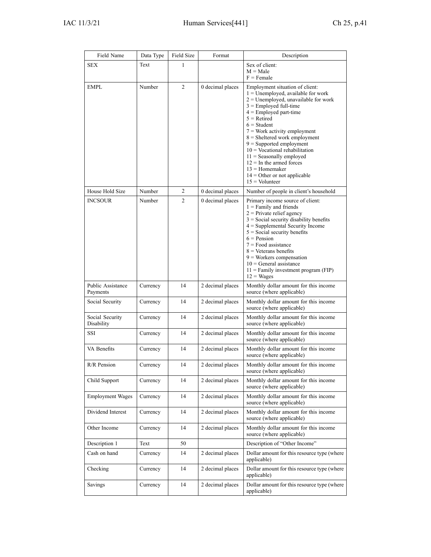| Field Name                    | Data Type | <b>Field Size</b> | Format           | Description                                                                                                                                                                                                                                                                                                                                                                                                                                                                            |
|-------------------------------|-----------|-------------------|------------------|----------------------------------------------------------------------------------------------------------------------------------------------------------------------------------------------------------------------------------------------------------------------------------------------------------------------------------------------------------------------------------------------------------------------------------------------------------------------------------------|
| <b>SEX</b>                    | Text      | 1                 |                  | Sex of client:<br>$M = Male$<br>$F =$ Female                                                                                                                                                                                                                                                                                                                                                                                                                                           |
| EMPL                          | Number    | 2                 | 0 decimal places | Employment situation of client:<br>$1 =$ Unemployed, available for work<br>$2 =$ Unemployed, unavailable for work<br>$3 =$ Employed full-time<br>$4 =$ Employed part-time<br>$5 =$ Retired<br>$6 = Student$<br>$7 = Work$ activity employment<br>8 = Sheltered work employment<br>$9$ = Supported employment<br>$10 =$ Vocational rehabilitation<br>$11 =$ Seasonally employed<br>$12 =$ In the armed forces<br>$13 =$ Homemaker<br>$14 =$ Other or not applicable<br>$15 =$ Volunteer |
| House Hold Size               | Number    | 2                 | 0 decimal places | Number of people in client's household                                                                                                                                                                                                                                                                                                                                                                                                                                                 |
| <b>INCSOUR</b>                | Number    | 2                 | 0 decimal places | Primary income source of client:<br>$1 =$ Family and friends<br>$2$ = Private relief agency<br>$3$ = Social security disability benefits<br>$4 =$ Supplemental Security Income<br>$5$ = Social security benefits<br>$6$ = Pension<br>$7 =$ Food assistance<br>$8 =$ Veterans benefits<br>$9$ = Workers compensation<br>$10 =$ General assistance<br>$11$ = Family investment program (FIP)<br>$12 = Wages$                                                                             |
| Public Assistance<br>Payments | Currency  | 14                | 2 decimal places | Monthly dollar amount for this income<br>source (where applicable)                                                                                                                                                                                                                                                                                                                                                                                                                     |
| Social Security               | Currency  | 14                | 2 decimal places | Monthly dollar amount for this income<br>source (where applicable)                                                                                                                                                                                                                                                                                                                                                                                                                     |
| Social Security<br>Disability | Currency  | 14                | 2 decimal places | Monthly dollar amount for this income<br>source (where applicable)                                                                                                                                                                                                                                                                                                                                                                                                                     |
| SSI                           | Currency  | 14                | 2 decimal places | Monthly dollar amount for this income<br>source (where applicable)                                                                                                                                                                                                                                                                                                                                                                                                                     |
| VA Benefits                   | Currency  | 14                | 2 decimal places | Monthly dollar amount for this income<br>source (where applicable)                                                                                                                                                                                                                                                                                                                                                                                                                     |
| R/R Pension                   | Currency  | 14                | 2 decimal places | Monthly dollar amount for this income<br>source (where applicable)                                                                                                                                                                                                                                                                                                                                                                                                                     |
| Child Support                 | Currency  | 14                | 2 decimal places | Monthly dollar amount for this income<br>source (where applicable)                                                                                                                                                                                                                                                                                                                                                                                                                     |
| <b>Employment Wages</b>       | Currency  | 14                | 2 decimal places | Monthly dollar amount for this income<br>source (where applicable)                                                                                                                                                                                                                                                                                                                                                                                                                     |
| Dividend Interest             | Currency  | 14                | 2 decimal places | Monthly dollar amount for this income<br>source (where applicable)                                                                                                                                                                                                                                                                                                                                                                                                                     |
| Other Income                  | Currency  | 14                | 2 decimal places | Monthly dollar amount for this income<br>source (where applicable)                                                                                                                                                                                                                                                                                                                                                                                                                     |
| Description 1                 | Text      | 50                |                  | Description of "Other Income"                                                                                                                                                                                                                                                                                                                                                                                                                                                          |
| Cash on hand                  | Currency  | 14                | 2 decimal places | Dollar amount for this resource type (where<br>applicable)                                                                                                                                                                                                                                                                                                                                                                                                                             |
| Checking                      | Currency  | 14                | 2 decimal places | Dollar amount for this resource type (where<br>applicable)                                                                                                                                                                                                                                                                                                                                                                                                                             |
| Savings                       | Currency  | 14                | 2 decimal places | Dollar amount for this resource type (where<br>applicable)                                                                                                                                                                                                                                                                                                                                                                                                                             |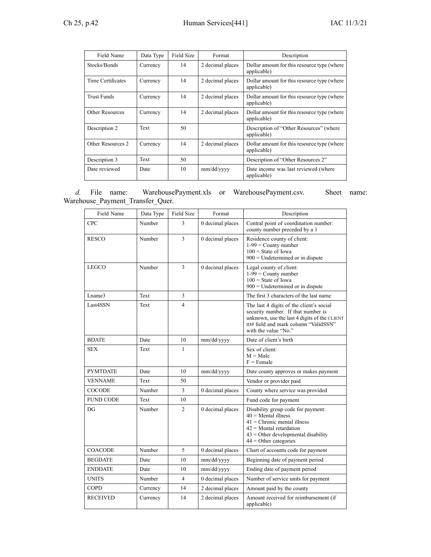| Field Name             | Data Type | Field Size | Format           | Description                                                |
|------------------------|-----------|------------|------------------|------------------------------------------------------------|
| Stocks/Bonds           | Currency  | 14         | 2 decimal places | Dollar amount for this resource type (where<br>applicable) |
| Time Certificates      | Currency  | 14         | 2 decimal places | Dollar amount for this resource type (where<br>applicable) |
| <b>Trust Funds</b>     | Currency  | 14         | 2 decimal places | Dollar amount for this resource type (where<br>applicable) |
| <b>Other Resources</b> | Currency  | 14         | 2 decimal places | Dollar amount for this resource type (where<br>applicable) |
| Description 2          | Text      | 50         |                  | Description of "Other Resources" (where<br>applicable)     |
| Other Resources 2      | Currency  | 14         | 2 decimal places | Dollar amount for this resource type (where<br>applicable) |
| Description 3          | Text      | 50         |                  | Description of "Other Resources 2"                         |
| Date reviewed          | Date      | 10         | mm/dd/yyyy       | Date income was last reviewed (where<br>applicable)        |

*d.* File name: WarehousePayment.xls or WarehousePayment.csv. Sheet name: Warehouse\_Payment\_Transfer\_Quer.

| Field Name       | Data Type | <b>Field Size</b> | Format           | Description                                                                                                                                                                                    |
|------------------|-----------|-------------------|------------------|------------------------------------------------------------------------------------------------------------------------------------------------------------------------------------------------|
| <b>CPC</b>       | Number    | 3                 | 0 decimal places | Central point of coordination number:<br>county number preceded by a 1                                                                                                                         |
| <b>RESCO</b>     | Number    | $\overline{3}$    | 0 decimal places | Residence county of client:<br>$1-99$ = County number<br>$100 =$ State of Iowa<br>$900$ = Undetermined or in dispute                                                                           |
| <b>LEGCO</b>     | Number    | 3                 | 0 decimal places | Legal county of client:<br>$1-99$ = County number<br>$100 =$ State of Iowa<br>$900$ = Undetermined or in dispute                                                                               |
| Lname3           | Text      | 3                 |                  | The first 3 characters of the last name                                                                                                                                                        |
| Last4SSN         | Text      | 4                 |                  | The last 4 digits of the client's social<br>security number. If that number is<br>unknown, use the last 4 digits of the CLIENT<br>ID# field and mark column "ValidSSN"<br>with the value "No." |
| <b>BDATE</b>     | Date      | 10                | mm/dd/yyyy       | Date of client's birth                                                                                                                                                                         |
| <b>SEX</b>       | Text      | $\mathbf{1}$      |                  | Sex of client:<br>$M = Male$<br>$F =$ Female                                                                                                                                                   |
| <b>PYMTDATE</b>  | Date      | 10                | mm/dd/yyyy       | Date county approves or makes payment                                                                                                                                                          |
| <b>VENNAME</b>   | Text      | 50                |                  | Vendor or provider paid                                                                                                                                                                        |
| <b>COCODE</b>    | Number    | 3                 | 0 decimal places | County where service was provided                                                                                                                                                              |
| <b>FUND CODE</b> | Text      | 10                |                  | Fund code for payment                                                                                                                                                                          |
| DG               | Number    | $\overline{2}$    | 0 decimal places | Disability group code for payment:<br>$40$ = Mental illness<br>$41$ = Chronic mental illness<br>$42$ = Mental retardation<br>$43 =$ Other developmental disability<br>$44 =$ Other categories  |
| <b>COACODE</b>   | Number    | 5                 | 0 decimal places | Chart of accounts code for payment                                                                                                                                                             |
| <b>BEGDATE</b>   | Date      | 10                | mm/dd/yyyy       | Beginning date of payment period                                                                                                                                                               |
| <b>ENDDATE</b>   | Date      | 10                | mm/dd/yyyy       | Ending date of payment period                                                                                                                                                                  |
| <b>UNITS</b>     | Number    | 4                 | 0 decimal places | Number of service units for payment                                                                                                                                                            |
| <b>COPD</b>      | Currency  | 14                | 2 decimal places | Amount paid by the county                                                                                                                                                                      |
| <b>RECEIVED</b>  | Currency  | 14                | 2 decimal places | Amount received for reimbursement (if<br>applicable)                                                                                                                                           |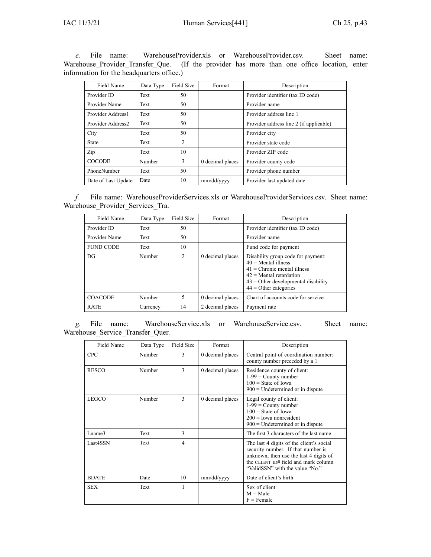*e.* File name: WarehouseProvider.xls or WarehouseProvider.csv. Sheet name: Warehouse\_Provider\_Transfer\_Que. (If the provider has more than one office location, enter information for the headquarters office.)

| Field Name          | Data Type | Field Size     | Format           | Description                             |
|---------------------|-----------|----------------|------------------|-----------------------------------------|
| Provider ID         | Text      | 50             |                  | Provider identifier (tax ID code)       |
| Provider Name       | Text      | 50             |                  | Provider name                           |
| Provider Address1   | Text      | 50             |                  | Provider address line 1                 |
| Provider Address2   | Text      | 50             |                  | Provider address line 2 (if applicable) |
| City                | Text      | 50             |                  | Provider city                           |
| State               | Text      | $\overline{2}$ |                  | Provider state code                     |
| Zip                 | Text      | 10             |                  | Provider ZIP code                       |
| <b>COCODE</b>       | Number    | 3              | 0 decimal places | Provider county code                    |
| PhoneNumber         | Text      | 50             |                  | Provider phone number                   |
| Date of Last Update | Date      | 10             | mm/dd/yyyy       | Provider last updated date              |

*f.* File name: WarehouseProviderServices.xls or WarehouseProviderServices.csv. Sheet name: Warehouse\_Provider\_Services\_Tra.

| Field Name       | Data Type | Field Size     | Format           | Description                                                                                                                                                                                   |
|------------------|-----------|----------------|------------------|-----------------------------------------------------------------------------------------------------------------------------------------------------------------------------------------------|
| Provider ID      | Text      | 50             |                  | Provider identifier (tax ID code)                                                                                                                                                             |
| Provider Name    | Text      | 50             |                  | Provider name                                                                                                                                                                                 |
| <b>FUND CODE</b> | Text      | 10             |                  | Fund code for payment                                                                                                                                                                         |
| DG               | Number    | $\overline{2}$ | 0 decimal places | Disability group code for payment:<br>$40$ = Mental illness<br>$41$ = Chronic mental illness<br>$42$ = Mental retardation<br>$43 =$ Other developmental disability<br>$44 =$ Other categories |
| <b>COACODE</b>   | Number    | 5              | 0 decimal places | Chart of accounts code for service                                                                                                                                                            |
| <b>RATE</b>      | Currency  | 14             | 2 decimal places | Payment rate                                                                                                                                                                                  |

*g.* File name: WarehouseService.xls or WarehouseService.csv. Sheet name: Warehouse\_Service\_Transfer\_Quer.

| Field Name   | Data Type | <b>Field Size</b> | Format           | Description                                                                                                                                                                                         |
|--------------|-----------|-------------------|------------------|-----------------------------------------------------------------------------------------------------------------------------------------------------------------------------------------------------|
| <b>CPC</b>   | Number    | 3                 | 0 decimal places | Central point of coordination number:<br>county number preceded by a 1                                                                                                                              |
| <b>RESCO</b> | Number    | 3                 | 0 decimal places | Residence county of client:<br>$1-99$ = County number<br>$100 =$ State of Iowa<br>$900$ = Undetermined or in dispute                                                                                |
| <b>LEGCO</b> | Number    | 3                 | 0 decimal places | Legal county of client:<br>$1-99$ = County number<br>$100 =$ State of Iowa<br>$200 =$ Iowa nonresident<br>$900$ = Undetermined or in dispute                                                        |
| Lname3       | Text      | $\mathcal{E}$     |                  | The first 3 characters of the last name                                                                                                                                                             |
| Last4SSN     | Text      | $\overline{4}$    |                  | The last 4 digits of the client's social<br>security number. If that number is<br>unknown, then use the last 4 digits of<br>the CLIENT ID# field and mark column<br>"ValidSSN" with the value "No." |
| <b>BDATE</b> | Date      | 10                | mm/dd/yyyy       | Date of client's birth                                                                                                                                                                              |
| <b>SEX</b>   | Text      | 1                 |                  | Sex of client:<br>$M = Male$<br>$F =$ Female                                                                                                                                                        |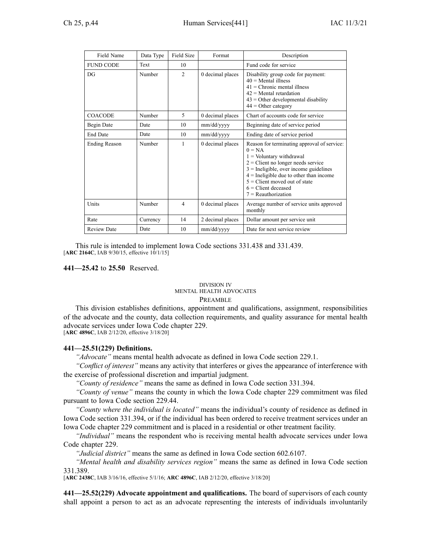| Field Name           | Data Type | Field Size     | Format           | Description                                                                                                                                                                                                                                                                                                 |
|----------------------|-----------|----------------|------------------|-------------------------------------------------------------------------------------------------------------------------------------------------------------------------------------------------------------------------------------------------------------------------------------------------------------|
| <b>FUND CODE</b>     | Text      | 10             |                  | Fund code for service                                                                                                                                                                                                                                                                                       |
| DG                   | Number    | $\overline{2}$ | 0 decimal places | Disability group code for payment:<br>$40$ = Mental illness<br>$41$ = Chronic mental illness<br>$42$ = Mental retardation<br>$43$ = Other developmental disability<br>$44 =$ Other category                                                                                                                 |
| <b>COACODE</b>       | Number    | 5              | 0 decimal places | Chart of accounts code for service                                                                                                                                                                                                                                                                          |
| Begin Date           | Date      | 10             | mm/dd/yyyy       | Beginning date of service period                                                                                                                                                                                                                                                                            |
| <b>End Date</b>      | Date      | 10             | mm/dd/yyyy       | Ending date of service period                                                                                                                                                                                                                                                                               |
| <b>Ending Reason</b> | Number    | 1              | 0 decimal places | Reason for terminating approval of service:<br>$0 = NA$<br>$1 =$ Voluntary withdrawal<br>$2$ = Client no longer needs service<br>$3$ = Ineligible, over income guidelines<br>$4$ = Ineligible due to other than income<br>$5$ = Client moved out of state<br>$6$ = Client deceased<br>$7 =$ Reauthorization |
| Units                | Number    | $\overline{4}$ | 0 decimal places | Average number of service units approved<br>monthly                                                                                                                                                                                                                                                         |
| Rate                 | Currency  | 14             | 2 decimal places | Dollar amount per service unit                                                                                                                                                                                                                                                                              |
| <b>Review Date</b>   | Date      | 10             | mm/dd/yyyy       | Date for next service review                                                                                                                                                                                                                                                                                |

This rule is intended to implement Iowa Code sections [331.438](https://www.legis.iowa.gov/docs/ico/section/331.438.pdf) and [331.439](https://www.legis.iowa.gov/docs/ico/section/331.439.pdf). [ARC [2164C](https://www.legis.iowa.gov/docs/aco/arc/2164C.pdf), IAB 9/30/15, effective 10/1/15]

**441—25.42** to **25.50** Reserved.

#### DIVISION IV MENTAL HEALTH ADVOCATES PREAMBLE

This division establishes definitions, appointment and qualifications, assignment, responsibilities of the advocate and the county, data collection requirements, and quality assurance for mental health advocate services under Iowa Code chapter [229](https://www.legis.iowa.gov/docs/ico/chapter/229.pdf).

[**ARC [4896C](https://www.legis.iowa.gov/docs/aco/arc/4896C.pdf)**, IAB 2/12/20, effective 3/18/20]

## **441—25.51(229) Definitions.**

*"Advocate"* means mental health advocate as defined in Iowa Code section [229.1](https://www.legis.iowa.gov/docs/ico/section/229.1.pdf).

*"Conflict of interest"* means any activity that interferes or gives the appearance of interference with the exercise of professional discretion and impartial judgment.

*"County of residence"* means the same as defined in Iowa Code section [331.394](https://www.legis.iowa.gov/docs/ico/section/331.394.pdf).

*"County of venue"* means the county in which the Iowa Code chapter [229](https://www.legis.iowa.gov/docs/ico/chapter/229.pdf) commitment was filed pursuan<sup>t</sup> to Iowa Code section [229.44](https://www.legis.iowa.gov/docs/ico/section/229.44.pdf).

*"County where the individual is located"* means the individual's county of residence as defined in Iowa Code section [331.394](https://www.legis.iowa.gov/docs/ico/section/331.394.pdf), or if the individual has been ordered to receive treatment services under an Iowa Code chapter [229](https://www.legis.iowa.gov/docs/ico/chapter/229.pdf) commitment and is placed in <sup>a</sup> residential or other treatment facility.

*"Individual"* means the respondent who is receiving mental health advocate services under Iowa Code chapter [229](https://www.legis.iowa.gov/docs/ico/chapter/229.pdf).

*"Judicial district"* means the same as defined in Iowa Code section [602.6107](https://www.legis.iowa.gov/docs/ico/section/602.6107.pdf).

*"Mental health and disability services region"* means the same as defined in Iowa Code section [331.389](https://www.legis.iowa.gov/docs/ico/section/331.389.pdf).

[**ARC [2438C](https://www.legis.iowa.gov/docs/aco/arc/2438C.pdf)**, IAB 3/16/16, effective 5/1/16; **ARC [4896C](https://www.legis.iowa.gov/docs/aco/arc/4896C.pdf)**, IAB 2/12/20, effective 3/18/20]

**441—25.52(229) Advocate appointment and qualifications.** The board of supervisors of each county shall appoint <sup>a</sup> person to act as an advocate representing the interests of individuals involuntarily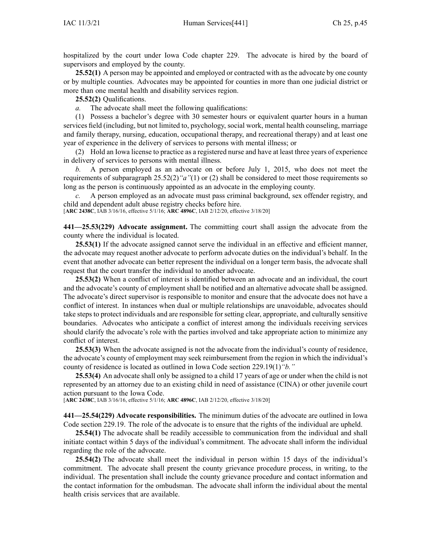hospitalized by the court under Iowa Code chapter [229](https://www.legis.iowa.gov/docs/ico/chapter/229.pdf). The advocate is hired by the board of supervisors and employed by the county.

**25.52(1)** A person may be appointed and employed or contracted with as the advocate by one county or by multiple counties. Advocates may be appointed for counties in more than one judicial district or more than one mental health and disability services region.

**25.52(2)** Qualifications.

*a.* The advocate shall meet the following qualifications:

(1) Possess <sup>a</sup> bachelor's degree with 30 semester hours or equivalent quarter hours in <sup>a</sup> human services field (including, but not limited to, psychology, social work, mental health counseling, marriage and family therapy, nursing, education, occupational therapy, and recreational therapy) and at least one year of experience in the delivery of services to persons with mental illness; or

(2) Hold an Iowa license to practice as <sup>a</sup> registered nurse and have at least three years of experience in delivery of services to persons with mental illness.

*b.* A person employed as an advocate on or before July 1, 2015, who does not meet the requirements of subparagraph [25.52\(2\)](https://www.legis.iowa.gov/docs/iac/rule/441.25.52.pdf)*"a"*(1) or (2) shall be considered to meet those requirements so long as the person is continuously appointed as an advocate in the employing county.

*c.* A person employed as an advocate must pass criminal background, sex offender registry, and child and dependent adult abuse registry checks before hire.

[**ARC [2438C](https://www.legis.iowa.gov/docs/aco/arc/2438C.pdf)**, IAB 3/16/16, effective 5/1/16; **ARC [4896C](https://www.legis.iowa.gov/docs/aco/arc/4896C.pdf)**, IAB 2/12/20, effective 3/18/20]

**441—25.53(229) Advocate assignment.** The committing court shall assign the advocate from the county where the individual is located.

**25.53(1)** If the advocate assigned cannot serve the individual in an effective and efficient manner, the advocate may reques<sup>t</sup> another advocate to perform advocate duties on the individual's behalf. In the event that another advocate can better represen<sup>t</sup> the individual on <sup>a</sup> longer term basis, the advocate shall reques<sup>t</sup> that the court transfer the individual to another advocate.

**25.53(2)** When <sup>a</sup> conflict of interest is identified between an advocate and an individual, the court and the advocate's county of employment shall be notified and an alternative advocate shall be assigned. The advocate's direct supervisor is responsible to monitor and ensure that the advocate does not have <sup>a</sup> conflict of interest. In instances when dual or multiple relationships are unavoidable, advocates should take steps to protect individuals and are responsible for setting clear, appropriate, and culturally sensitive boundaries. Advocates who anticipate <sup>a</sup> conflict of interest among the individuals receiving services should clarify the advocate's role with the parties involved and take appropriate action to minimize any conflict of interest.

**25.53(3)** When the advocate assigned is not the advocate from the individual's county of residence, the advocate's county of employment may seek reimbursement from the region in which the individual's county of residence is located as outlined in Iowa Code section [229.19\(1\)](https://www.legis.iowa.gov/docs/ico/section/229.19.pdf)*"b."*

**25.53(4)** An advocate shall only be assigned to <sup>a</sup> child 17 years of age or under when the child is not represented by an attorney due to an existing child in need of assistance (CINA) or other juvenile court action pursuan<sup>t</sup> to the Iowa Code.

[**ARC [2438C](https://www.legis.iowa.gov/docs/aco/arc/2438C.pdf)**, IAB 3/16/16, effective 5/1/16; **ARC [4896C](https://www.legis.iowa.gov/docs/aco/arc/4896C.pdf)**, IAB 2/12/20, effective 3/18/20]

**441—25.54(229) Advocate responsibilities.** The minimum duties of the advocate are outlined in Iowa Code section [229.19](https://www.legis.iowa.gov/docs/ico/section/229.19.pdf). The role of the advocate is to ensure that the rights of the individual are upheld.

**25.54(1)** The advocate shall be readily accessible to communication from the individual and shall initiate contact within 5 days of the individual's commitment. The advocate shall inform the individual regarding the role of the advocate.

**25.54(2)** The advocate shall meet the individual in person within 15 days of the individual's commitment. The advocate shall presen<sup>t</sup> the county grievance procedure process, in writing, to the individual. The presentation shall include the county grievance procedure and contact information and the contact information for the ombudsman. The advocate shall inform the individual about the mental health crisis services that are available.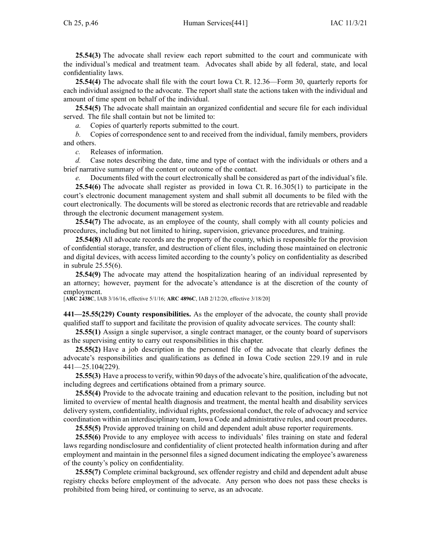confidentiality laws. **25.54(4)** The advocate shall file with the court Iowa Ct. R. [12.36—Form](https://www.legis.iowa.gov/docs/ACO/CourtRulesChapter/12.pdf) 30, quarterly reports for each individual assigned to the advocate. The repor<sup>t</sup> shall state the actions taken with the individual and amount of time spen<sup>t</sup> on behalf of the individual.

**25.54(5)** The advocate shall maintain an organized confidential and secure file for each individual served. The file shall contain but not be limited to:

*a.* Copies of quarterly reports submitted to the court.

*b.* Copies of correspondence sent to and received from the individual, family members, providers and others.

*c.* Releases of information.

*d.* Case notes describing the date, time and type of contact with the individuals or others and <sup>a</sup> brief narrative summary of the content or outcome of the contact.

*e.* Documents filed with the court electronically shall be considered as par<sup>t</sup> of the individual's file.

**25.54(6)** The advocate shall register as provided in Iowa Ct. R. 16.305(1) to participate in the court's electronic document managemen<sup>t</sup> system and shall submit all documents to be filed with the court electronically. The documents will be stored as electronic records that are retrievable and readable through the electronic document managemen<sup>t</sup> system.

**25.54(7)** The advocate, as an employee of the county, shall comply with all county policies and procedures, including but not limited to hiring, supervision, grievance procedures, and training.

**25.54(8)** All advocate records are the property of the county, which is responsible for the provision of confidential storage, transfer, and destruction of client files, including those maintained on electronic and digital devices, with access limited according to the county's policy on confidentiality as described in subrule [25.55\(6\)](https://www.legis.iowa.gov/docs/iac/rule/441.25.55.pdf).

**25.54(9)** The advocate may attend the hospitalization hearing of an individual represented by an attorney; however, paymen<sup>t</sup> for the advocate's attendance is at the discretion of the county of employment.

[**ARC [2438C](https://www.legis.iowa.gov/docs/aco/arc/2438C.pdf)**, IAB 3/16/16, effective 5/1/16; **ARC [4896C](https://www.legis.iowa.gov/docs/aco/arc/4896C.pdf)**, IAB 2/12/20, effective 3/18/20]

**441—25.55(229) County responsibilities.** As the employer of the advocate, the county shall provide qualified staff to suppor<sup>t</sup> and facilitate the provision of quality advocate services. The county shall:

**25.55(1)** Assign <sup>a</sup> single supervisor, <sup>a</sup> single contract manager, or the county board of supervisors as the supervising entity to carry out responsibilities in this chapter.

**25.55(2)** Have <sup>a</sup> job description in the personnel file of the advocate that clearly defines the advocate's responsibilities and qualifications as defined in Iowa Code section [229.19](https://www.legis.iowa.gov/docs/ico/section/229.19.pdf) and in rule [441—25.104](https://www.legis.iowa.gov/docs/iac/rule/441.25.104.pdf)(229).

**25.55(3)** Have <sup>a</sup> processto verify, within 90 days of the advocate's hire, qualification of the advocate, including degrees and certifications obtained from <sup>a</sup> primary source.

**25.55(4)** Provide to the advocate training and education relevant to the position, including but not limited to overview of mental health diagnosis and treatment, the mental health and disability services delivery system, confidentiality, individual rights, professional conduct, the role of advocacy and service coordination within an interdisciplinary team, Iowa Code and administrative rules, and court procedures.

**25.55(5)** Provide approved training on child and dependent adult abuse reporter requirements.

**25.55(6)** Provide to any employee with access to individuals' files training on state and federal laws regarding nondisclosure and confidentiality of client protected health information during and after employment and maintain in the personnel files <sup>a</sup> signed document indicating the employee's awareness of the county's policy on confidentiality.

**25.55(7)** Complete criminal background, sex offender registry and child and dependent adult abuse registry checks before employment of the advocate. Any person who does not pass these checks is prohibited from being hired, or continuing to serve, as an advocate.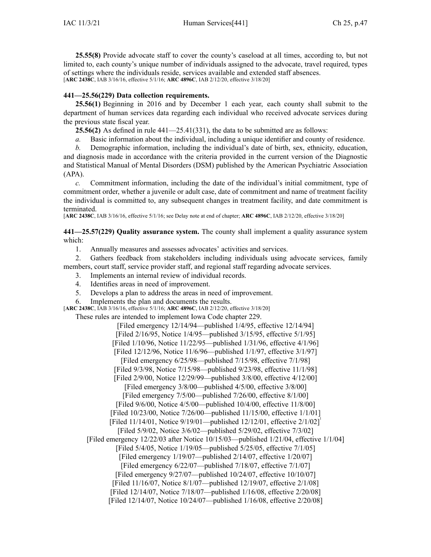**25.55(8)** Provide advocate staff to cover the county's caseload at all times, according to, but not limited to, each county's unique number of individuals assigned to the advocate, travel required, types of settings where the individuals reside, services available and extended staff absences. [**ARC [2438C](https://www.legis.iowa.gov/docs/aco/arc/2438C.pdf)**, IAB 3/16/16, effective 5/1/16; **ARC [4896C](https://www.legis.iowa.gov/docs/aco/arc/4896C.pdf)**, IAB 2/12/20, effective 3/18/20]

## **441—25.56(229) Data collection requirements.**

**25.56(1)** Beginning in 2016 and by December 1 each year, each county shall submit to the department of human services data regarding each individual who received advocate services during the previous state fiscal year.

**25.56(2)** As defined in rule [441—25.41](https://www.legis.iowa.gov/docs/iac/rule/441.25.41.pdf)(331), the data to be submitted are as follows:

- *a.* Basic information about the individual, including <sup>a</sup> unique identifier and county of residence.
- *b.* Demographic information, including the individual's date of birth, sex, ethnicity, education, and diagnosis made in accordance with the criteria provided in the current version of the Diagnostic

and Statistical Manual of Mental Disorders (DSM) published by the American Psychiatric Association (APA).

*c.* Commitment information, including the date of the individual's initial commitment, type of commitment order, whether <sup>a</sup> juvenile or adult case, date of commitment and name of treatment facility the individual is committed to, any subsequent changes in treatment facility, and date commitment is terminated.

[**ARC [2438C](https://www.legis.iowa.gov/docs/aco/arc/2438C.pdf)**, IAB 3/16/16, effective 5/1/16; see Delay note at end of chapter; **ARC [4896C](https://www.legis.iowa.gov/docs/aco/arc/4896C.pdf)**, IAB 2/12/20, effective 3/18/20]

**441—25.57(229) Quality assurance system.** The county shall implement <sup>a</sup> quality assurance system which:

1. Annually measures and assesses advocates' activities and services.

2. Gathers feedback from stakeholders including individuals using advocate services, family members, court staff, service provider staff, and regional staff regarding advocate services.

3. Implements an internal review of individual records.

- 4. Identifies areas in need of improvement.
- 5. Develops <sup>a</sup> plan to address the areas in need of improvement.

6. Implements the plan and documents the results.

[**ARC [2438C](https://www.legis.iowa.gov/docs/aco/arc/2438C.pdf)**, IAB 3/16/16, effective 5/1/16; **ARC [4896C](https://www.legis.iowa.gov/docs/aco/arc/4896C.pdf)**, IAB 2/12/20, effective 3/18/20]

These rules are intended to implement Iowa Code chapter [229](https://www.legis.iowa.gov/docs/ico/chapter/229.pdf).

[Filed emergency 12/14/94—published 1/4/95, effective 12/14/94] [Filed 2/16/95, Notice 1/4/95—published 3/15/95, effective 5/1/95] [Filed 1/10/96, Notice 11/22/95—published 1/31/96, effective 4/1/96] [Filed 12/12/96, Notice 11/6/96—published 1/1/97, effective 3/1/97] [Filed emergency 6/25/98—published 7/15/98, effective 7/1/98] [Filed 9/3/98, Notice 7/15/98—published 9/23/98, effective 11/1/98] [Filed 2/9/00, Notice 12/29/99—published 3/8/00, effective 4/12/00] [Filed emergency 3/8/00—published 4/5/00, effective 3/8/00] [Filed emergency 7/5/00—published 7/26/00, effective 8/1/00] [Filed 9/6/00, Notice 4/5/00—published 10/4/00, effective 11/8/00] [Filed 10/23/00, Notice 7/26/00—published 11/15/00, effective 1/1/01] [Filed 11/14/01, Notice 9/19/01—published 12/12/01, effective 2/1/02] [Filed 5/9/02, Notice 3/6/02—published 5/29/02, effective 7/3/02] [Filed emergency 12/22/03 after Notice 10/15/03—published 1/21/04, effective 1/1/04] [Filed 5/4/05, Notice 1/19/05—published 5/25/05, effective 7/1/05] [Filed emergency 1/19/07—published 2/14/07, effective 1/20/07] [Filed emergency 6/22/07—published 7/18/07, effective 7/1/07] [Filed emergency 9/27/07—published 10/24/07, effective 10/10/07] [Filed 11/16/07, Notice 8/1/07—published 12/19/07, effective 2/1/08] [Filed 12/14/07, Notice 7/18/07—published 1/16/08, effective 2/20/08] [Filed 12/14/07, Notice 10/24/07—published 1/16/08, effective 2/20/08]